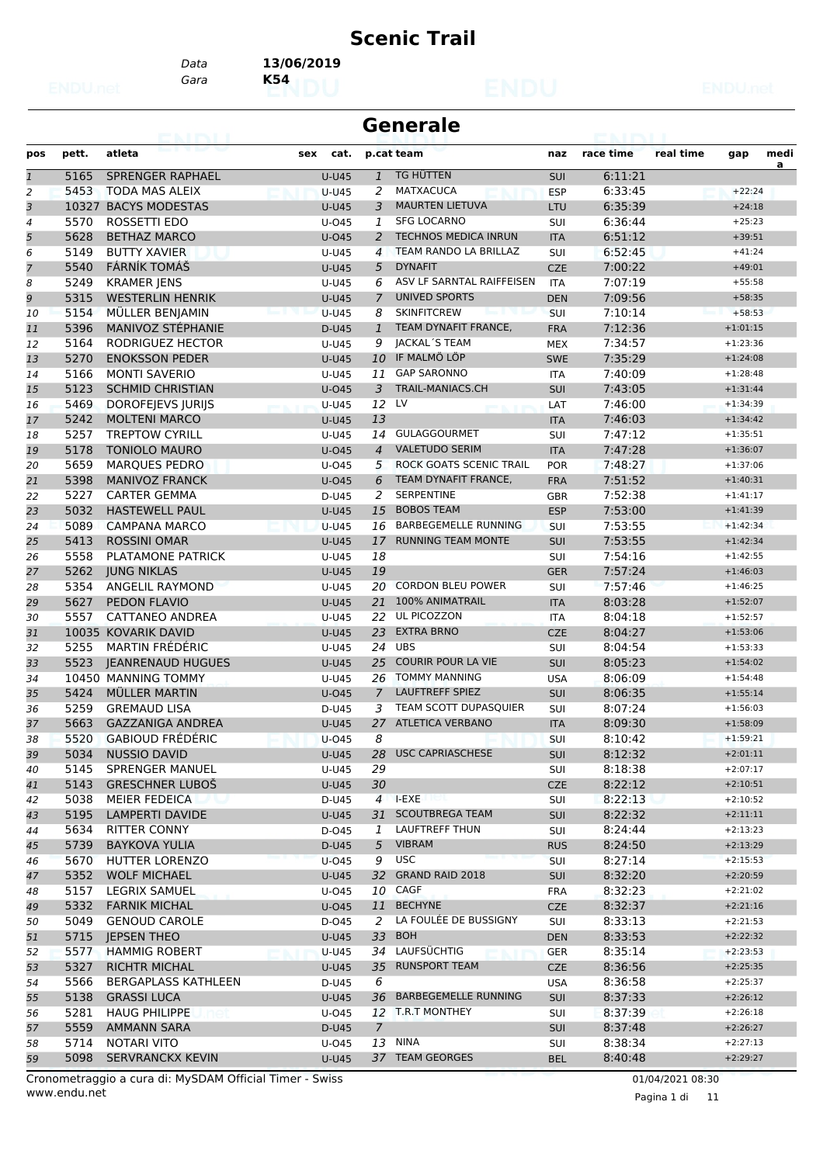### **Scenic Trail**

*Gara* **K54** *Data* **13/06/2019**

| Generale |  |
|----------|--|
|----------|--|

| pos            | pett. | atleta                     | sex cat.     |                | p.cat team                           | naz        | race time | real time | gap        | medi |
|----------------|-------|----------------------------|--------------|----------------|--------------------------------------|------------|-----------|-----------|------------|------|
| $\mathbf{1}$   | 5165  | <b>SPRENGER RAPHAEL</b>    | <b>U-U45</b> | $\mathbf{1}$   | TG HÜTTEN                            | <b>SUI</b> | 6:11:21   |           |            | a    |
| 2              | 5453  | <b>TODA MAS ALEIX</b>      | <b>U-U45</b> | 2              | <b>MATXACUCA</b>                     | <b>ESP</b> | 6:33:45   |           | $+22:24$   |      |
| 3              |       | 10327 BACYS MODESTAS       | <b>U-U45</b> | 3              | <b>MAURTEN LIETUVA</b>               | LTU        | 6:35:39   |           | $+24:18$   |      |
| 4              | 5570  | ROSSETTI EDO               | U-045        | 1              | <b>SFG LOCARNO</b>                   | SUI        | 6:36:44   |           | $+25:23$   |      |
| 5              | 5628  | <b>BETHAZ MARCO</b>        | $U$ -045     | 2              | <b>TECHNOS MEDICA INRUN</b>          | <b>ITA</b> | 6:51:12   |           | $+39:51$   |      |
| 6              | 5149  | <b>BUTTY XAVIER</b>        | U-U45        | $\overline{4}$ | TEAM RANDO LA BRILLAZ                | SUI        | 6:52:45   |           | $+41:24$   |      |
| $\overline{7}$ | 5540  | FÁRNÍK TOMÁŠ               | <b>U-U45</b> | 5              | <b>DYNAFIT</b>                       | <b>CZE</b> | 7:00:22   |           | $+49:01$   |      |
| 8              | 5249  | <b>KRAMER JENS</b>         | U-U45        | 6              | ASV LF SARNTAL RAIFFEISEN            | <b>ITA</b> | 7:07:19   |           | $+55:58$   |      |
| 9              | 5315  | <b>WESTERLIN HENRIK</b>    | <b>U-U45</b> | $\overline{7}$ | <b>UNIVED SPORTS</b>                 | <b>DEN</b> | 7:09:56   |           | $+58:35$   |      |
| 10             | 5154  | MÜLLER BENJAMIN            | <b>U-U45</b> | 8              | <b>SKINFITCREW</b>                   | SUI        | 7:10:14   |           | $+58:53$   |      |
| 11             | 5396  | MANIVOZ STÉPHANIE          | D-U45        | $\mathbf{1}$   | TEAM DYNAFIT FRANCE,                 | <b>FRA</b> | 7:12:36   |           | $+1:01:15$ |      |
| 12             | 5164  | RODRIGUEZ HECTOR           | U-U45        | 9              | JACKAL'S TEAM                        | <b>MEX</b> | 7:34:57   |           | $+1:23:36$ |      |
| 13             | 5270  | <b>ENOKSSON PEDER</b>      | <b>U-U45</b> | 10             | IF MALMÖ LÖP                         | <b>SWE</b> | 7:35:29   |           | $+1:24:08$ |      |
| 14             | 5166  | <b>MONTI SAVERIO</b>       | <b>U-U45</b> | 11             | <b>GAP SARONNO</b>                   | <b>ITA</b> | 7:40:09   |           | $+1:28:48$ |      |
| 15             | 5123  | <b>SCHMID CHRISTIAN</b>    | $U$ -045     | 3              | <b>TRAIL-MANIACS.CH</b>              | SUI        | 7:43:05   |           | $+1:31:44$ |      |
| 16             | 5469  | DOROFEJEVS JURIJS          | U-U45        | 12 LV          |                                      | LAT        | 7:46:00   |           | $+1:34:39$ |      |
| 17             | 5242  | <b>MOLTENI MARCO</b>       | U-U45        | 13             | <b>CHARLES CO. BOX</b>               | <b>ITA</b> | 7:46:03   |           | $+1:34:42$ |      |
| 18             | 5257  | <b>TREPTOW CYRILL</b>      | U-U45        | 14             | GULAGGOURMET                         | SUI        | 7:47:12   |           | $+1:35:51$ |      |
| 19             | 5178  | <b>TONIOLO MAURO</b>       | $U$ -045     | $\overline{4}$ | <b>VALETUDO SERIM</b>                | <b>ITA</b> | 7:47:28   |           | $+1:36:07$ |      |
| 20             | 5659  | <b>MARQUES PEDRO</b>       | $U$ -045     | 5              | ROCK GOATS SCENIC TRAIL              | <b>POR</b> | 7:48:27   |           | $+1:37:06$ |      |
| 21             | 5398  | <b>MANIVOZ FRANCK</b>      | $U$ -045     | 6              | TEAM DYNAFIT FRANCE.                 | <b>FRA</b> | 7:51:52   |           | $+1:40:31$ |      |
|                | 5227  | <b>CARTER GEMMA</b>        |              | 2              | <b>SERPENTINE</b>                    |            | 7:52:38   |           | $+1:41:17$ |      |
| 22             | 5032  | <b>HASTEWELL PAUL</b>      | D-U45        | 15             | <b>BOBOS TEAM</b>                    | GBR        |           |           | $+1:41:39$ |      |
| 23             | 5089  |                            | <b>U-U45</b> |                | BARBEGEMELLE RUNNING                 | <b>ESP</b> | 7:53:00   |           | $+1:42:34$ |      |
| 24             |       | <b>CAMPANA MARCO</b>       | <b>U-U45</b> | 16             | <b>RUNNING TEAM MONTE</b>            | <b>SUI</b> | 7:53:55   |           |            |      |
| 25             | 5413  | <b>ROSSINI OMAR</b>        | <b>U-U45</b> | 17             |                                      | <b>SUI</b> | 7:53:55   |           | $+1:42:34$ |      |
| 26             | 5558  | <b>PLATAMONE PATRICK</b>   | <b>U-U45</b> | 18             |                                      | SUI        | 7:54:16   |           | $+1:42:55$ |      |
| 27             | 5262  | <b>JUNG NIKLAS</b>         | <b>U-U45</b> | 19             |                                      | <b>GER</b> | 7:57:24   |           | $+1:46:03$ |      |
| 28             | 5354  | <b>ANGELIL RAYMOND</b>     | U-U45        | 20             | <b>CORDON BLEU POWER</b>             | SUI        | 7:57:46   |           | $+1:46:25$ |      |
| 29             | 5627  | PEDON FLAVIO               | <b>U-U45</b> |                | 21 100% ANIMATRAIL<br>22 UL PICOZZON | <b>ITA</b> | 8:03:28   |           | $+1:52:07$ |      |
| 30             | 5557  | CATTANEO ANDREA            | U-U45        |                | <b>EXTRA BRNO</b>                    | ITA        | 8:04:18   |           | $+1:52:57$ |      |
| 31             |       | 10035 KOVARIK DAVID        | <b>U-U45</b> | 23             | $24$ UBS                             | <b>CZE</b> | 8:04:27   |           | $+1:53:06$ |      |
| 32             | 5255  | <b>MARTIN FRÉDÉRIC</b>     | $U-U45$      |                |                                      | SUI        | 8:04:54   |           | $+1:53:33$ |      |
| 33             | 5523  | <b>JEANRENAUD HUGUES</b>   | <b>U-U45</b> | 25             | <b>COURIR POUR LA VIE</b>            | SUI        | 8:05:23   |           | $+1:54:02$ |      |
| 34             |       | 10450 MANNING TOMMY        | U-U45        | 26             | <b>TOMMY MANNING</b>                 | <b>USA</b> | 8:06:09   |           | $+1:54:48$ |      |
| 35             | 5424  | MÜLLER MARTIN              | $U$ -045     | $\overline{7}$ | <b>LAUFTREFF SPIEZ</b>               | <b>SUI</b> | 8:06:35   |           | $+1:55:14$ |      |
| 36             | 5259  | <b>GREMAUD LISA</b>        | D-U45        | 3              | TEAM SCOTT DUPASQUIER                | SUI        | 8:07:24   |           | $+1:56:03$ |      |
| 37             | 5663  | <b>GAZZANIGA ANDREA</b>    | <b>U-U45</b> | 27             | <b>ATLETICA VERBANO</b>              | <b>ITA</b> | 8:09:30   |           | $+1:58:09$ |      |
| 38             | 5520  | <b>GABIOUD FRÉDÉRIC</b>    | $U$ -045     | 8              |                                      | SUI        | 8:10:42   |           | $+1:59:21$ |      |
| 39             | 5034  | <b>NUSSIO DAVID</b>        | U-U45        |                | 28 USC CAPRIASCHESE                  | <b>SUI</b> | 8:12:32   |           | $+2:01:11$ |      |
| 40             | 5145  | SPRENGER MANUEL            | U-U45        | 29             |                                      | SUI        | 8:18:38   |           | $+2:07:17$ |      |
| 41             | 5143  | <b>GRESCHNER LUBOŠ</b>     | U-U45        | 30             |                                      | <b>CZE</b> | 8:22:12   |           | $+2:10:51$ |      |
| 42             | 5038  | MEIER FEDEICA              | D-U45        |                | $4$ I-EXE<br>uga k                   | SUI        | 8:22:13   |           | $+2:10:52$ |      |
| 43             | 5195  | <b>LAMPERTI DAVIDE</b>     | U-U45        |                | 31 SCOUTBREGA TEAM                   | <b>SUI</b> | 8:22:32   |           | $+2:11:11$ |      |
| 44             | 5634  | RITTER CONNY               | D-045        | 1              | <b>LAUFTREFF THUN</b>                | SUI        | 8:24:44   |           | $+2:13:23$ |      |
| 45             | 5739  | <b>BAYKOVA YULIA</b>       | D-U45        |                | 5 VIBRAM                             | <b>RUS</b> | 8:24:50   |           | $+2:13:29$ |      |
| 46             | 5670  | <b>HUTTER LORENZO</b>      | $U$ -045     | 9              | <b>USC</b>                           | <b>SUI</b> | 8:27:14   |           | $+2:15:53$ |      |
| 47             | 5352  | <b>WOLF MICHAEL</b>        | U-U45        |                | 32 GRAND RAID 2018                   | <b>SUI</b> | 8:32:20   |           | $+2:20:59$ |      |
| 48             | 5157  | LEGRIX SAMUEL              | U-045        |                | 10 CAGF                              | <b>FRA</b> | 8:32:23   |           | $+2:21:02$ |      |
| 49             | 5332  | <b>FARNIK MICHAL</b>       | $U$ -045     |                | 11 BECHYNE                           | <b>CZE</b> | 8:32:37   |           | $+2:21:16$ |      |
| 50             | 5049  | <b>GENOUD CAROLE</b>       | D-045        | 2              | LA FOULEE DE BUSSIGNY                | SUI        | 8:33:13   |           | $+2:21:53$ |      |
| 51             | 5715  | <b>JEPSEN THEO</b>         | U-U45        |                | 33 BOH                               | <b>DEN</b> | 8:33:53   |           | $+2:22:32$ |      |
| 52             | 5577  | <b>HAMMIG ROBERT</b>       | <b>U-U45</b> |                | 34 LAUFSÜCHTIG                       | <b>GER</b> | 8:35:14   |           | $+2:23:53$ |      |
| 53             | 5327  | <b>RICHTR MICHAL</b>       | U-U45        |                | 35 RUNSPORT TEAM                     | <b>CZE</b> | 8:36:56   |           | $+2:25:35$ |      |
| 54             | 5566  | <b>BERGAPLASS KATHLEEN</b> | D-U45        | 6              |                                      | <b>USA</b> | 8:36:58   |           | $+2:25:37$ |      |
| 55             | 5138  | <b>GRASSI LUCA</b>         | <b>U-U45</b> |                | 36 BARBEGEMELLE RUNNING              | <b>SUI</b> | 8:37:33   |           | $+2:26:12$ |      |
| 56             | 5281  | <b>HAUG PHILIPPE</b>       | U-045        |                | 12 T.R.T MONTHEY                     | <b>SUI</b> | 8:37:39   |           | $+2:26:18$ |      |
| 57             | 5559  | <b>AMMANN SARA</b>         | D-U45        | $\overline{7}$ |                                      | SUI        | 8:37:48   |           | $+2:26:27$ |      |
| 58             | 5714  | <b>NOTARI VITO</b>         | U-045        |                | 13 NINA                              | SUI        | 8:38:34   |           | $+2:27:13$ |      |
| 59             | 5098  | <b>SERVRANCKX KEVIN</b>    | <b>U-U45</b> |                | 37 TEAM GEORGES                      | <b>BEL</b> | 8:40:48   |           | $+2:29:27$ |      |

www.endu.net Cronometraggio a cura di: MySDAM Official Timer - Swiss 01/04/2021 08:30

Pagina 1 di 11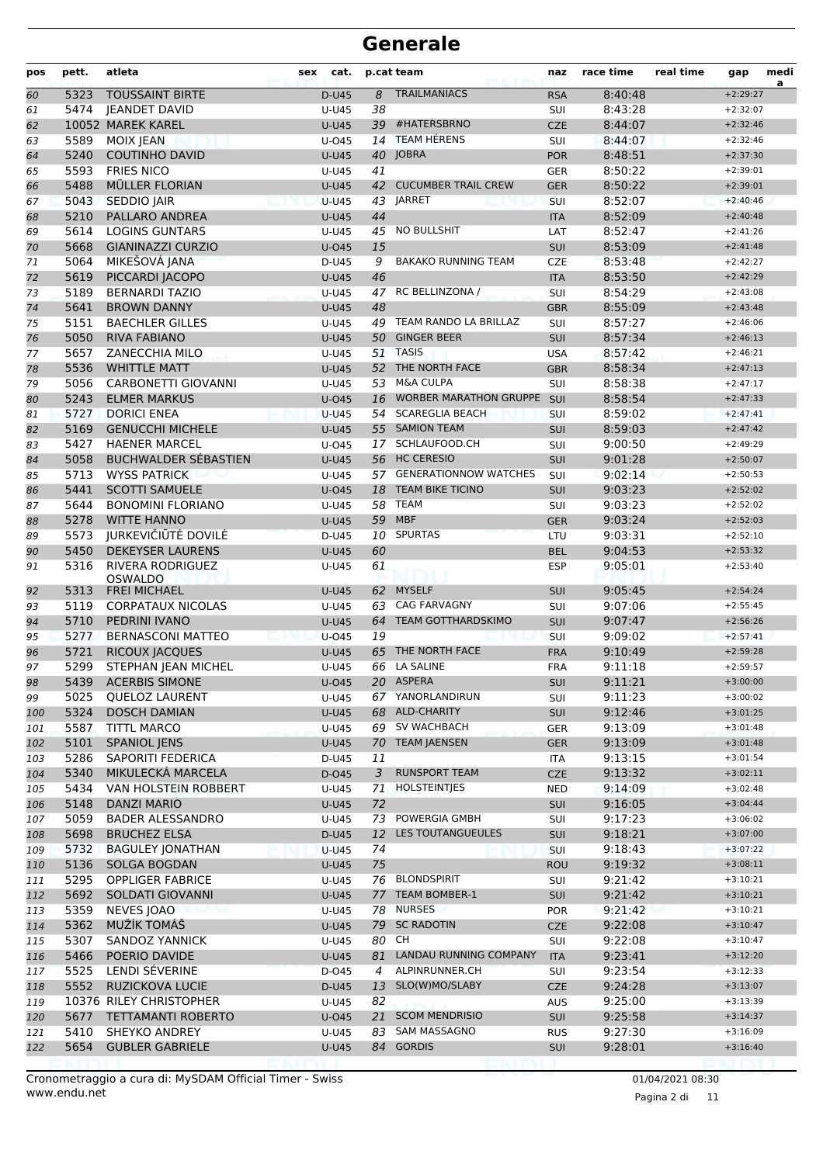| pos        | pett.        | atleta                                      | sex | cat.               |          | p.cat team                    | naz               | race time          | real time | gap                      | medi<br>a |
|------------|--------------|---------------------------------------------|-----|--------------------|----------|-------------------------------|-------------------|--------------------|-----------|--------------------------|-----------|
| 60         | 5323         | <b>TOUSSAINT BIRTE</b>                      |     | D-U45              | 8        | <b>TRAILMANIACS</b>           | <b>RSA</b>        | 8:40:48            |           | $+2:29:27$               |           |
| 61         | 5474         | <b>IEANDET DAVID</b>                        |     | U-U45              | 38       |                               | SUI               | 8:43:28            |           | $+2:32:07$               |           |
| 62         |              | 10052 MAREK KAREL                           |     | <b>U-U45</b>       |          | 39 #HATERSBRNO                | <b>CZE</b>        | 8:44:07            |           | $+2:32:46$               |           |
| 63         | 5589         | MOIX JEAN                                   |     | U-045              | 14       | <b>TEAM HÉRENS</b>            | SUI               | 8:44:07            |           | $+2:32:46$               |           |
| 64         | 5240         | <b>COUTINHO DAVID</b>                       |     | <b>U-U45</b>       |          | 40 JOBRA                      | <b>POR</b>        | 8:48:51            |           | $+2:37:30$               |           |
| 65         | 5593         | <b>FRIES NICO</b>                           |     | U-U45              | 41       |                               | <b>GER</b>        | 8:50:22            |           | $+2:39:01$               |           |
| 66         | 5488         | MÜLLER FLORIAN                              |     | <b>U-U45</b>       |          | 42 CUCUMBER TRAIL CREW        | <b>GER</b>        | 8:50:22            |           | $+2:39:01$               |           |
| 67         | 5043<br>5210 | <b>SEDDIO JAIR</b><br><b>PALLARO ANDREA</b> |     | $U-U45$<br>$U-U45$ |          | 43 JARRET                     | SUI               | 8:52:07<br>8:52:09 |           | $+2:40:46$               |           |
| 68         | 5614         | <b>LOGINS GUNTARS</b>                       |     |                    | 44<br>45 | <b>NO BULLSHIT</b>            | <b>ITA</b>        | 8:52:47            |           | $+2:40:48$<br>$+2:41:26$ |           |
| 69         | 5668         | <b>GIANINAZZI CURZIO</b>                    |     | U-U45<br>$U$ -045  | 15       |                               | LAT<br>SUI        | 8:53:09            |           | $+2:41:48$               |           |
| 70<br>71   | 5064         | MIKEŠOVÁ JANA                               |     | D-U45              | 9        | <b>BAKAKO RUNNING TEAM</b>    | <b>CZE</b>        | 8:53:48            |           | $+2:42:27$               |           |
| 72         | 5619         | PICCARDI JACOPO                             |     | <b>U-U45</b>       | 46       |                               | <b>ITA</b>        | 8:53:50            |           | $+2:42:29$               |           |
| 73         | 5189         | <b>BERNARDI TAZIO</b>                       |     | U-U45              |          | 47 RC BELLINZONA /            | SUI               | 8:54:29            |           | $+2:43:08$               |           |
| 74         | 5641         | <b>BROWN DANNY</b>                          |     | <b>U-U45</b>       | 48       |                               | <b>GBR</b>        | 8:55:09            |           | $+2:43:48$               |           |
| 75         | 5151         | <b>BAECHLER GILLES</b>                      |     | U-U45              | 49       | TEAM RANDO LA BRILLAZ         | <b>SUI</b>        | 8:57:27            |           | $+2:46:06$               |           |
| 76         | 5050         | <b>RIVA FABIANO</b>                         |     | <b>U-U45</b>       | 50       | <b>GINGER BEER</b>            | SUI               | 8:57:34            |           | $+2:46:13$               |           |
| 77         | 5657         | <b>ZANECCHIA MILO</b>                       |     | $U-U45$            |          | 51 TASIS                      | <b>USA</b>        | 8:57:42            |           | $+2:46:21$               |           |
| 78         | 5536         | <b>WHITTLE MATT</b>                         |     | <b>U-U45</b>       | 52       | THE NORTH FACE                | <b>GBR</b>        | 8:58:34            |           | $+2:47:13$               |           |
| 79         | 5056         | CARBONETTI GIOVANNI                         |     | U-U45              |          | 53 M&A CULPA                  | SUI               | 8:58:38            |           | $+2:47:17$               |           |
| 80         | 5243         | <b>ELMER MARKUS</b>                         |     | $U$ -045           | 16       | <b>WORBER MARATHON GRUPPE</b> | <b>SUI</b>        | 8:58:54            |           | $+2:47:33$               |           |
| 81         | 5727         | <b>DORICI ENEA</b>                          |     | <b>U-U45</b>       | 54       | <b>SCAREGLIA BEACH</b>        | SUI               | 8:59:02            |           | $+2:47:41$               |           |
| 82         | 5169         | <b>GENUCCHI MICHELE</b>                     |     | <b>U-U45</b>       |          | 55 SAMION TEAM                | <b>SUI</b>        | 8:59:03            |           | $+2:47:42$               |           |
| 83         | 5427         | <b>HAENER MARCEL</b>                        |     | $U$ -045           |          | 17 SCHLAUFOOD.CH              | SUI               | 9:00:50            |           | $+2:49:29$               |           |
| 84         | 5058         | <b>BUCHWALDER SÉBASTIEN</b>                 |     | <b>U-U45</b>       |          | 56 HC CERESIO                 | SUI               | 9:01:28            |           | $+2:50:07$               |           |
| 85         | 5713         | <b>WYSS PATRICK</b>                         |     | U-U45              |          | 57 GENERATIONNOW WATCHES      | SUI               | 9:02:14            |           | $+2:50:53$               |           |
| 86         | 5441         | <b>SCOTTI SAMUELE</b>                       |     | $U$ -045           | 18       | <b>TEAM BIKE TICINO</b>       | <b>SUI</b>        | 9:03:23            |           | $+2:52:02$               |           |
| 87         | 5644         | <b>BONOMINI FLORIANO</b>                    |     | U-U45              | 58       | <b>TEAM</b>                   | SUI               | 9:03:23            |           | $+2:52:02$               |           |
| 88         | 5278         | <b>WITTE HANNO</b>                          |     | <b>U-U45</b>       | 59       | <b>MBF</b>                    | <b>GER</b>        | 9:03:24            |           | $+2:52:03$               |           |
| 89         | 5573         | JURKEVIČIŪTĖ DOVILĖ                         |     | $D-U45$            |          | 10 SPURTAS                    | LTU               | 9:03:31            |           | $+2:52:10$               |           |
| 90         | 5450         | <b>DEKEYSER LAURENS</b>                     |     | <b>U-U45</b>       | 60       |                               | <b>BEL</b>        | 9:04:53            |           | $+2:53:32$               |           |
| 91         | 5316         | <b>RIVERA RODRIGUEZ</b><br><b>OSWALDO</b>   |     | U-U45              | 61       |                               | <b>ESP</b>        | 9:05:01            |           | $+2:53:40$               |           |
| 92         | 5313         | <b>FREI MICHAEL</b>                         |     | <b>U-U45</b>       | 62       | <b>MYSELF</b>                 | <b>SUI</b>        | 9:05:45            |           | $+2:54:24$               |           |
| 93         | 5119         | <b>CORPATAUX NICOLAS</b>                    |     | $U-U45$            | 63       | <b>CAG FARVAGNY</b>           | SUI               | 9:07:06            |           | $+2:55:45$               |           |
| 94         | 5710         | <b>PEDRINI IVANO</b>                        |     | <b>U-U45</b>       | 64       | <b>TEAM GOTTHARDSKIMO</b>     | SUI               | 9:07:47            |           | $+2:56:26$               |           |
| 95         | 5277         | <b>BERNASCONI MATTEO</b>                    |     | $U$ -045           | 19       |                               | SUI               | 9:09:02            |           | $+2:57:41$               |           |
| 96         | 5721         | RICOUX JACQUES                              |     | <b>U-U45</b>       | 65       | THE NORTH FACE                | <b>FRA</b>        | 9:10:49            |           | $+2:59:28$               |           |
| 97         | 5299         | STEPHAN JEAN MICHEL                         |     | U-U45              |          | 66 LA SALINE                  | <b>FRA</b>        | 9:11:18            |           | $+2:59:57$               |           |
| 98         |              | 5439 ACERBIS SIMONE                         |     | $U$ -045           |          | 20 ASPERA                     | SUI               | 9:11:21            |           | $+3:00:00$               |           |
| 99         | 5025         | <b>QUELOZ LAURENT</b>                       |     | U-U45              |          | 67 YANORLANDIRUN              | SUI               | 9:11:23            |           | $+3:00:02$               |           |
| 100        | 5324         | <b>DOSCH DAMIAN</b>                         |     | <b>U-U45</b>       |          | 68 ALD-CHARITY                | <b>SUI</b>        | 9:12:46            |           | $+3:01:25$               |           |
| 101        | 5587         | <b>TITTL MARCO</b>                          |     | U-U45              |          | 69 SV WACHBACH                | <b>GER</b>        | 9:13:09            |           | $+3:01:48$               |           |
| 102        | 5101         | <b>SPANIOL JENS</b>                         |     | <b>U-U45</b>       | 70       | <b>TEAM JAENSEN</b>           | <b>GER</b>        | 9:13:09            |           | $+3:01:48$               |           |
| 103        | 5286<br>5340 | SAPORITI FEDERICA<br>MIKULECKÁ MARCELA      |     | D-U45<br>D-045     | 11<br>3  | <b>RUNSPORT TEAM</b>          | ITA<br><b>CZE</b> | 9:13:15<br>9:13:32 |           | $+3:01:54$               |           |
| 104        | 5434         | VAN HOLSTEIN ROBBERT                        |     | U-U45              | 71       | HOLSTEINTJES                  | <b>NED</b>        | 9:14:09            |           | $+3:02:11$<br>$+3:02:48$ |           |
| 105<br>106 | 5148         | <b>DANZI MARIO</b>                          |     | <b>U-U45</b>       | 72       |                               | <b>SUI</b>        | 9:16:05            |           | $+3:04:44$               |           |
| 107        | 5059         | <b>BADER ALESSANDRO</b>                     |     | U-U45              | 73       | POWERGIA GMBH                 | <b>SUI</b>        | 9:17:23            |           | $+3:06:02$               |           |
| 108        | 5698         | <b>BRUCHEZ ELSA</b>                         |     | D-U45              | 12       | LES TOUTANGUEULES             | SUI               | 9:18:21            |           | $+3:07:00$               |           |
| 109        | 5732         | <b>BAGULEY JONATHAN</b>                     |     | <b>U-U45</b>       | 74       |                               | <b>SUI</b>        | 9:18:43            |           | $+3:07:22$               |           |
| 110        | 5136         | <b>SOLGA BOGDAN</b>                         |     | U-U45              | 75       |                               | <b>ROU</b>        | 9:19:32            |           | $+3:08:11$               |           |
| 111        | 5295         | <b>OPPLIGER FABRICE</b>                     |     | U-U45              |          | 76 BLONDSPIRIT                | SUI               | 9:21:42            |           | $+3:10:21$               |           |
| 112        | 5692         | SOLDATI GIOVANNI                            |     | U-U45              |          | 77 TEAM BOMBER-1              | <b>SUI</b>        | 9:21:42            |           | $+3:10:21$               |           |
| 113        | 5359         | NEVES JOAO                                  |     | U-U45              |          | 78 NURSES                     | <b>POR</b>        | 9:21:42            |           | $+3:10:21$               |           |
| 114        | 5362         | MUŽÍK TOMÁŠ                                 |     | <b>U-U45</b>       |          | 79 SC RADOTIN                 | <b>CZE</b>        | 9:22:08            |           | $+3:10:47$               |           |
| 115        | 5307         | <b>SANDOZ YANNICK</b>                       |     | U-U45              | 80 CH    |                               | <b>SUI</b>        | 9:22:08            |           | $+3:10:47$               |           |
| 116        | 5466         | POERIO DAVIDE                               |     | <b>U-U45</b>       |          | 81 LANDAU RUNNING COMPANY     | <b>ITA</b>        | 9:23:41            |           | $+3:12:20$               |           |
| 117        | 5525         | LENDI SÉVERINE                              |     | D-045              | 4        | ALPINRUNNER.CH                | SUI               | 9:23:54            |           | $+3:12:33$               |           |
| 118        | 5552         | RUZICKOVA LUCIE                             |     | D-U45              | 13       | SLO(W)MO/SLABY                | <b>CZE</b>        | 9:24:28            |           | $+3:13:07$               |           |
| 119        |              | 10376 RILEY CHRISTOPHER                     |     | U-U45              | 82       |                               | <b>AUS</b>        | 9:25:00            |           | $+3:13:39$               |           |
| 120        | 5677         | <b>TETTAMANTI ROBERTO</b>                   |     | $U$ -045           | 21       | <b>SCOM MENDRISIO</b>         | SUI               | 9:25:58            |           | $+3:14:37$               |           |
| 121        | 5410         | <b>SHEYKO ANDREY</b>                        |     | U-U45              | 83       | SAM MASSAGNO                  | <b>RUS</b>        | 9:27:30            |           | $+3:16:09$               |           |
| 122        | 5654         | <b>GUBLER GABRIELE</b>                      |     | <b>U-U45</b>       |          | 84 GORDIS                     | <b>SUI</b>        | 9:28:01            |           | $+3:16:40$               |           |
|            |              |                                             |     |                    |          |                               |                   |                    |           |                          |           |

www.endu.net Cronometraggio a cura di: MySDAM Official Timer - Swiss 01/04/2021 08:30

Pagina 2 di 11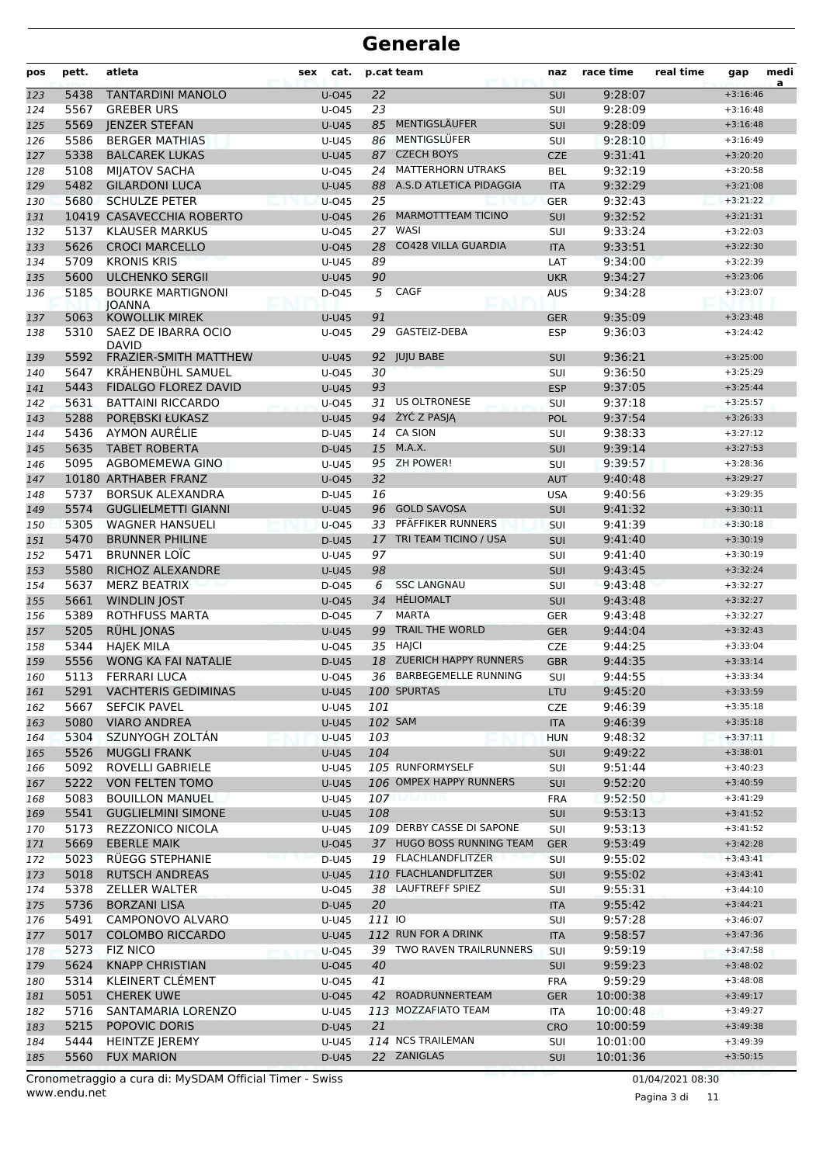| pos        | pett.        | atleta                                             | cat.<br>sex          |                | p.cat team                                       | naz                      | race time          | real time | gap                      | medi<br>a |
|------------|--------------|----------------------------------------------------|----------------------|----------------|--------------------------------------------------|--------------------------|--------------------|-----------|--------------------------|-----------|
| 123        | 5438         | <b>TANTARDINI MANOLO</b>                           | $U$ -045             | 22             |                                                  | SUI                      | 9:28:07            |           | $+3:16:46$               |           |
| 124        | 5567         | <b>GREBER URS</b>                                  | U-045                | 23             |                                                  | SUI                      | 9:28:09            |           | $+3:16:48$               |           |
| 125        | 5569         | <b>JENZER STEFAN</b>                               | <b>U-U45</b>         | 85             | MENTIGSLÄUFER                                    | <b>SUI</b>               | 9:28:09            |           | $+3:16:48$               |           |
| 126        | 5586         | <b>BERGER MATHIAS</b>                              | U-U45                | 86             | MENTIGSLÜFER                                     | SUI                      | 9:28:10            |           | $+3:16:49$               |           |
| 127        | 5338         | <b>BALCAREK LUKAS</b>                              | <b>U-U45</b>         | 87             | <b>CZECH BOYS</b>                                | <b>CZE</b>               | 9:31:41            |           | $+3:20:20$               |           |
| 128        | 5108         | <b>MIJATOV SACHA</b>                               | $U$ -045             | 24             | <b>MATTERHORN UTRAKS</b>                         | <b>BEL</b>               | 9:32:19            |           | $+3:20:58$               |           |
| 129        | 5482         | <b>GILARDONI LUCA</b>                              | $U-U45$              | 88             | A.S.D ATLETICA PIDAGGIA                          | <b>ITA</b>               | 9:32:29            |           | $+3:21:08$               |           |
| 130        | 5680         | <b>SCHULZE PETER</b>                               | $U$ -045             | 25             |                                                  | <b>GER</b>               | 9:32:43            |           | $+3:21:22$               |           |
| 131        |              | 10419 CASAVECCHIA ROBERTO                          | $U$ -045             | 26             | <b>MARMOTTTEAM TICINO</b>                        | <b>SUI</b>               | 9:32:52            |           | $+3:21:31$               |           |
| 132        | 5137         | <b>KLAUSER MARKUS</b>                              | $U$ -045             | 27             | WASI                                             | SUI                      | 9:33:24            |           | $+3:22:03$               |           |
| 133        | 5626         | <b>CROCI MARCELLO</b>                              | $U$ -045             | 28             | <b>CO428 VILLA GUARDIA</b>                       | <b>ITA</b>               | 9:33:51            |           | $+3:22:30$               |           |
| 134        | 5709         | <b>KRONIS KRIS</b>                                 | U-U45                | 89             |                                                  | LAT                      | 9:34:00            |           | $+3:22:39$               |           |
| 135        | 5600<br>5185 | <b>ULCHENKO SERGII</b><br><b>BOURKE MARTIGNONI</b> | $U-U45$              | 90<br>5        | <b>CAGF</b>                                      | <b>UKR</b>               | 9:34:27            |           | $+3:23:06$<br>$+3:23:07$ |           |
| 136        |              | <b>JOANNA</b>                                      | D-045                |                |                                                  | <b>AUS</b>               | 9:34:28            |           |                          |           |
| 137        | 5063         | <b>KOWOLLIK MIREK</b>                              | <b>U-U45</b>         | 91             |                                                  | <b>GER</b>               | 9:35:09            |           | $+3:23:48$               |           |
| 138        | 5310         | SAEZ DE IBARRA OCIO<br><b>DAVID</b>                | $U$ -045             | 29             | <b>GASTEIZ-DEBA</b>                              | <b>ESP</b>               | 9:36:03            |           | $+3:24:42$               |           |
| 139        | 5592         | <b>FRAZIER-SMITH MATTHEW</b>                       | <b>U-U45</b>         |                | 92 JUJU BABE                                     | <b>SUI</b>               | 9:36:21            |           | $+3:25:00$               |           |
| 140        | 5647         | KRÄHENBÜHL SAMUEL                                  | $U$ -045             | 30             |                                                  | SUI                      | 9:36:50            |           | $+3:25:29$               |           |
| 141        | 5443         | <b>FIDALGO FLOREZ DAVID</b>                        | <b>U-U45</b>         | 93             |                                                  | <b>ESP</b>               | 9:37:05            |           | $+3:25:44$               |           |
| 142        | 5631         | <b>BATTAINI RICCARDO</b>                           | $U$ -045             | 31             | <b>US OLTRONESE</b>                              | SUI                      | 9:37:18            |           | $+3:25:57$               |           |
| 143        | 5288         | POREBSKI ŁUKASZ                                    | $U-U45$              |                | 94 ŻYĆ Z PASIA                                   | <b>POL</b>               | 9:37:54            |           | $+3:26:33$               |           |
| 144        | 5436         | AYMON AURÉLIE                                      | D-U45                |                | 14 CA SION                                       | SUI                      | 9:38:33            |           | $+3:27:12$               |           |
| 145        | 5635         | <b>TABET ROBERTA</b>                               | D-U45                |                | 15 M.A.X.                                        | <b>SUI</b>               | 9:39:14            |           | $+3:27:53$               |           |
| 146        | 5095         | AGBOMEMEWA GINO                                    | U-U45                |                | 95 ZH POWER!                                     | SUI                      | 9:39:57            |           | $+3:28:36$               |           |
| 147        |              | 10180 ARTHABER FRANZ                               | $U$ -045             | 32             |                                                  | <b>AUT</b>               | 9:40:48            |           | $+3:29:27$               |           |
| 148        | 5737         | <b>BORSUK ALEXANDRA</b>                            | D-U45                | 16             |                                                  | <b>USA</b>               | 9:40:56            |           | $+3:29:35$               |           |
| 149        | 5574         | <b>GUGLIELMETTI GIANNI</b>                         | $U-U45$              | 96             | <b>GOLD SAVOSA</b>                               | SUI                      | 9:41:32            |           | $+3:30:11$               |           |
| 150        | 5305<br>5470 | <b>WAGNER HANSUELI</b><br><b>BRUNNER PHILINE</b>   | $U$ -045             | 33             | PFÄFFIKER RUNNERS<br>17 TRI TEAM TICINO / USA    | SUI                      | 9:41:39            |           | $+3:30:18$<br>$+3:30:19$ |           |
| 151<br>152 | 5471         | <b>BRUNNER LOIC</b>                                | D-U45<br>U-U45       | 97             |                                                  | <b>SUI</b><br>SUI        | 9:41:40<br>9:41:40 |           | $+3:30:19$               |           |
| 153        | 5580         | RICHOZ ALEXANDRE                                   | <b>U-U45</b>         | 98             |                                                  | <b>SUI</b>               | 9:43:45            |           | $+3:32:24$               |           |
| 154        | 5637         | MERZ BEATRIX                                       | D-045                | 6              | <b>SSC LANGNAU</b>                               | SUI                      | 9:43:48            |           | $+3:32:27$               |           |
| 155        | 5661         | <b>WINDLIN JOST</b>                                | $U$ -045             | 34             | HÉLIOMALT                                        | <b>SUI</b>               | 9:43:48            |           | $+3:32:27$               |           |
| 156        | 5389         | <b>ROTHFUSS MARTA</b>                              | D-045                | $\overline{7}$ | <b>MARTA</b>                                     | <b>GER</b>               | 9:43:48            |           | $+3:32:27$               |           |
| 157        | 5205         | RÜHL JONAS                                         | <b>U-U45</b>         | 99             | TRAIL THE WORLD                                  | <b>GER</b>               | 9:44:04            |           | $+3:32:43$               |           |
| 158        | 5344         | <b>HAIEK MILA</b>                                  | $U$ -045             |                | 35 HAJCI                                         | <b>CZE</b>               | 9:44:25            |           | $+3:33:04$               |           |
| 159        | 5556         | WONG KA FAI NATALIE                                | D-U45                |                | 18 ZUERICH HAPPY RUNNERS                         | <b>GBR</b>               | 9:44:35            |           | $+3:33:14$               |           |
| 160        | 5113         | <b>FERRARI LUCA</b>                                | U-045                |                | 36 BARBEGEMELLE RUNNING                          | SUI                      | 9:44:55            |           | $+3:33:34$               |           |
| 161        |              | 5291 VACHTERIS GEDIMINAS                           | <b>U-U45</b>         |                | 100 SPURTAS                                      | <b>LTU</b>               | 9:45:20            |           | $+3:33:59$               |           |
| 162        | 5667         | <b>SEFCIK PAVEL</b>                                | U-U45                | 101            |                                                  | <b>CZE</b>               | 9:46:39            |           | $+3:35:18$               |           |
| 163        | 5080         | <b>VIARO ANDREA</b>                                | <b>U-U45</b>         |                | 102 SAM                                          | <b>ITA</b>               | 9:46:39            |           | $+3:35:18$               |           |
| 164        | 5304         | SZUNYOGH ZOLTÁN                                    | $U-U45$              | 103            |                                                  | <b>HUN</b>               | 9:48:32            |           | $+3:37:11$               |           |
| 165        | 5526         | <b>MUGGLI FRANK</b>                                | <b>U-U45</b>         | 104            |                                                  | <b>SUI</b>               | 9:49:22            |           | $+3:38:01$               |           |
| 166        | 5092         | ROVELLI GABRIELE                                   | U-U45                |                | 105 RUNFORMYSELF                                 | SUI                      | 9:51:44            |           | $+3:40:23$               |           |
| 167        | 5222         | <b>VON FELTEN TOMO</b>                             | <b>U-U45</b>         |                | 106 OMPEX HAPPY RUNNERS                          | <b>SUI</b>               | 9:52:20            |           | $+3:40:59$               |           |
| 168        | 5083         | <b>BOUILLON MANUEL</b>                             | U-U45                | 107            | wmei                                             | <b>FRA</b>               | 9:52:50            |           | $+3:41:29$               |           |
| 169        | 5541         | <b>GUGLIELMINI SIMONE</b>                          | <b>U-U45</b>         | 108            |                                                  | SUI                      | 9:53:13            |           | $+3:41:52$               |           |
| 170        | 5173         | <b>REZZONICO NICOLA</b>                            | U-U45                |                | 109 DERBY CASSE DI SAPONE                        | SUI                      | 9:53:13            |           | $+3:41:52$               |           |
| 171        | 5669         | <b>EBERLE MAIK</b>                                 | U-045                |                | 37 HUGO BOSS RUNNING TEAM                        | <b>GER</b>               | 9:53:49            |           | $+3:42:28$               |           |
| 172        | 5023         | RUEGG STEPHANIE                                    | D-U45                |                | 19 FLACHLANDFLITZER                              | <b>SUI</b>               | 9:55:02            |           | $+3:43:41$               |           |
| 173        | 5018         | <b>RUTSCH ANDREAS</b>                              | <b>U-U45</b>         |                | 110 FLACHLANDFLITZER                             | SUI                      | 9:55:02            |           | $+3:43:41$               |           |
| 174        | 5378         | <b>ZELLER WALTER</b>                               | U-045                |                | 38 LAUFTREFF SPIEZ                               | SUI                      | 9:55:31            |           | $+3:44:10$               |           |
| 175        | 5736         | <b>BORZANI LISA</b>                                | D-U45                | 20             |                                                  | <b>ITA</b>               | 9:55:42            |           | $+3:44:21$               |           |
| 176        | 5491         | CAMPONOVO ALVARO                                   | U-U45                | 111 IO         |                                                  | SUI                      | 9:57:28            |           | $+3:46:07$               |           |
| 177        | 5017         | <b>COLOMBO RICCARDO</b>                            | <b>U-U45</b>         |                | 112 RUN FOR A DRINK<br>39 TWO RAVEN TRAILRUNNERS | <b>ITA</b>               | 9:58:57            |           | $+3:47:36$               |           |
| 178        | 5273         | <b>FIZ NICO</b>                                    | $U$ -045             |                |                                                  | SUI                      | 9:59:19            |           | $+3:47:58$               |           |
| 179        | 5624<br>5314 | <b>KNAPP CHRISTIAN</b><br>KLEINERT CLÉMENT         | U-045                | 40<br>41       |                                                  | SUI                      | 9:59:23<br>9:59:29 |           | $+3:48:02$<br>$+3:48:08$ |           |
| 180        | 5051         | <b>CHEREK UWE</b>                                  | $U$ -045<br>$U$ -045 |                | 42 ROADRUNNERTEAM                                | <b>FRA</b><br><b>GER</b> | 10:00:38           |           | $+3:49:17$               |           |
| 181<br>182 | 5716         | SANTAMARIA LORENZO                                 | U-U45                |                | 113 MOZZAFIATO TEAM                              | ITA                      | 10:00:48           |           | $+3:49:27$               |           |
| 183        | 5215         | POPOVIC DORIS                                      | D-U45                | 21             |                                                  | <b>CRO</b>               | 10:00:59           |           | $+3:49:38$               |           |
| 184        | 5444         | <b>HEINTZE JEREMY</b>                              | U-U45                |                | 114 NCS TRAILEMAN                                | SUI                      | 10:01:00           |           | $+3:49:39$               |           |
| 185        | 5560         | <b>FUX MARION</b>                                  | D-U45                |                | 22 ZANIGLAS                                      | SUI                      | 10:01:36           |           | $+3:50:15$               |           |
|            |              |                                                    |                      |                |                                                  |                          |                    |           |                          |           |

www.endu.net Cronometraggio a cura di: MySDAM Official Timer - Swiss 01/04/2021 08:30

Pagina 3 di 11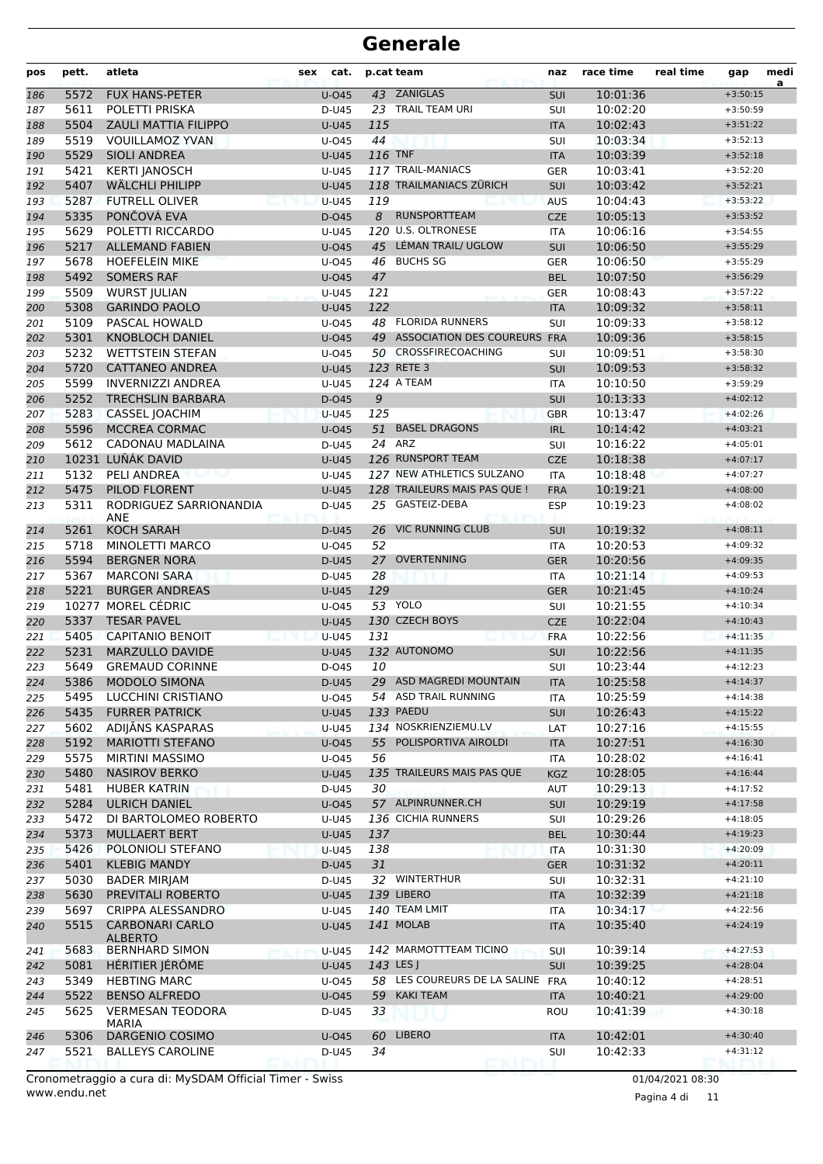| pos        | pett.        | atleta                                    | sex | cat.               |          | p.cat team                       | naz                      | race time            | real time | gap                      | medi<br>a |
|------------|--------------|-------------------------------------------|-----|--------------------|----------|----------------------------------|--------------------------|----------------------|-----------|--------------------------|-----------|
| 186        | 5572         | <b>FUX HANS-PETER</b>                     |     | $U$ -045           |          | 43 ZANIGLAS                      | SUI                      | 10:01:36             |           | $+3:50:15$               |           |
| 187        | 5611         | POLETTI PRISKA                            |     | D-U45              |          | 23 TRAIL TEAM URI                | SUI                      | 10:02:20             |           | $+3:50:59$               |           |
| 188        | 5504         | <b>ZAULI MATTIA FILIPPO</b>               |     | $U-U45$            | 115      |                                  | <b>ITA</b>               | 10:02:43             |           | $+3:51:22$               |           |
| 189        | 5519         | <b>VOUILLAMOZ YVAN</b>                    |     | $U$ -045           | 44       |                                  | SUI                      | 10:03:34             |           | $+3:52:13$               |           |
| 190        | 5529         | <b>SIOLI ANDREA</b>                       |     | <b>U-U45</b>       | 116 TNF  |                                  | <b>ITA</b>               | 10:03:39             |           | $+3:52:18$               |           |
| 191        | 5421         | <b>KERTI JANOSCH</b>                      |     | U-U45              |          | 117 TRAIL-MANIACS                | <b>GER</b>               | 10:03:41             |           | $+3:52:20$               |           |
| 192        | 5407         | WÄLCHLI PHILIPP                           |     | <b>U-U45</b>       |          | 118 TRAILMANIACS ZÜRICH          | SUI                      | 10:03:42             |           | $+3:52:21$               |           |
| 193        | 5287<br>5335 | <b>FUTRELL OLIVER</b><br>PONČOVÁ EVA      |     | $U-U45$            | 119<br>8 | <b>RUNSPORTTEAM</b>              | <b>AUS</b>               | 10:04:43<br>10:05:13 |           | $+3:53:22$               |           |
| 194        | 5629         | POLETTI RICCARDO                          |     | $D-045$<br>$U-U45$ |          | 120 U.S. OLTRONESE               | <b>CZE</b><br><b>ITA</b> | 10:06:16             |           | $+3:53:52$<br>$+3:54:55$ |           |
| 195<br>196 | 5217         | <b>ALLEMAND FABIEN</b>                    |     | $U$ -045           | 45       | LÉMAN TRAIL/ UGLOW               | SUI                      | 10:06:50             |           | $+3:55:29$               |           |
| 197        | 5678         | <b>HOEFELEIN MIKE</b>                     |     | U-045              |          | 46 BUCHS SG                      | <b>GER</b>               | 10:06:50             |           | $+3:55:29$               |           |
| 198        | 5492         | <b>SOMERS RAF</b>                         |     | $U$ -045           | 47       |                                  | <b>BEL</b>               | 10:07:50             |           | $+3:56:29$               |           |
| 199        | 5509         | <b>WURST JULIAN</b>                       |     | U-U45              | 121      |                                  | <b>GER</b>               | 10:08:43             |           | $+3:57:22$               |           |
| 200        | 5308         | <b>GARINDO PAOLO</b>                      |     | $U-U45$            | 122      |                                  | <b>ITA</b>               | 10:09:32             |           | $+3:58:11$               |           |
| 201        | 5109         | PASCAL HOWALD                             |     | $U$ -045           |          | 48 FLORIDA RUNNERS               | SUI                      | 10:09:33             |           | $+3:58:12$               |           |
| 202        | 5301         | <b>KNOBLOCH DANIEL</b>                    |     | $U$ -045           |          | 49 ASSOCIATION DES COUREURS FRA  |                          | 10:09:36             |           | $+3:58:15$               |           |
| 203        | 5232         | <b>WETTSTEIN STEFAN</b>                   |     | $U$ -045           |          | 50 CROSSFIRECOACHING             | SUI                      | 10:09:51             |           | $+3:58:30$               |           |
| 204        | 5720         | <b>CATTANEO ANDREA</b>                    |     | <b>U-U45</b>       |          | 123 RETE 3                       | SUI                      | 10:09:53             |           | $+3:58:32$               |           |
| 205        | 5599         | <b>INVERNIZZI ANDREA</b>                  |     | U-U45              |          | 124 A TEAM                       | <b>ITA</b>               | 10:10:50             |           | $+3:59:29$               |           |
| 206        | 5252         | <b>TRECHSLIN BARBARA</b>                  |     | $D-045$            | 9        |                                  | <b>SUI</b>               | 10:13:33             |           | $+4:02:12$               |           |
| 207        | 5283         | <b>CASSEL JOACHIM</b>                     |     | $U-U45$            | 125      |                                  | <b>GBR</b>               | 10:13:47             |           | $+4:02:26$               |           |
| 208        | 5596         | MCCREA CORMAC                             |     | $U$ -045           |          | 51 BASEL DRAGONS                 | <b>IRL</b>               | 10:14:42             |           | $+4:03:21$               |           |
| 209        | 5612         | CADONAU MADLAINA                          |     | D-U45              |          | $24$ ARZ                         | SUI                      | 10:16:22             |           | $+4:05:01$               |           |
| 210        |              | 10231 LUŇÁK DAVID                         |     | <b>U-U45</b>       |          | 126 RUNSPORT TEAM                | <b>CZE</b>               | 10:18:38             |           | $+4:07:17$               |           |
| 211        | 5132         | PELI ANDREA                               |     | U-U45              |          | 127 NEW ATHLETICS SULZANO        | <b>ITA</b>               | 10:18:48             |           | $+4:07:27$               |           |
| 212        | 5475         | PILOD FLORENT                             |     | $U-U45$            |          | 128 TRAILEURS MAIS PAS QUE !     | <b>FRA</b>               | 10:19:21             |           | $+4:08:00$               |           |
| 213        | 5311         | RODRIGUEZ SARRIONANDIA<br>ANE             |     | D-U45              |          | 25 GASTEIZ-DEBA                  | <b>ESP</b>               | 10:19:23             |           | $+4:08:02$               |           |
| 214        | 5261         | <b>KOCH SARAH</b>                         |     | D-U45              | 26       | <b>VIC RUNNING CLUB</b>          | <b>SUI</b>               | 10:19:32             |           | $+4:08:11$               |           |
| 215        | 5718         | MINOLETTI MARCO                           |     | U-045              | 52       |                                  | <b>ITA</b>               | 10:20:53             |           | $+4:09:32$               |           |
| 216        | 5594         | <b>BERGNER NORA</b>                       |     | D-U45              | 27       | OVERTENNING                      | <b>GER</b>               | 10:20:56             |           | $+4:09:35$               |           |
| 217        | 5367         | <b>MARCONI SARA</b>                       |     | D-U45              | 28       |                                  | <b>ITA</b>               | 10:21:14             |           | $+4:09:53$               |           |
| 218        | 5221         | <b>BURGER ANDREAS</b>                     |     | <b>U-U45</b>       | 129      |                                  | <b>GER</b>               | 10:21:45             |           | $+4:10:24$               |           |
| 219        |              | 10277 MOREL CÉDRIC                        |     | $U$ -045           |          | 53 YOLO                          | SUI                      | 10:21:55             |           | $+4:10:34$               |           |
| 220        | 5337         | <b>TESAR PAVEL</b>                        |     | <b>U-U45</b>       |          | 130 CZECH BOYS                   | <b>CZE</b>               | 10:22:04             |           | $+4:10:43$               |           |
| 221        | 5405         | <b>CAPITANIO BENOIT</b>                   |     | <b>U-U45</b>       | 131      | 132 AUTONOMO                     | <b>FRA</b>               | 10:22:56             |           | $+4:11:35$               |           |
| 222        | 5231<br>5649 | MARZULLO DAVIDE<br><b>GREMAUD CORINNE</b> |     | <b>U-U45</b>       | 10       |                                  | SUI                      | 10:22:56             |           | $+4:11:35$               |           |
| 223<br>224 |              | 5386 MODOLO SIMONA                        |     | D-045<br>D-U45     |          | 29 ASD MAGREDI MOUNTAIN          | SUI<br><b>ITA</b>        | 10:23:44<br>10:25:58 |           | $+4:12:23$<br>$+4:14:37$ |           |
| 225        | 5495         | LUCCHINI CRISTIANO                        |     | U-045              |          | 54 ASD TRAIL RUNNING             | ITA                      | 10:25:59             |           | $+4:14:38$               |           |
| 226        | 5435         | <b>FURRER PATRICK</b>                     |     | U-U45              |          | 133 PAEDU                        | <b>SUI</b>               | 10:26:43             |           | $+4:15:22$               |           |
| 227        | 5602         | ADIJĀNS KASPARAS                          |     | U-U45              |          | 134 NOSKRIENZIEMU.LV             | LAT                      | 10:27:16             |           | $+4:15:55$               |           |
| 228        | 5192         | <b>MARIOTTI STEFANO</b>                   |     | $U$ -045           |          | 55 POLISPORTIVA AIROLDI          | <b>ITA</b>               | 10:27:51             |           | $+4:16:30$               |           |
| 229        | 5575         | <b>MIRTINI MASSIMO</b>                    |     | U-045              | 56       |                                  | ITA                      | 10:28:02             |           | $+4:16:41$               |           |
| 230        | 5480         | <b>NASIROV BERKO</b>                      |     | <b>U-U45</b>       |          | 135 TRAILEURS MAIS PAS QUE       | <b>KGZ</b>               | 10:28:05             |           | $+4:16:44$               |           |
| 231        | 5481         | <b>HUBER KATRIN</b>                       |     | D-U45              | 30       |                                  | AUT                      | 10:29:13             |           | $+4:17:52$               |           |
| 232        | 5284         | <b>ULRICH DANIEL</b>                      |     | $U$ -045           |          | 57 ALPINRUNNER.CH                | SUI                      | 10:29:19             |           | $+4:17:58$               |           |
| 233        | 5472         | DI BARTOLOMEO ROBERTO                     |     | U-U45              |          | 136 CICHIA RUNNERS               | SUI                      | 10:29:26             |           | $+4:18:05$               |           |
| 234        | 5373         | <b>MULLAERT BERT</b>                      |     | <b>U-U45</b>       | 137      |                                  | <b>BEL</b>               | 10:30:44             |           | $+4:19:23$               |           |
| 235        | 5426         | POLONIOLI STEFANO                         |     | <b>U-U45</b>       | 138      |                                  | <b>ITA</b>               | 10:31:30             |           | $+4:20:09$               |           |
| 236        | 5401         | <b>KLEBIG MANDY</b>                       |     | D-U45              | 31       |                                  | <b>GER</b>               | 10:31:32             |           | $+4:20:11$               |           |
| 237        | 5030         | <b>BADER MIRJAM</b>                       |     | D-U45              |          | 32 WINTERTHUR                    | SUI                      | 10:32:31             |           | $+4:21:10$               |           |
| 238        | 5630         | PREVITALI ROBERTO                         |     | U-U45              |          | 139 LIBERO                       | <b>ITA</b>               | 10:32:39             |           | $+4:21:18$               |           |
| 239        | 5697         | CRIPPA ALESSANDRO                         |     | U-U45              |          | 140 TEAM LMIT                    | ITA                      | 10:34:17             |           | $+4:22:56$               |           |
| 240        | 5515         | <b>CARBONARI CARLO</b><br><b>ALBERTO</b>  |     | U-U45              |          | 141 MOLAB                        | <b>ITA</b>               | 10:35:40             |           | $+4:24:19$               |           |
| 241        | 5683         | <b>BERNHARD SIMON</b>                     |     | $U-U45$            |          | 142 MARMOTTTEAM TICINO           | SUI                      | 10:39:14             |           | $+4:27:53$               |           |
| 242        | 5081         | HÉRITIER JÉRÖME                           |     | U-U45              |          | 143 LES J                        | <b>SUI</b>               | 10:39:25             |           | $+4:28:04$               |           |
| 243        | 5349         | <b>HEBTING MARC</b>                       |     | U-045              |          | 58 LES COUREURS DE LA SALINE FRA |                          | 10:40:12             |           | $+4:28:51$               |           |
| 244        | 5522         | <b>BENSO ALFREDO</b>                      |     | <b>U-045</b>       |          | 59 KAKI TEAM                     | <b>ITA</b>               | 10:40:21             |           | $+4:29:00$               |           |
| 245        | 5625         | <b>VERMESAN TEODORA</b><br>MARIA          |     | D-U45              | 33       |                                  | ROU                      | 10:41:39             |           | $+4:30:18$               |           |
| 246        | 5306         | DARGENIO COSIMO                           |     | U-045              | 60       | <b>LIBERO</b>                    | <b>ITA</b>               | 10:42:01             |           | $+4:30:40$               |           |
| 247        | 5521         | <b>BALLEYS CAROLINE</b>                   |     | D-U45              | 34       |                                  | SUI                      | 10:42:33             |           | $+4:31:12$               |           |

www.endu.net Cronometraggio a cura di: MySDAM Official Timer - Swiss 01/04/2021 08:30

Pagina 4 di 11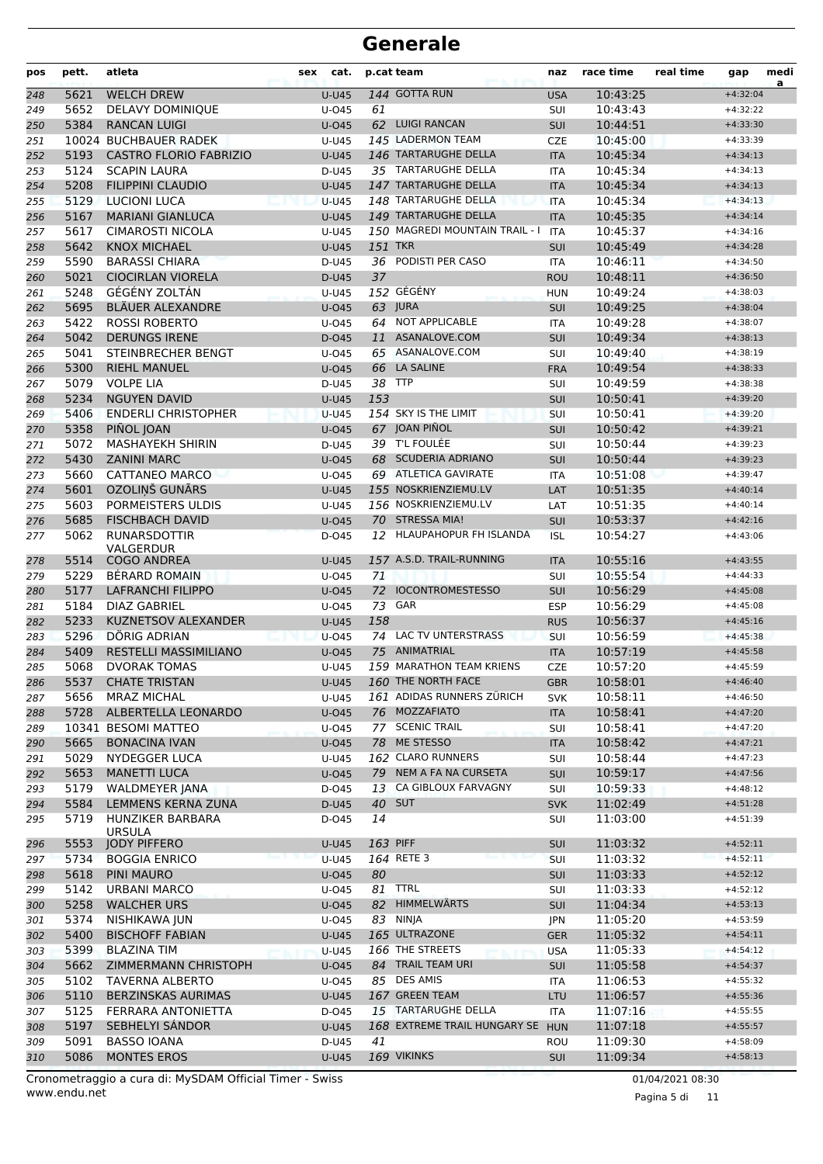| 144 GOTTA RUN<br>5621<br><b>WELCH DREW</b><br>10:43:25<br><b>U-U45</b><br><b>USA</b><br>$+4:32:04$<br>248<br>5652<br><b>DELAVY DOMINIQUE</b><br>61<br>10:43:43<br>U-045<br>SUI<br>249<br>$+4:32:22$<br>5384<br><b>RANCAN LUIGI</b><br>62 LUIGI RANCAN<br>10:44:51<br>$U$ -045<br><b>SUI</b><br>250<br>$+4:33:30$<br>145 LADERMON TEAM<br>10024 BUCHBAUER RADEK<br>10:45:00<br>$+4:33:39$<br>U-U45<br><b>CZE</b><br>251<br>146 TARTARUGHE DELLA<br>5193<br><b>CASTRO FLORIO FABRIZIO</b><br><b>U-U45</b><br>10:45:34<br>252<br><b>ITA</b><br>$+4:34:13$<br>5124<br>35 TARTARUGHE DELLA<br>10:45:34<br>253<br><b>SCAPIN LAURA</b><br>D-U45<br><b>ITA</b><br>$+4:34:13$<br>5208<br>147 TARTARUGHE DELLA<br><b>FILIPPINI CLAUDIO</b><br>10:45:34<br>254<br><b>U-U45</b><br><b>ITA</b><br>$+4:34:13$<br>148 TARTARUGHE DELLA<br>5129<br><b>LUCIONI LUCA</b><br>10:45:34<br><b>U-U45</b><br><b>ITA</b><br>$+4:34:13$<br>255<br>5167<br><b>MARIANI GIANLUCA</b><br><b>U-U45</b><br>149 TARTARUGHE DELLA<br>10:45:35<br><b>ITA</b><br>$+4:34:14$<br>256<br>150 MAGREDI MOUNTAIN TRAIL - I<br>5617<br><b>CIMAROSTI NICOLA</b><br>10:45:37<br>$+4:34:16$<br>U-U45<br><b>ITA</b><br>257<br><b>151 TKR</b><br>5642<br><b>KNOX MICHAEL</b><br><b>U-U45</b><br>10:45:49<br>258<br><b>SUI</b><br>$+4:34:28$<br>5590<br><b>BARASSI CHIARA</b><br>36 PODISTI PER CASO<br>10:46:11<br>259<br>D-U45<br><b>ITA</b><br>$+4:34:50$<br>5021<br>37<br><b>CIOCIRLAN VIORELA</b><br>10:48:11<br>D-U45<br><b>ROU</b><br>$+4:36:50$<br>260<br>GÉGÉNY ZOLTÁN<br>152 GÉGÉNY<br>5248<br>10:49:24<br>U-U45<br><b>HUN</b><br>$+4:38:03$<br>261<br>5695<br><b>BLÄUER ALEXANDRE</b><br>63 JURA<br>10:49:25<br>$U$ -045<br><b>SUI</b><br>$+4:38:04$<br>262<br>64 NOT APPLICABLE<br>5422<br><b>ROSSI ROBERTO</b><br>$+4:38:07$<br>U-045<br>10:49:28<br>263<br><b>ITA</b><br>5042<br><b>DERUNGS IRENE</b><br>ASANALOVE.COM<br>10:49:34<br>264<br>D-045<br>11<br><b>SUI</b><br>$+4:38:13$<br>5041<br>STEINBRECHER BENGT<br>65 ASANALOVE.COM<br>10:49:40<br>$+4:38:19$<br>U-045<br>SUI<br>265<br>5300<br>LA SALINE<br><b>RIEHL MANUEL</b><br>66<br>10:49:54<br>$U$ -045<br><b>FRA</b><br>$+4:38:33$<br>266<br>5079<br><b>VOLPE LIA</b><br>38 TTP<br>10:49:59<br>D-U45<br>SUI<br>267<br>$+4:38:38$<br>153<br>5234<br><b>NGUYEN DAVID</b><br>10:50:41<br>$U-U45$<br><b>SUI</b><br>$+4:39:20$<br>268<br>154 SKY IS THE LIMIT<br>5406<br><b>ENDERLI CHRISTOPHER</b><br>10:50:41<br>$+4:39:20$<br><b>U-U45</b><br>SUI<br>269<br>5358<br>PIÑOL JOAN<br>$U$ -045<br>67 JOAN PIÑOL<br>10:50:42<br><b>SUI</b><br>$+4:39:21$<br>270<br>5072<br><b>MASHAYEKH SHIRIN</b><br>39 T'L FOULÉE<br>10:50:44<br>D-U45<br>$+4:39:23$<br>SUI<br>271<br>5430<br>68 SCUDERIA ADRIANO<br><b>ZANINI MARC</b><br>10:50:44<br>272<br>$U$ -045<br><b>SUI</b><br>$+4:39:23$<br>69 ATLETICA GAVIRATE<br>5660<br><b>CATTANEO MARCO</b><br>10:51:08<br>273<br>U-045<br><b>ITA</b><br>$+4:39:47$<br>5601<br>OZOLIŅŠ GUNĀRS<br>155 NOSKRIENZIEMU.LV<br>10:51:35<br>$U-U45$<br>LAT<br>$+4:40:14$<br>274<br>156 NOSKRIENZIEMU.LV<br>5603<br>PORMEISTERS ULDIS<br>10:51:35<br>$+4:40:14$<br>U-U45<br>275<br>LAT<br>5685<br><b>FISCHBACH DAVID</b><br>$U$ -045<br>70 STRESSA MIA!<br>10:53:37<br><b>SUI</b><br>$+4:42:16$<br>276<br>5062<br><b>RUNARSDOTTIR</b><br>12 HLAUPAHOPUR FH ISLANDA<br>10:54:27<br>D-045<br><b>ISL</b><br>$+4:43:06$<br>277<br>VALGERDUR<br><b>COGO ANDREA</b><br>157 A.S.D. TRAIL-RUNNING<br>5514<br>10:55:16<br><b>U-U45</b><br><b>ITA</b><br>$+4:43:55$<br>278<br>5229<br>BÉRARD ROMAIN<br>10:55:54<br>U-045<br>71<br>SUI<br>279<br>$+4:44:33$<br>5177<br><b>LAFRANCHI FILIPPO</b><br>72<br><b>IOCONTROMESTESSO</b><br>$U$ -045<br><b>SUI</b><br>10:56:29<br>280<br>$+4:45:08$<br>73 GAR<br>5184<br><b>DIAZ GABRIEL</b><br>10:56:29<br>U-045<br><b>ESP</b><br>$+4:45:08$<br>281<br>5233<br><b>KUZNETSOV ALEXANDER</b><br>158<br><b>U-U45</b><br>10:56:37<br>282<br><b>RUS</b><br>$+4:45:16$<br>5296<br>DÖRIG ADRIAN<br>74 LAC TV UNTERSTRASS<br>283<br>$U$ -045<br>SUI<br>10:56:59<br>$+4:45:38$<br>75 ANIMATRIAL<br>5409<br><b>RESTELLI MASSIMILIANO</b><br>10:57:19<br>284<br>$U$ -045<br><b>ITA</b><br>$+4:45:58$<br>159 MARATHON TEAM KRIENS<br>5068<br><b>CZE</b><br><b>DVORAK TOMAS</b><br>U-U45<br>10:57:20<br>285<br>$+4:45:59$<br>5537<br><b>CHATE TRISTAN</b><br>160 THE NORTH FACE<br>10:58:01<br>$+4:46:40$<br>$U-U45$<br>286<br>GBR<br>161 ADIDAS RUNNERS ZÜRICH<br>$+4:46:50$<br>5656<br><b>MRAZ MICHAL</b><br>10:58:11<br>U-U45<br>287<br><b>SVK</b><br>76 MOZZAFIATO<br>5728<br>ALBERTELLA LEONARDO<br>$U$ -045<br>10:58:41<br>$+4:47:20$<br>288<br><b>ITA</b><br>77 SCENIC TRAIL<br>10341 BESOMI MATTEO<br>U-045<br>10:58:41<br>$+4:47:20$<br>289<br>SUI<br>78 ME STESSO<br>5665<br><b>BONACINA IVAN</b><br>U-045<br>10:58:42<br>$+4:47:21$<br>290<br><b>ITA</b><br>5029<br>162 CLARO RUNNERS<br><b>NYDEGGER LUCA</b><br>U-U45<br>10:58:44<br>$+4:47:23$<br>291<br>SUI<br>5653<br>79 NEM A FA NA CURSETA<br><b>MANETTI LUCA</b><br>$U$ -045<br>10:59:17<br>$+4:47:56$<br>292<br><b>SUI</b><br>5179<br><b>WALDMEYER JANA</b><br>13 CA GIBLOUX FARVAGNY<br>D-045<br>10:59:33<br>$+4:48:12$<br>SUI<br>293<br>5584<br>LEMMENS KERNA ZUNA<br>40 SUT<br>D-U45<br>11:02:49<br>$+4:51:28$<br>294<br><b>SVK</b><br>5719<br>HUNZIKER BARBARA<br>14<br>11:03:00<br>295<br>D-045<br>SUI<br>$+4:51:39$<br><b>URSULA</b><br>163 PIFF<br>5553<br><b>JODY PIFFERO</b><br>U-U45<br>11:03:32<br>$+4:52:11$<br>296<br><b>SUI</b><br>164 RETE 3<br>$+4:52:11$<br>5734<br><b>BOGGIA ENRICO</b><br>$U-U45$<br>11:03:32<br><b>SUI</b><br>297<br>5618<br><b>PINI MAURO</b><br>80<br>298<br>U-045<br><b>SUI</b><br>11:03:33<br>$+4:52:12$<br>81 TTRL<br>5142<br><b>URBANI MARCO</b><br>11:03:33<br>U-045<br>$+4:52:12$<br>299<br><b>SUI</b><br>82 HIMMELWÄRTS<br>5258<br><b>WALCHER URS</b><br>$+4:53:13$<br>$U$ -045<br><b>SUI</b><br>11:04:34<br>300<br>83 NINJA<br>5374<br>NISHIKAWA JUN<br>U-045<br>11:05:20<br>$+4:53:59$<br>301<br>JPN<br>165 ULTRAZONE<br>5400<br><b>BISCHOFF FABIAN</b><br><b>U-U45</b><br>11:05:32<br>$+4:54:11$<br>302<br><b>GER</b><br>166 THE STREETS<br>$+4:54:12$<br>5399<br><b>BLAZINA TIM</b><br><b>USA</b><br>11:05:33<br>303<br><b>U-U45</b><br>5662<br>84 TRAIL TEAM URI<br>ZIMMERMANN CHRISTOPH<br>11:05:58<br>$+4:54:37$<br>304<br>U-045<br><b>SUI</b><br>85 DES AMIS<br>5102<br><b>TAVERNA ALBERTO</b><br>11:06:53<br>U-045<br>$+4:55:32$<br>305<br>ITA<br>167 GREEN TEAM<br>5110<br><b>BERZINSKAS AURIMAS</b><br>U-U45<br>11:06:57<br>$+4:55:36$<br>306<br>LTU<br>15 TARTARUGHE DELLA<br>5125<br>307<br>FERRARA ANTONIETTA<br>D-045<br>ITA<br>11:07:16<br>$+4:55:55$<br>168 EXTREME TRAIL HUNGARY SE HUN<br>5197<br>SEBHELYI SANDOR<br>11:07:18<br>$+4:55:57$<br>U-U45<br>308<br>$+4:58:09$<br>5091<br><b>BASSO IOANA</b><br>41<br>11:09:30<br>D-U45<br>ROU<br>309<br>169 VIKINKS<br>5086<br><b>MONTES EROS</b><br>310<br><b>U-U45</b><br><b>SUI</b><br>11:09:34<br>$+4:58:13$ | pos | pett. | atleta | sex<br>cat. | p.cat team | naz | race time | real time | gap | medi<br>a |
|-------------------------------------------------------------------------------------------------------------------------------------------------------------------------------------------------------------------------------------------------------------------------------------------------------------------------------------------------------------------------------------------------------------------------------------------------------------------------------------------------------------------------------------------------------------------------------------------------------------------------------------------------------------------------------------------------------------------------------------------------------------------------------------------------------------------------------------------------------------------------------------------------------------------------------------------------------------------------------------------------------------------------------------------------------------------------------------------------------------------------------------------------------------------------------------------------------------------------------------------------------------------------------------------------------------------------------------------------------------------------------------------------------------------------------------------------------------------------------------------------------------------------------------------------------------------------------------------------------------------------------------------------------------------------------------------------------------------------------------------------------------------------------------------------------------------------------------------------------------------------------------------------------------------------------------------------------------------------------------------------------------------------------------------------------------------------------------------------------------------------------------------------------------------------------------------------------------------------------------------------------------------------------------------------------------------------------------------------------------------------------------------------------------------------------------------------------------------------------------------------------------------------------------------------------------------------------------------------------------------------------------------------------------------------------------------------------------------------------------------------------------------------------------------------------------------------------------------------------------------------------------------------------------------------------------------------------------------------------------------------------------------------------------------------------------------------------------------------------------------------------------------------------------------------------------------------------------------------------------------------------------------------------------------------------------------------------------------------------------------------------------------------------------------------------------------------------------------------------------------------------------------------------------------------------------------------------------------------------------------------------------------------------------------------------------------------------------------------------------------------------------------------------------------------------------------------------------------------------------------------------------------------------------------------------------------------------------------------------------------------------------------------------------------------------------------------------------------------------------------------------------------------------------------------------------------------------------------------------------------------------------------------------------------------------------------------------------------------------------------------------------------------------------------------------------------------------------------------------------------------------------------------------------------------------------------------------------------------------------------------------------------------------------------------------------------------------------------------------------------------------------------------------------------------------------------------------------------------------------------------------------------------------------------------------------------------------------------------------------------------------------------------------------------------------------------------------------------------------------------------------------------------------------------------------------------------------------------------------------------------------------------------------------------------------------------------------------------------------------------------------------------------------------------------------------------------------------------------------------------------------------------------------------------------------------------------------------------------------------------------------------------------------------------------------------------------------------------------------------------------------------------------------------------------------------------------------------------------------------------------------------------------------------------------------------------------------------------------------------------------------------------------------------------------------------------------------------------------------------------------------------------------------------------------------------------------------------------------------------------------------------------------------------------------------------------------------------------------------------------------------------------------------------------------------------------------------------------------------------------------------------------------------------------------------------------------------------------------------------------------------------------------------------------------------------------------------------------------------------------------------------------------------------------------------------------------------------------------------------------------------------------------------------------------------------------------------------|-----|-------|--------|-------------|------------|-----|-----------|-----------|-----|-----------|
|                                                                                                                                                                                                                                                                                                                                                                                                                                                                                                                                                                                                                                                                                                                                                                                                                                                                                                                                                                                                                                                                                                                                                                                                                                                                                                                                                                                                                                                                                                                                                                                                                                                                                                                                                                                                                                                                                                                                                                                                                                                                                                                                                                                                                                                                                                                                                                                                                                                                                                                                                                                                                                                                                                                                                                                                                                                                                                                                                                                                                                                                                                                                                                                                                                                                                                                                                                                                                                                                                                                                                                                                                                                                                                                                                                                                                                                                                                                                                                                                                                                                                                                                                                                                                                                                                                                                                                                                                                                                                                                                                                                                                                                                                                                                                                                                                                                                                                                                                                                                                                                                                                                                                                                                                                                                                                                                                                                                                                                                                                                                                                                                                                                                                                                                                                                                                                                                                                                                                                                                                                                                                                                                                                                                                                                                                                                                                                                                                                                                                                                                                                                                                                                                                                                                                                                                                                                                                                                                                             |     |       |        |             |            |     |           |           |     |           |
|                                                                                                                                                                                                                                                                                                                                                                                                                                                                                                                                                                                                                                                                                                                                                                                                                                                                                                                                                                                                                                                                                                                                                                                                                                                                                                                                                                                                                                                                                                                                                                                                                                                                                                                                                                                                                                                                                                                                                                                                                                                                                                                                                                                                                                                                                                                                                                                                                                                                                                                                                                                                                                                                                                                                                                                                                                                                                                                                                                                                                                                                                                                                                                                                                                                                                                                                                                                                                                                                                                                                                                                                                                                                                                                                                                                                                                                                                                                                                                                                                                                                                                                                                                                                                                                                                                                                                                                                                                                                                                                                                                                                                                                                                                                                                                                                                                                                                                                                                                                                                                                                                                                                                                                                                                                                                                                                                                                                                                                                                                                                                                                                                                                                                                                                                                                                                                                                                                                                                                                                                                                                                                                                                                                                                                                                                                                                                                                                                                                                                                                                                                                                                                                                                                                                                                                                                                                                                                                                                             |     |       |        |             |            |     |           |           |     |           |
|                                                                                                                                                                                                                                                                                                                                                                                                                                                                                                                                                                                                                                                                                                                                                                                                                                                                                                                                                                                                                                                                                                                                                                                                                                                                                                                                                                                                                                                                                                                                                                                                                                                                                                                                                                                                                                                                                                                                                                                                                                                                                                                                                                                                                                                                                                                                                                                                                                                                                                                                                                                                                                                                                                                                                                                                                                                                                                                                                                                                                                                                                                                                                                                                                                                                                                                                                                                                                                                                                                                                                                                                                                                                                                                                                                                                                                                                                                                                                                                                                                                                                                                                                                                                                                                                                                                                                                                                                                                                                                                                                                                                                                                                                                                                                                                                                                                                                                                                                                                                                                                                                                                                                                                                                                                                                                                                                                                                                                                                                                                                                                                                                                                                                                                                                                                                                                                                                                                                                                                                                                                                                                                                                                                                                                                                                                                                                                                                                                                                                                                                                                                                                                                                                                                                                                                                                                                                                                                                                             |     |       |        |             |            |     |           |           |     |           |
|                                                                                                                                                                                                                                                                                                                                                                                                                                                                                                                                                                                                                                                                                                                                                                                                                                                                                                                                                                                                                                                                                                                                                                                                                                                                                                                                                                                                                                                                                                                                                                                                                                                                                                                                                                                                                                                                                                                                                                                                                                                                                                                                                                                                                                                                                                                                                                                                                                                                                                                                                                                                                                                                                                                                                                                                                                                                                                                                                                                                                                                                                                                                                                                                                                                                                                                                                                                                                                                                                                                                                                                                                                                                                                                                                                                                                                                                                                                                                                                                                                                                                                                                                                                                                                                                                                                                                                                                                                                                                                                                                                                                                                                                                                                                                                                                                                                                                                                                                                                                                                                                                                                                                                                                                                                                                                                                                                                                                                                                                                                                                                                                                                                                                                                                                                                                                                                                                                                                                                                                                                                                                                                                                                                                                                                                                                                                                                                                                                                                                                                                                                                                                                                                                                                                                                                                                                                                                                                                                             |     |       |        |             |            |     |           |           |     |           |
|                                                                                                                                                                                                                                                                                                                                                                                                                                                                                                                                                                                                                                                                                                                                                                                                                                                                                                                                                                                                                                                                                                                                                                                                                                                                                                                                                                                                                                                                                                                                                                                                                                                                                                                                                                                                                                                                                                                                                                                                                                                                                                                                                                                                                                                                                                                                                                                                                                                                                                                                                                                                                                                                                                                                                                                                                                                                                                                                                                                                                                                                                                                                                                                                                                                                                                                                                                                                                                                                                                                                                                                                                                                                                                                                                                                                                                                                                                                                                                                                                                                                                                                                                                                                                                                                                                                                                                                                                                                                                                                                                                                                                                                                                                                                                                                                                                                                                                                                                                                                                                                                                                                                                                                                                                                                                                                                                                                                                                                                                                                                                                                                                                                                                                                                                                                                                                                                                                                                                                                                                                                                                                                                                                                                                                                                                                                                                                                                                                                                                                                                                                                                                                                                                                                                                                                                                                                                                                                                                             |     |       |        |             |            |     |           |           |     |           |
|                                                                                                                                                                                                                                                                                                                                                                                                                                                                                                                                                                                                                                                                                                                                                                                                                                                                                                                                                                                                                                                                                                                                                                                                                                                                                                                                                                                                                                                                                                                                                                                                                                                                                                                                                                                                                                                                                                                                                                                                                                                                                                                                                                                                                                                                                                                                                                                                                                                                                                                                                                                                                                                                                                                                                                                                                                                                                                                                                                                                                                                                                                                                                                                                                                                                                                                                                                                                                                                                                                                                                                                                                                                                                                                                                                                                                                                                                                                                                                                                                                                                                                                                                                                                                                                                                                                                                                                                                                                                                                                                                                                                                                                                                                                                                                                                                                                                                                                                                                                                                                                                                                                                                                                                                                                                                                                                                                                                                                                                                                                                                                                                                                                                                                                                                                                                                                                                                                                                                                                                                                                                                                                                                                                                                                                                                                                                                                                                                                                                                                                                                                                                                                                                                                                                                                                                                                                                                                                                                             |     |       |        |             |            |     |           |           |     |           |
|                                                                                                                                                                                                                                                                                                                                                                                                                                                                                                                                                                                                                                                                                                                                                                                                                                                                                                                                                                                                                                                                                                                                                                                                                                                                                                                                                                                                                                                                                                                                                                                                                                                                                                                                                                                                                                                                                                                                                                                                                                                                                                                                                                                                                                                                                                                                                                                                                                                                                                                                                                                                                                                                                                                                                                                                                                                                                                                                                                                                                                                                                                                                                                                                                                                                                                                                                                                                                                                                                                                                                                                                                                                                                                                                                                                                                                                                                                                                                                                                                                                                                                                                                                                                                                                                                                                                                                                                                                                                                                                                                                                                                                                                                                                                                                                                                                                                                                                                                                                                                                                                                                                                                                                                                                                                                                                                                                                                                                                                                                                                                                                                                                                                                                                                                                                                                                                                                                                                                                                                                                                                                                                                                                                                                                                                                                                                                                                                                                                                                                                                                                                                                                                                                                                                                                                                                                                                                                                                                             |     |       |        |             |            |     |           |           |     |           |
|                                                                                                                                                                                                                                                                                                                                                                                                                                                                                                                                                                                                                                                                                                                                                                                                                                                                                                                                                                                                                                                                                                                                                                                                                                                                                                                                                                                                                                                                                                                                                                                                                                                                                                                                                                                                                                                                                                                                                                                                                                                                                                                                                                                                                                                                                                                                                                                                                                                                                                                                                                                                                                                                                                                                                                                                                                                                                                                                                                                                                                                                                                                                                                                                                                                                                                                                                                                                                                                                                                                                                                                                                                                                                                                                                                                                                                                                                                                                                                                                                                                                                                                                                                                                                                                                                                                                                                                                                                                                                                                                                                                                                                                                                                                                                                                                                                                                                                                                                                                                                                                                                                                                                                                                                                                                                                                                                                                                                                                                                                                                                                                                                                                                                                                                                                                                                                                                                                                                                                                                                                                                                                                                                                                                                                                                                                                                                                                                                                                                                                                                                                                                                                                                                                                                                                                                                                                                                                                                                             |     |       |        |             |            |     |           |           |     |           |
|                                                                                                                                                                                                                                                                                                                                                                                                                                                                                                                                                                                                                                                                                                                                                                                                                                                                                                                                                                                                                                                                                                                                                                                                                                                                                                                                                                                                                                                                                                                                                                                                                                                                                                                                                                                                                                                                                                                                                                                                                                                                                                                                                                                                                                                                                                                                                                                                                                                                                                                                                                                                                                                                                                                                                                                                                                                                                                                                                                                                                                                                                                                                                                                                                                                                                                                                                                                                                                                                                                                                                                                                                                                                                                                                                                                                                                                                                                                                                                                                                                                                                                                                                                                                                                                                                                                                                                                                                                                                                                                                                                                                                                                                                                                                                                                                                                                                                                                                                                                                                                                                                                                                                                                                                                                                                                                                                                                                                                                                                                                                                                                                                                                                                                                                                                                                                                                                                                                                                                                                                                                                                                                                                                                                                                                                                                                                                                                                                                                                                                                                                                                                                                                                                                                                                                                                                                                                                                                                                             |     |       |        |             |            |     |           |           |     |           |
|                                                                                                                                                                                                                                                                                                                                                                                                                                                                                                                                                                                                                                                                                                                                                                                                                                                                                                                                                                                                                                                                                                                                                                                                                                                                                                                                                                                                                                                                                                                                                                                                                                                                                                                                                                                                                                                                                                                                                                                                                                                                                                                                                                                                                                                                                                                                                                                                                                                                                                                                                                                                                                                                                                                                                                                                                                                                                                                                                                                                                                                                                                                                                                                                                                                                                                                                                                                                                                                                                                                                                                                                                                                                                                                                                                                                                                                                                                                                                                                                                                                                                                                                                                                                                                                                                                                                                                                                                                                                                                                                                                                                                                                                                                                                                                                                                                                                                                                                                                                                                                                                                                                                                                                                                                                                                                                                                                                                                                                                                                                                                                                                                                                                                                                                                                                                                                                                                                                                                                                                                                                                                                                                                                                                                                                                                                                                                                                                                                                                                                                                                                                                                                                                                                                                                                                                                                                                                                                                                             |     |       |        |             |            |     |           |           |     |           |
|                                                                                                                                                                                                                                                                                                                                                                                                                                                                                                                                                                                                                                                                                                                                                                                                                                                                                                                                                                                                                                                                                                                                                                                                                                                                                                                                                                                                                                                                                                                                                                                                                                                                                                                                                                                                                                                                                                                                                                                                                                                                                                                                                                                                                                                                                                                                                                                                                                                                                                                                                                                                                                                                                                                                                                                                                                                                                                                                                                                                                                                                                                                                                                                                                                                                                                                                                                                                                                                                                                                                                                                                                                                                                                                                                                                                                                                                                                                                                                                                                                                                                                                                                                                                                                                                                                                                                                                                                                                                                                                                                                                                                                                                                                                                                                                                                                                                                                                                                                                                                                                                                                                                                                                                                                                                                                                                                                                                                                                                                                                                                                                                                                                                                                                                                                                                                                                                                                                                                                                                                                                                                                                                                                                                                                                                                                                                                                                                                                                                                                                                                                                                                                                                                                                                                                                                                                                                                                                                                             |     |       |        |             |            |     |           |           |     |           |
|                                                                                                                                                                                                                                                                                                                                                                                                                                                                                                                                                                                                                                                                                                                                                                                                                                                                                                                                                                                                                                                                                                                                                                                                                                                                                                                                                                                                                                                                                                                                                                                                                                                                                                                                                                                                                                                                                                                                                                                                                                                                                                                                                                                                                                                                                                                                                                                                                                                                                                                                                                                                                                                                                                                                                                                                                                                                                                                                                                                                                                                                                                                                                                                                                                                                                                                                                                                                                                                                                                                                                                                                                                                                                                                                                                                                                                                                                                                                                                                                                                                                                                                                                                                                                                                                                                                                                                                                                                                                                                                                                                                                                                                                                                                                                                                                                                                                                                                                                                                                                                                                                                                                                                                                                                                                                                                                                                                                                                                                                                                                                                                                                                                                                                                                                                                                                                                                                                                                                                                                                                                                                                                                                                                                                                                                                                                                                                                                                                                                                                                                                                                                                                                                                                                                                                                                                                                                                                                                                             |     |       |        |             |            |     |           |           |     |           |
|                                                                                                                                                                                                                                                                                                                                                                                                                                                                                                                                                                                                                                                                                                                                                                                                                                                                                                                                                                                                                                                                                                                                                                                                                                                                                                                                                                                                                                                                                                                                                                                                                                                                                                                                                                                                                                                                                                                                                                                                                                                                                                                                                                                                                                                                                                                                                                                                                                                                                                                                                                                                                                                                                                                                                                                                                                                                                                                                                                                                                                                                                                                                                                                                                                                                                                                                                                                                                                                                                                                                                                                                                                                                                                                                                                                                                                                                                                                                                                                                                                                                                                                                                                                                                                                                                                                                                                                                                                                                                                                                                                                                                                                                                                                                                                                                                                                                                                                                                                                                                                                                                                                                                                                                                                                                                                                                                                                                                                                                                                                                                                                                                                                                                                                                                                                                                                                                                                                                                                                                                                                                                                                                                                                                                                                                                                                                                                                                                                                                                                                                                                                                                                                                                                                                                                                                                                                                                                                                                             |     |       |        |             |            |     |           |           |     |           |
|                                                                                                                                                                                                                                                                                                                                                                                                                                                                                                                                                                                                                                                                                                                                                                                                                                                                                                                                                                                                                                                                                                                                                                                                                                                                                                                                                                                                                                                                                                                                                                                                                                                                                                                                                                                                                                                                                                                                                                                                                                                                                                                                                                                                                                                                                                                                                                                                                                                                                                                                                                                                                                                                                                                                                                                                                                                                                                                                                                                                                                                                                                                                                                                                                                                                                                                                                                                                                                                                                                                                                                                                                                                                                                                                                                                                                                                                                                                                                                                                                                                                                                                                                                                                                                                                                                                                                                                                                                                                                                                                                                                                                                                                                                                                                                                                                                                                                                                                                                                                                                                                                                                                                                                                                                                                                                                                                                                                                                                                                                                                                                                                                                                                                                                                                                                                                                                                                                                                                                                                                                                                                                                                                                                                                                                                                                                                                                                                                                                                                                                                                                                                                                                                                                                                                                                                                                                                                                                                                             |     |       |        |             |            |     |           |           |     |           |
|                                                                                                                                                                                                                                                                                                                                                                                                                                                                                                                                                                                                                                                                                                                                                                                                                                                                                                                                                                                                                                                                                                                                                                                                                                                                                                                                                                                                                                                                                                                                                                                                                                                                                                                                                                                                                                                                                                                                                                                                                                                                                                                                                                                                                                                                                                                                                                                                                                                                                                                                                                                                                                                                                                                                                                                                                                                                                                                                                                                                                                                                                                                                                                                                                                                                                                                                                                                                                                                                                                                                                                                                                                                                                                                                                                                                                                                                                                                                                                                                                                                                                                                                                                                                                                                                                                                                                                                                                                                                                                                                                                                                                                                                                                                                                                                                                                                                                                                                                                                                                                                                                                                                                                                                                                                                                                                                                                                                                                                                                                                                                                                                                                                                                                                                                                                                                                                                                                                                                                                                                                                                                                                                                                                                                                                                                                                                                                                                                                                                                                                                                                                                                                                                                                                                                                                                                                                                                                                                                             |     |       |        |             |            |     |           |           |     |           |
|                                                                                                                                                                                                                                                                                                                                                                                                                                                                                                                                                                                                                                                                                                                                                                                                                                                                                                                                                                                                                                                                                                                                                                                                                                                                                                                                                                                                                                                                                                                                                                                                                                                                                                                                                                                                                                                                                                                                                                                                                                                                                                                                                                                                                                                                                                                                                                                                                                                                                                                                                                                                                                                                                                                                                                                                                                                                                                                                                                                                                                                                                                                                                                                                                                                                                                                                                                                                                                                                                                                                                                                                                                                                                                                                                                                                                                                                                                                                                                                                                                                                                                                                                                                                                                                                                                                                                                                                                                                                                                                                                                                                                                                                                                                                                                                                                                                                                                                                                                                                                                                                                                                                                                                                                                                                                                                                                                                                                                                                                                                                                                                                                                                                                                                                                                                                                                                                                                                                                                                                                                                                                                                                                                                                                                                                                                                                                                                                                                                                                                                                                                                                                                                                                                                                                                                                                                                                                                                                                             |     |       |        |             |            |     |           |           |     |           |
|                                                                                                                                                                                                                                                                                                                                                                                                                                                                                                                                                                                                                                                                                                                                                                                                                                                                                                                                                                                                                                                                                                                                                                                                                                                                                                                                                                                                                                                                                                                                                                                                                                                                                                                                                                                                                                                                                                                                                                                                                                                                                                                                                                                                                                                                                                                                                                                                                                                                                                                                                                                                                                                                                                                                                                                                                                                                                                                                                                                                                                                                                                                                                                                                                                                                                                                                                                                                                                                                                                                                                                                                                                                                                                                                                                                                                                                                                                                                                                                                                                                                                                                                                                                                                                                                                                                                                                                                                                                                                                                                                                                                                                                                                                                                                                                                                                                                                                                                                                                                                                                                                                                                                                                                                                                                                                                                                                                                                                                                                                                                                                                                                                                                                                                                                                                                                                                                                                                                                                                                                                                                                                                                                                                                                                                                                                                                                                                                                                                                                                                                                                                                                                                                                                                                                                                                                                                                                                                                                             |     |       |        |             |            |     |           |           |     |           |
|                                                                                                                                                                                                                                                                                                                                                                                                                                                                                                                                                                                                                                                                                                                                                                                                                                                                                                                                                                                                                                                                                                                                                                                                                                                                                                                                                                                                                                                                                                                                                                                                                                                                                                                                                                                                                                                                                                                                                                                                                                                                                                                                                                                                                                                                                                                                                                                                                                                                                                                                                                                                                                                                                                                                                                                                                                                                                                                                                                                                                                                                                                                                                                                                                                                                                                                                                                                                                                                                                                                                                                                                                                                                                                                                                                                                                                                                                                                                                                                                                                                                                                                                                                                                                                                                                                                                                                                                                                                                                                                                                                                                                                                                                                                                                                                                                                                                                                                                                                                                                                                                                                                                                                                                                                                                                                                                                                                                                                                                                                                                                                                                                                                                                                                                                                                                                                                                                                                                                                                                                                                                                                                                                                                                                                                                                                                                                                                                                                                                                                                                                                                                                                                                                                                                                                                                                                                                                                                                                             |     |       |        |             |            |     |           |           |     |           |
|                                                                                                                                                                                                                                                                                                                                                                                                                                                                                                                                                                                                                                                                                                                                                                                                                                                                                                                                                                                                                                                                                                                                                                                                                                                                                                                                                                                                                                                                                                                                                                                                                                                                                                                                                                                                                                                                                                                                                                                                                                                                                                                                                                                                                                                                                                                                                                                                                                                                                                                                                                                                                                                                                                                                                                                                                                                                                                                                                                                                                                                                                                                                                                                                                                                                                                                                                                                                                                                                                                                                                                                                                                                                                                                                                                                                                                                                                                                                                                                                                                                                                                                                                                                                                                                                                                                                                                                                                                                                                                                                                                                                                                                                                                                                                                                                                                                                                                                                                                                                                                                                                                                                                                                                                                                                                                                                                                                                                                                                                                                                                                                                                                                                                                                                                                                                                                                                                                                                                                                                                                                                                                                                                                                                                                                                                                                                                                                                                                                                                                                                                                                                                                                                                                                                                                                                                                                                                                                                                             |     |       |        |             |            |     |           |           |     |           |
|                                                                                                                                                                                                                                                                                                                                                                                                                                                                                                                                                                                                                                                                                                                                                                                                                                                                                                                                                                                                                                                                                                                                                                                                                                                                                                                                                                                                                                                                                                                                                                                                                                                                                                                                                                                                                                                                                                                                                                                                                                                                                                                                                                                                                                                                                                                                                                                                                                                                                                                                                                                                                                                                                                                                                                                                                                                                                                                                                                                                                                                                                                                                                                                                                                                                                                                                                                                                                                                                                                                                                                                                                                                                                                                                                                                                                                                                                                                                                                                                                                                                                                                                                                                                                                                                                                                                                                                                                                                                                                                                                                                                                                                                                                                                                                                                                                                                                                                                                                                                                                                                                                                                                                                                                                                                                                                                                                                                                                                                                                                                                                                                                                                                                                                                                                                                                                                                                                                                                                                                                                                                                                                                                                                                                                                                                                                                                                                                                                                                                                                                                                                                                                                                                                                                                                                                                                                                                                                                                             |     |       |        |             |            |     |           |           |     |           |
|                                                                                                                                                                                                                                                                                                                                                                                                                                                                                                                                                                                                                                                                                                                                                                                                                                                                                                                                                                                                                                                                                                                                                                                                                                                                                                                                                                                                                                                                                                                                                                                                                                                                                                                                                                                                                                                                                                                                                                                                                                                                                                                                                                                                                                                                                                                                                                                                                                                                                                                                                                                                                                                                                                                                                                                                                                                                                                                                                                                                                                                                                                                                                                                                                                                                                                                                                                                                                                                                                                                                                                                                                                                                                                                                                                                                                                                                                                                                                                                                                                                                                                                                                                                                                                                                                                                                                                                                                                                                                                                                                                                                                                                                                                                                                                                                                                                                                                                                                                                                                                                                                                                                                                                                                                                                                                                                                                                                                                                                                                                                                                                                                                                                                                                                                                                                                                                                                                                                                                                                                                                                                                                                                                                                                                                                                                                                                                                                                                                                                                                                                                                                                                                                                                                                                                                                                                                                                                                                                             |     |       |        |             |            |     |           |           |     |           |
|                                                                                                                                                                                                                                                                                                                                                                                                                                                                                                                                                                                                                                                                                                                                                                                                                                                                                                                                                                                                                                                                                                                                                                                                                                                                                                                                                                                                                                                                                                                                                                                                                                                                                                                                                                                                                                                                                                                                                                                                                                                                                                                                                                                                                                                                                                                                                                                                                                                                                                                                                                                                                                                                                                                                                                                                                                                                                                                                                                                                                                                                                                                                                                                                                                                                                                                                                                                                                                                                                                                                                                                                                                                                                                                                                                                                                                                                                                                                                                                                                                                                                                                                                                                                                                                                                                                                                                                                                                                                                                                                                                                                                                                                                                                                                                                                                                                                                                                                                                                                                                                                                                                                                                                                                                                                                                                                                                                                                                                                                                                                                                                                                                                                                                                                                                                                                                                                                                                                                                                                                                                                                                                                                                                                                                                                                                                                                                                                                                                                                                                                                                                                                                                                                                                                                                                                                                                                                                                                                             |     |       |        |             |            |     |           |           |     |           |
|                                                                                                                                                                                                                                                                                                                                                                                                                                                                                                                                                                                                                                                                                                                                                                                                                                                                                                                                                                                                                                                                                                                                                                                                                                                                                                                                                                                                                                                                                                                                                                                                                                                                                                                                                                                                                                                                                                                                                                                                                                                                                                                                                                                                                                                                                                                                                                                                                                                                                                                                                                                                                                                                                                                                                                                                                                                                                                                                                                                                                                                                                                                                                                                                                                                                                                                                                                                                                                                                                                                                                                                                                                                                                                                                                                                                                                                                                                                                                                                                                                                                                                                                                                                                                                                                                                                                                                                                                                                                                                                                                                                                                                                                                                                                                                                                                                                                                                                                                                                                                                                                                                                                                                                                                                                                                                                                                                                                                                                                                                                                                                                                                                                                                                                                                                                                                                                                                                                                                                                                                                                                                                                                                                                                                                                                                                                                                                                                                                                                                                                                                                                                                                                                                                                                                                                                                                                                                                                                                             |     |       |        |             |            |     |           |           |     |           |
|                                                                                                                                                                                                                                                                                                                                                                                                                                                                                                                                                                                                                                                                                                                                                                                                                                                                                                                                                                                                                                                                                                                                                                                                                                                                                                                                                                                                                                                                                                                                                                                                                                                                                                                                                                                                                                                                                                                                                                                                                                                                                                                                                                                                                                                                                                                                                                                                                                                                                                                                                                                                                                                                                                                                                                                                                                                                                                                                                                                                                                                                                                                                                                                                                                                                                                                                                                                                                                                                                                                                                                                                                                                                                                                                                                                                                                                                                                                                                                                                                                                                                                                                                                                                                                                                                                                                                                                                                                                                                                                                                                                                                                                                                                                                                                                                                                                                                                                                                                                                                                                                                                                                                                                                                                                                                                                                                                                                                                                                                                                                                                                                                                                                                                                                                                                                                                                                                                                                                                                                                                                                                                                                                                                                                                                                                                                                                                                                                                                                                                                                                                                                                                                                                                                                                                                                                                                                                                                                                             |     |       |        |             |            |     |           |           |     |           |
|                                                                                                                                                                                                                                                                                                                                                                                                                                                                                                                                                                                                                                                                                                                                                                                                                                                                                                                                                                                                                                                                                                                                                                                                                                                                                                                                                                                                                                                                                                                                                                                                                                                                                                                                                                                                                                                                                                                                                                                                                                                                                                                                                                                                                                                                                                                                                                                                                                                                                                                                                                                                                                                                                                                                                                                                                                                                                                                                                                                                                                                                                                                                                                                                                                                                                                                                                                                                                                                                                                                                                                                                                                                                                                                                                                                                                                                                                                                                                                                                                                                                                                                                                                                                                                                                                                                                                                                                                                                                                                                                                                                                                                                                                                                                                                                                                                                                                                                                                                                                                                                                                                                                                                                                                                                                                                                                                                                                                                                                                                                                                                                                                                                                                                                                                                                                                                                                                                                                                                                                                                                                                                                                                                                                                                                                                                                                                                                                                                                                                                                                                                                                                                                                                                                                                                                                                                                                                                                                                             |     |       |        |             |            |     |           |           |     |           |
|                                                                                                                                                                                                                                                                                                                                                                                                                                                                                                                                                                                                                                                                                                                                                                                                                                                                                                                                                                                                                                                                                                                                                                                                                                                                                                                                                                                                                                                                                                                                                                                                                                                                                                                                                                                                                                                                                                                                                                                                                                                                                                                                                                                                                                                                                                                                                                                                                                                                                                                                                                                                                                                                                                                                                                                                                                                                                                                                                                                                                                                                                                                                                                                                                                                                                                                                                                                                                                                                                                                                                                                                                                                                                                                                                                                                                                                                                                                                                                                                                                                                                                                                                                                                                                                                                                                                                                                                                                                                                                                                                                                                                                                                                                                                                                                                                                                                                                                                                                                                                                                                                                                                                                                                                                                                                                                                                                                                                                                                                                                                                                                                                                                                                                                                                                                                                                                                                                                                                                                                                                                                                                                                                                                                                                                                                                                                                                                                                                                                                                                                                                                                                                                                                                                                                                                                                                                                                                                                                             |     |       |        |             |            |     |           |           |     |           |
|                                                                                                                                                                                                                                                                                                                                                                                                                                                                                                                                                                                                                                                                                                                                                                                                                                                                                                                                                                                                                                                                                                                                                                                                                                                                                                                                                                                                                                                                                                                                                                                                                                                                                                                                                                                                                                                                                                                                                                                                                                                                                                                                                                                                                                                                                                                                                                                                                                                                                                                                                                                                                                                                                                                                                                                                                                                                                                                                                                                                                                                                                                                                                                                                                                                                                                                                                                                                                                                                                                                                                                                                                                                                                                                                                                                                                                                                                                                                                                                                                                                                                                                                                                                                                                                                                                                                                                                                                                                                                                                                                                                                                                                                                                                                                                                                                                                                                                                                                                                                                                                                                                                                                                                                                                                                                                                                                                                                                                                                                                                                                                                                                                                                                                                                                                                                                                                                                                                                                                                                                                                                                                                                                                                                                                                                                                                                                                                                                                                                                                                                                                                                                                                                                                                                                                                                                                                                                                                                                             |     |       |        |             |            |     |           |           |     |           |
|                                                                                                                                                                                                                                                                                                                                                                                                                                                                                                                                                                                                                                                                                                                                                                                                                                                                                                                                                                                                                                                                                                                                                                                                                                                                                                                                                                                                                                                                                                                                                                                                                                                                                                                                                                                                                                                                                                                                                                                                                                                                                                                                                                                                                                                                                                                                                                                                                                                                                                                                                                                                                                                                                                                                                                                                                                                                                                                                                                                                                                                                                                                                                                                                                                                                                                                                                                                                                                                                                                                                                                                                                                                                                                                                                                                                                                                                                                                                                                                                                                                                                                                                                                                                                                                                                                                                                                                                                                                                                                                                                                                                                                                                                                                                                                                                                                                                                                                                                                                                                                                                                                                                                                                                                                                                                                                                                                                                                                                                                                                                                                                                                                                                                                                                                                                                                                                                                                                                                                                                                                                                                                                                                                                                                                                                                                                                                                                                                                                                                                                                                                                                                                                                                                                                                                                                                                                                                                                                                             |     |       |        |             |            |     |           |           |     |           |
|                                                                                                                                                                                                                                                                                                                                                                                                                                                                                                                                                                                                                                                                                                                                                                                                                                                                                                                                                                                                                                                                                                                                                                                                                                                                                                                                                                                                                                                                                                                                                                                                                                                                                                                                                                                                                                                                                                                                                                                                                                                                                                                                                                                                                                                                                                                                                                                                                                                                                                                                                                                                                                                                                                                                                                                                                                                                                                                                                                                                                                                                                                                                                                                                                                                                                                                                                                                                                                                                                                                                                                                                                                                                                                                                                                                                                                                                                                                                                                                                                                                                                                                                                                                                                                                                                                                                                                                                                                                                                                                                                                                                                                                                                                                                                                                                                                                                                                                                                                                                                                                                                                                                                                                                                                                                                                                                                                                                                                                                                                                                                                                                                                                                                                                                                                                                                                                                                                                                                                                                                                                                                                                                                                                                                                                                                                                                                                                                                                                                                                                                                                                                                                                                                                                                                                                                                                                                                                                                                             |     |       |        |             |            |     |           |           |     |           |
|                                                                                                                                                                                                                                                                                                                                                                                                                                                                                                                                                                                                                                                                                                                                                                                                                                                                                                                                                                                                                                                                                                                                                                                                                                                                                                                                                                                                                                                                                                                                                                                                                                                                                                                                                                                                                                                                                                                                                                                                                                                                                                                                                                                                                                                                                                                                                                                                                                                                                                                                                                                                                                                                                                                                                                                                                                                                                                                                                                                                                                                                                                                                                                                                                                                                                                                                                                                                                                                                                                                                                                                                                                                                                                                                                                                                                                                                                                                                                                                                                                                                                                                                                                                                                                                                                                                                                                                                                                                                                                                                                                                                                                                                                                                                                                                                                                                                                                                                                                                                                                                                                                                                                                                                                                                                                                                                                                                                                                                                                                                                                                                                                                                                                                                                                                                                                                                                                                                                                                                                                                                                                                                                                                                                                                                                                                                                                                                                                                                                                                                                                                                                                                                                                                                                                                                                                                                                                                                                                             |     |       |        |             |            |     |           |           |     |           |
|                                                                                                                                                                                                                                                                                                                                                                                                                                                                                                                                                                                                                                                                                                                                                                                                                                                                                                                                                                                                                                                                                                                                                                                                                                                                                                                                                                                                                                                                                                                                                                                                                                                                                                                                                                                                                                                                                                                                                                                                                                                                                                                                                                                                                                                                                                                                                                                                                                                                                                                                                                                                                                                                                                                                                                                                                                                                                                                                                                                                                                                                                                                                                                                                                                                                                                                                                                                                                                                                                                                                                                                                                                                                                                                                                                                                                                                                                                                                                                                                                                                                                                                                                                                                                                                                                                                                                                                                                                                                                                                                                                                                                                                                                                                                                                                                                                                                                                                                                                                                                                                                                                                                                                                                                                                                                                                                                                                                                                                                                                                                                                                                                                                                                                                                                                                                                                                                                                                                                                                                                                                                                                                                                                                                                                                                                                                                                                                                                                                                                                                                                                                                                                                                                                                                                                                                                                                                                                                                                             |     |       |        |             |            |     |           |           |     |           |
|                                                                                                                                                                                                                                                                                                                                                                                                                                                                                                                                                                                                                                                                                                                                                                                                                                                                                                                                                                                                                                                                                                                                                                                                                                                                                                                                                                                                                                                                                                                                                                                                                                                                                                                                                                                                                                                                                                                                                                                                                                                                                                                                                                                                                                                                                                                                                                                                                                                                                                                                                                                                                                                                                                                                                                                                                                                                                                                                                                                                                                                                                                                                                                                                                                                                                                                                                                                                                                                                                                                                                                                                                                                                                                                                                                                                                                                                                                                                                                                                                                                                                                                                                                                                                                                                                                                                                                                                                                                                                                                                                                                                                                                                                                                                                                                                                                                                                                                                                                                                                                                                                                                                                                                                                                                                                                                                                                                                                                                                                                                                                                                                                                                                                                                                                                                                                                                                                                                                                                                                                                                                                                                                                                                                                                                                                                                                                                                                                                                                                                                                                                                                                                                                                                                                                                                                                                                                                                                                                             |     |       |        |             |            |     |           |           |     |           |
|                                                                                                                                                                                                                                                                                                                                                                                                                                                                                                                                                                                                                                                                                                                                                                                                                                                                                                                                                                                                                                                                                                                                                                                                                                                                                                                                                                                                                                                                                                                                                                                                                                                                                                                                                                                                                                                                                                                                                                                                                                                                                                                                                                                                                                                                                                                                                                                                                                                                                                                                                                                                                                                                                                                                                                                                                                                                                                                                                                                                                                                                                                                                                                                                                                                                                                                                                                                                                                                                                                                                                                                                                                                                                                                                                                                                                                                                                                                                                                                                                                                                                                                                                                                                                                                                                                                                                                                                                                                                                                                                                                                                                                                                                                                                                                                                                                                                                                                                                                                                                                                                                                                                                                                                                                                                                                                                                                                                                                                                                                                                                                                                                                                                                                                                                                                                                                                                                                                                                                                                                                                                                                                                                                                                                                                                                                                                                                                                                                                                                                                                                                                                                                                                                                                                                                                                                                                                                                                                                             |     |       |        |             |            |     |           |           |     |           |
|                                                                                                                                                                                                                                                                                                                                                                                                                                                                                                                                                                                                                                                                                                                                                                                                                                                                                                                                                                                                                                                                                                                                                                                                                                                                                                                                                                                                                                                                                                                                                                                                                                                                                                                                                                                                                                                                                                                                                                                                                                                                                                                                                                                                                                                                                                                                                                                                                                                                                                                                                                                                                                                                                                                                                                                                                                                                                                                                                                                                                                                                                                                                                                                                                                                                                                                                                                                                                                                                                                                                                                                                                                                                                                                                                                                                                                                                                                                                                                                                                                                                                                                                                                                                                                                                                                                                                                                                                                                                                                                                                                                                                                                                                                                                                                                                                                                                                                                                                                                                                                                                                                                                                                                                                                                                                                                                                                                                                                                                                                                                                                                                                                                                                                                                                                                                                                                                                                                                                                                                                                                                                                                                                                                                                                                                                                                                                                                                                                                                                                                                                                                                                                                                                                                                                                                                                                                                                                                                                             |     |       |        |             |            |     |           |           |     |           |
|                                                                                                                                                                                                                                                                                                                                                                                                                                                                                                                                                                                                                                                                                                                                                                                                                                                                                                                                                                                                                                                                                                                                                                                                                                                                                                                                                                                                                                                                                                                                                                                                                                                                                                                                                                                                                                                                                                                                                                                                                                                                                                                                                                                                                                                                                                                                                                                                                                                                                                                                                                                                                                                                                                                                                                                                                                                                                                                                                                                                                                                                                                                                                                                                                                                                                                                                                                                                                                                                                                                                                                                                                                                                                                                                                                                                                                                                                                                                                                                                                                                                                                                                                                                                                                                                                                                                                                                                                                                                                                                                                                                                                                                                                                                                                                                                                                                                                                                                                                                                                                                                                                                                                                                                                                                                                                                                                                                                                                                                                                                                                                                                                                                                                                                                                                                                                                                                                                                                                                                                                                                                                                                                                                                                                                                                                                                                                                                                                                                                                                                                                                                                                                                                                                                                                                                                                                                                                                                                                             |     |       |        |             |            |     |           |           |     |           |
|                                                                                                                                                                                                                                                                                                                                                                                                                                                                                                                                                                                                                                                                                                                                                                                                                                                                                                                                                                                                                                                                                                                                                                                                                                                                                                                                                                                                                                                                                                                                                                                                                                                                                                                                                                                                                                                                                                                                                                                                                                                                                                                                                                                                                                                                                                                                                                                                                                                                                                                                                                                                                                                                                                                                                                                                                                                                                                                                                                                                                                                                                                                                                                                                                                                                                                                                                                                                                                                                                                                                                                                                                                                                                                                                                                                                                                                                                                                                                                                                                                                                                                                                                                                                                                                                                                                                                                                                                                                                                                                                                                                                                                                                                                                                                                                                                                                                                                                                                                                                                                                                                                                                                                                                                                                                                                                                                                                                                                                                                                                                                                                                                                                                                                                                                                                                                                                                                                                                                                                                                                                                                                                                                                                                                                                                                                                                                                                                                                                                                                                                                                                                                                                                                                                                                                                                                                                                                                                                                             |     |       |        |             |            |     |           |           |     |           |
|                                                                                                                                                                                                                                                                                                                                                                                                                                                                                                                                                                                                                                                                                                                                                                                                                                                                                                                                                                                                                                                                                                                                                                                                                                                                                                                                                                                                                                                                                                                                                                                                                                                                                                                                                                                                                                                                                                                                                                                                                                                                                                                                                                                                                                                                                                                                                                                                                                                                                                                                                                                                                                                                                                                                                                                                                                                                                                                                                                                                                                                                                                                                                                                                                                                                                                                                                                                                                                                                                                                                                                                                                                                                                                                                                                                                                                                                                                                                                                                                                                                                                                                                                                                                                                                                                                                                                                                                                                                                                                                                                                                                                                                                                                                                                                                                                                                                                                                                                                                                                                                                                                                                                                                                                                                                                                                                                                                                                                                                                                                                                                                                                                                                                                                                                                                                                                                                                                                                                                                                                                                                                                                                                                                                                                                                                                                                                                                                                                                                                                                                                                                                                                                                                                                                                                                                                                                                                                                                                             |     |       |        |             |            |     |           |           |     |           |
|                                                                                                                                                                                                                                                                                                                                                                                                                                                                                                                                                                                                                                                                                                                                                                                                                                                                                                                                                                                                                                                                                                                                                                                                                                                                                                                                                                                                                                                                                                                                                                                                                                                                                                                                                                                                                                                                                                                                                                                                                                                                                                                                                                                                                                                                                                                                                                                                                                                                                                                                                                                                                                                                                                                                                                                                                                                                                                                                                                                                                                                                                                                                                                                                                                                                                                                                                                                                                                                                                                                                                                                                                                                                                                                                                                                                                                                                                                                                                                                                                                                                                                                                                                                                                                                                                                                                                                                                                                                                                                                                                                                                                                                                                                                                                                                                                                                                                                                                                                                                                                                                                                                                                                                                                                                                                                                                                                                                                                                                                                                                                                                                                                                                                                                                                                                                                                                                                                                                                                                                                                                                                                                                                                                                                                                                                                                                                                                                                                                                                                                                                                                                                                                                                                                                                                                                                                                                                                                                                             |     |       |        |             |            |     |           |           |     |           |
|                                                                                                                                                                                                                                                                                                                                                                                                                                                                                                                                                                                                                                                                                                                                                                                                                                                                                                                                                                                                                                                                                                                                                                                                                                                                                                                                                                                                                                                                                                                                                                                                                                                                                                                                                                                                                                                                                                                                                                                                                                                                                                                                                                                                                                                                                                                                                                                                                                                                                                                                                                                                                                                                                                                                                                                                                                                                                                                                                                                                                                                                                                                                                                                                                                                                                                                                                                                                                                                                                                                                                                                                                                                                                                                                                                                                                                                                                                                                                                                                                                                                                                                                                                                                                                                                                                                                                                                                                                                                                                                                                                                                                                                                                                                                                                                                                                                                                                                                                                                                                                                                                                                                                                                                                                                                                                                                                                                                                                                                                                                                                                                                                                                                                                                                                                                                                                                                                                                                                                                                                                                                                                                                                                                                                                                                                                                                                                                                                                                                                                                                                                                                                                                                                                                                                                                                                                                                                                                                                             |     |       |        |             |            |     |           |           |     |           |
|                                                                                                                                                                                                                                                                                                                                                                                                                                                                                                                                                                                                                                                                                                                                                                                                                                                                                                                                                                                                                                                                                                                                                                                                                                                                                                                                                                                                                                                                                                                                                                                                                                                                                                                                                                                                                                                                                                                                                                                                                                                                                                                                                                                                                                                                                                                                                                                                                                                                                                                                                                                                                                                                                                                                                                                                                                                                                                                                                                                                                                                                                                                                                                                                                                                                                                                                                                                                                                                                                                                                                                                                                                                                                                                                                                                                                                                                                                                                                                                                                                                                                                                                                                                                                                                                                                                                                                                                                                                                                                                                                                                                                                                                                                                                                                                                                                                                                                                                                                                                                                                                                                                                                                                                                                                                                                                                                                                                                                                                                                                                                                                                                                                                                                                                                                                                                                                                                                                                                                                                                                                                                                                                                                                                                                                                                                                                                                                                                                                                                                                                                                                                                                                                                                                                                                                                                                                                                                                                                             |     |       |        |             |            |     |           |           |     |           |
|                                                                                                                                                                                                                                                                                                                                                                                                                                                                                                                                                                                                                                                                                                                                                                                                                                                                                                                                                                                                                                                                                                                                                                                                                                                                                                                                                                                                                                                                                                                                                                                                                                                                                                                                                                                                                                                                                                                                                                                                                                                                                                                                                                                                                                                                                                                                                                                                                                                                                                                                                                                                                                                                                                                                                                                                                                                                                                                                                                                                                                                                                                                                                                                                                                                                                                                                                                                                                                                                                                                                                                                                                                                                                                                                                                                                                                                                                                                                                                                                                                                                                                                                                                                                                                                                                                                                                                                                                                                                                                                                                                                                                                                                                                                                                                                                                                                                                                                                                                                                                                                                                                                                                                                                                                                                                                                                                                                                                                                                                                                                                                                                                                                                                                                                                                                                                                                                                                                                                                                                                                                                                                                                                                                                                                                                                                                                                                                                                                                                                                                                                                                                                                                                                                                                                                                                                                                                                                                                                             |     |       |        |             |            |     |           |           |     |           |
|                                                                                                                                                                                                                                                                                                                                                                                                                                                                                                                                                                                                                                                                                                                                                                                                                                                                                                                                                                                                                                                                                                                                                                                                                                                                                                                                                                                                                                                                                                                                                                                                                                                                                                                                                                                                                                                                                                                                                                                                                                                                                                                                                                                                                                                                                                                                                                                                                                                                                                                                                                                                                                                                                                                                                                                                                                                                                                                                                                                                                                                                                                                                                                                                                                                                                                                                                                                                                                                                                                                                                                                                                                                                                                                                                                                                                                                                                                                                                                                                                                                                                                                                                                                                                                                                                                                                                                                                                                                                                                                                                                                                                                                                                                                                                                                                                                                                                                                                                                                                                                                                                                                                                                                                                                                                                                                                                                                                                                                                                                                                                                                                                                                                                                                                                                                                                                                                                                                                                                                                                                                                                                                                                                                                                                                                                                                                                                                                                                                                                                                                                                                                                                                                                                                                                                                                                                                                                                                                                             |     |       |        |             |            |     |           |           |     |           |
|                                                                                                                                                                                                                                                                                                                                                                                                                                                                                                                                                                                                                                                                                                                                                                                                                                                                                                                                                                                                                                                                                                                                                                                                                                                                                                                                                                                                                                                                                                                                                                                                                                                                                                                                                                                                                                                                                                                                                                                                                                                                                                                                                                                                                                                                                                                                                                                                                                                                                                                                                                                                                                                                                                                                                                                                                                                                                                                                                                                                                                                                                                                                                                                                                                                                                                                                                                                                                                                                                                                                                                                                                                                                                                                                                                                                                                                                                                                                                                                                                                                                                                                                                                                                                                                                                                                                                                                                                                                                                                                                                                                                                                                                                                                                                                                                                                                                                                                                                                                                                                                                                                                                                                                                                                                                                                                                                                                                                                                                                                                                                                                                                                                                                                                                                                                                                                                                                                                                                                                                                                                                                                                                                                                                                                                                                                                                                                                                                                                                                                                                                                                                                                                                                                                                                                                                                                                                                                                                                             |     |       |        |             |            |     |           |           |     |           |
|                                                                                                                                                                                                                                                                                                                                                                                                                                                                                                                                                                                                                                                                                                                                                                                                                                                                                                                                                                                                                                                                                                                                                                                                                                                                                                                                                                                                                                                                                                                                                                                                                                                                                                                                                                                                                                                                                                                                                                                                                                                                                                                                                                                                                                                                                                                                                                                                                                                                                                                                                                                                                                                                                                                                                                                                                                                                                                                                                                                                                                                                                                                                                                                                                                                                                                                                                                                                                                                                                                                                                                                                                                                                                                                                                                                                                                                                                                                                                                                                                                                                                                                                                                                                                                                                                                                                                                                                                                                                                                                                                                                                                                                                                                                                                                                                                                                                                                                                                                                                                                                                                                                                                                                                                                                                                                                                                                                                                                                                                                                                                                                                                                                                                                                                                                                                                                                                                                                                                                                                                                                                                                                                                                                                                                                                                                                                                                                                                                                                                                                                                                                                                                                                                                                                                                                                                                                                                                                                                             |     |       |        |             |            |     |           |           |     |           |
|                                                                                                                                                                                                                                                                                                                                                                                                                                                                                                                                                                                                                                                                                                                                                                                                                                                                                                                                                                                                                                                                                                                                                                                                                                                                                                                                                                                                                                                                                                                                                                                                                                                                                                                                                                                                                                                                                                                                                                                                                                                                                                                                                                                                                                                                                                                                                                                                                                                                                                                                                                                                                                                                                                                                                                                                                                                                                                                                                                                                                                                                                                                                                                                                                                                                                                                                                                                                                                                                                                                                                                                                                                                                                                                                                                                                                                                                                                                                                                                                                                                                                                                                                                                                                                                                                                                                                                                                                                                                                                                                                                                                                                                                                                                                                                                                                                                                                                                                                                                                                                                                                                                                                                                                                                                                                                                                                                                                                                                                                                                                                                                                                                                                                                                                                                                                                                                                                                                                                                                                                                                                                                                                                                                                                                                                                                                                                                                                                                                                                                                                                                                                                                                                                                                                                                                                                                                                                                                                                             |     |       |        |             |            |     |           |           |     |           |
|                                                                                                                                                                                                                                                                                                                                                                                                                                                                                                                                                                                                                                                                                                                                                                                                                                                                                                                                                                                                                                                                                                                                                                                                                                                                                                                                                                                                                                                                                                                                                                                                                                                                                                                                                                                                                                                                                                                                                                                                                                                                                                                                                                                                                                                                                                                                                                                                                                                                                                                                                                                                                                                                                                                                                                                                                                                                                                                                                                                                                                                                                                                                                                                                                                                                                                                                                                                                                                                                                                                                                                                                                                                                                                                                                                                                                                                                                                                                                                                                                                                                                                                                                                                                                                                                                                                                                                                                                                                                                                                                                                                                                                                                                                                                                                                                                                                                                                                                                                                                                                                                                                                                                                                                                                                                                                                                                                                                                                                                                                                                                                                                                                                                                                                                                                                                                                                                                                                                                                                                                                                                                                                                                                                                                                                                                                                                                                                                                                                                                                                                                                                                                                                                                                                                                                                                                                                                                                                                                             |     |       |        |             |            |     |           |           |     |           |
|                                                                                                                                                                                                                                                                                                                                                                                                                                                                                                                                                                                                                                                                                                                                                                                                                                                                                                                                                                                                                                                                                                                                                                                                                                                                                                                                                                                                                                                                                                                                                                                                                                                                                                                                                                                                                                                                                                                                                                                                                                                                                                                                                                                                                                                                                                                                                                                                                                                                                                                                                                                                                                                                                                                                                                                                                                                                                                                                                                                                                                                                                                                                                                                                                                                                                                                                                                                                                                                                                                                                                                                                                                                                                                                                                                                                                                                                                                                                                                                                                                                                                                                                                                                                                                                                                                                                                                                                                                                                                                                                                                                                                                                                                                                                                                                                                                                                                                                                                                                                                                                                                                                                                                                                                                                                                                                                                                                                                                                                                                                                                                                                                                                                                                                                                                                                                                                                                                                                                                                                                                                                                                                                                                                                                                                                                                                                                                                                                                                                                                                                                                                                                                                                                                                                                                                                                                                                                                                                                             |     |       |        |             |            |     |           |           |     |           |
|                                                                                                                                                                                                                                                                                                                                                                                                                                                                                                                                                                                                                                                                                                                                                                                                                                                                                                                                                                                                                                                                                                                                                                                                                                                                                                                                                                                                                                                                                                                                                                                                                                                                                                                                                                                                                                                                                                                                                                                                                                                                                                                                                                                                                                                                                                                                                                                                                                                                                                                                                                                                                                                                                                                                                                                                                                                                                                                                                                                                                                                                                                                                                                                                                                                                                                                                                                                                                                                                                                                                                                                                                                                                                                                                                                                                                                                                                                                                                                                                                                                                                                                                                                                                                                                                                                                                                                                                                                                                                                                                                                                                                                                                                                                                                                                                                                                                                                                                                                                                                                                                                                                                                                                                                                                                                                                                                                                                                                                                                                                                                                                                                                                                                                                                                                                                                                                                                                                                                                                                                                                                                                                                                                                                                                                                                                                                                                                                                                                                                                                                                                                                                                                                                                                                                                                                                                                                                                                                                             |     |       |        |             |            |     |           |           |     |           |
|                                                                                                                                                                                                                                                                                                                                                                                                                                                                                                                                                                                                                                                                                                                                                                                                                                                                                                                                                                                                                                                                                                                                                                                                                                                                                                                                                                                                                                                                                                                                                                                                                                                                                                                                                                                                                                                                                                                                                                                                                                                                                                                                                                                                                                                                                                                                                                                                                                                                                                                                                                                                                                                                                                                                                                                                                                                                                                                                                                                                                                                                                                                                                                                                                                                                                                                                                                                                                                                                                                                                                                                                                                                                                                                                                                                                                                                                                                                                                                                                                                                                                                                                                                                                                                                                                                                                                                                                                                                                                                                                                                                                                                                                                                                                                                                                                                                                                                                                                                                                                                                                                                                                                                                                                                                                                                                                                                                                                                                                                                                                                                                                                                                                                                                                                                                                                                                                                                                                                                                                                                                                                                                                                                                                                                                                                                                                                                                                                                                                                                                                                                                                                                                                                                                                                                                                                                                                                                                                                             |     |       |        |             |            |     |           |           |     |           |
|                                                                                                                                                                                                                                                                                                                                                                                                                                                                                                                                                                                                                                                                                                                                                                                                                                                                                                                                                                                                                                                                                                                                                                                                                                                                                                                                                                                                                                                                                                                                                                                                                                                                                                                                                                                                                                                                                                                                                                                                                                                                                                                                                                                                                                                                                                                                                                                                                                                                                                                                                                                                                                                                                                                                                                                                                                                                                                                                                                                                                                                                                                                                                                                                                                                                                                                                                                                                                                                                                                                                                                                                                                                                                                                                                                                                                                                                                                                                                                                                                                                                                                                                                                                                                                                                                                                                                                                                                                                                                                                                                                                                                                                                                                                                                                                                                                                                                                                                                                                                                                                                                                                                                                                                                                                                                                                                                                                                                                                                                                                                                                                                                                                                                                                                                                                                                                                                                                                                                                                                                                                                                                                                                                                                                                                                                                                                                                                                                                                                                                                                                                                                                                                                                                                                                                                                                                                                                                                                                             |     |       |        |             |            |     |           |           |     |           |
|                                                                                                                                                                                                                                                                                                                                                                                                                                                                                                                                                                                                                                                                                                                                                                                                                                                                                                                                                                                                                                                                                                                                                                                                                                                                                                                                                                                                                                                                                                                                                                                                                                                                                                                                                                                                                                                                                                                                                                                                                                                                                                                                                                                                                                                                                                                                                                                                                                                                                                                                                                                                                                                                                                                                                                                                                                                                                                                                                                                                                                                                                                                                                                                                                                                                                                                                                                                                                                                                                                                                                                                                                                                                                                                                                                                                                                                                                                                                                                                                                                                                                                                                                                                                                                                                                                                                                                                                                                                                                                                                                                                                                                                                                                                                                                                                                                                                                                                                                                                                                                                                                                                                                                                                                                                                                                                                                                                                                                                                                                                                                                                                                                                                                                                                                                                                                                                                                                                                                                                                                                                                                                                                                                                                                                                                                                                                                                                                                                                                                                                                                                                                                                                                                                                                                                                                                                                                                                                                                             |     |       |        |             |            |     |           |           |     |           |
|                                                                                                                                                                                                                                                                                                                                                                                                                                                                                                                                                                                                                                                                                                                                                                                                                                                                                                                                                                                                                                                                                                                                                                                                                                                                                                                                                                                                                                                                                                                                                                                                                                                                                                                                                                                                                                                                                                                                                                                                                                                                                                                                                                                                                                                                                                                                                                                                                                                                                                                                                                                                                                                                                                                                                                                                                                                                                                                                                                                                                                                                                                                                                                                                                                                                                                                                                                                                                                                                                                                                                                                                                                                                                                                                                                                                                                                                                                                                                                                                                                                                                                                                                                                                                                                                                                                                                                                                                                                                                                                                                                                                                                                                                                                                                                                                                                                                                                                                                                                                                                                                                                                                                                                                                                                                                                                                                                                                                                                                                                                                                                                                                                                                                                                                                                                                                                                                                                                                                                                                                                                                                                                                                                                                                                                                                                                                                                                                                                                                                                                                                                                                                                                                                                                                                                                                                                                                                                                                                             |     |       |        |             |            |     |           |           |     |           |
|                                                                                                                                                                                                                                                                                                                                                                                                                                                                                                                                                                                                                                                                                                                                                                                                                                                                                                                                                                                                                                                                                                                                                                                                                                                                                                                                                                                                                                                                                                                                                                                                                                                                                                                                                                                                                                                                                                                                                                                                                                                                                                                                                                                                                                                                                                                                                                                                                                                                                                                                                                                                                                                                                                                                                                                                                                                                                                                                                                                                                                                                                                                                                                                                                                                                                                                                                                                                                                                                                                                                                                                                                                                                                                                                                                                                                                                                                                                                                                                                                                                                                                                                                                                                                                                                                                                                                                                                                                                                                                                                                                                                                                                                                                                                                                                                                                                                                                                                                                                                                                                                                                                                                                                                                                                                                                                                                                                                                                                                                                                                                                                                                                                                                                                                                                                                                                                                                                                                                                                                                                                                                                                                                                                                                                                                                                                                                                                                                                                                                                                                                                                                                                                                                                                                                                                                                                                                                                                                                             |     |       |        |             |            |     |           |           |     |           |
|                                                                                                                                                                                                                                                                                                                                                                                                                                                                                                                                                                                                                                                                                                                                                                                                                                                                                                                                                                                                                                                                                                                                                                                                                                                                                                                                                                                                                                                                                                                                                                                                                                                                                                                                                                                                                                                                                                                                                                                                                                                                                                                                                                                                                                                                                                                                                                                                                                                                                                                                                                                                                                                                                                                                                                                                                                                                                                                                                                                                                                                                                                                                                                                                                                                                                                                                                                                                                                                                                                                                                                                                                                                                                                                                                                                                                                                                                                                                                                                                                                                                                                                                                                                                                                                                                                                                                                                                                                                                                                                                                                                                                                                                                                                                                                                                                                                                                                                                                                                                                                                                                                                                                                                                                                                                                                                                                                                                                                                                                                                                                                                                                                                                                                                                                                                                                                                                                                                                                                                                                                                                                                                                                                                                                                                                                                                                                                                                                                                                                                                                                                                                                                                                                                                                                                                                                                                                                                                                                             |     |       |        |             |            |     |           |           |     |           |
|                                                                                                                                                                                                                                                                                                                                                                                                                                                                                                                                                                                                                                                                                                                                                                                                                                                                                                                                                                                                                                                                                                                                                                                                                                                                                                                                                                                                                                                                                                                                                                                                                                                                                                                                                                                                                                                                                                                                                                                                                                                                                                                                                                                                                                                                                                                                                                                                                                                                                                                                                                                                                                                                                                                                                                                                                                                                                                                                                                                                                                                                                                                                                                                                                                                                                                                                                                                                                                                                                                                                                                                                                                                                                                                                                                                                                                                                                                                                                                                                                                                                                                                                                                                                                                                                                                                                                                                                                                                                                                                                                                                                                                                                                                                                                                                                                                                                                                                                                                                                                                                                                                                                                                                                                                                                                                                                                                                                                                                                                                                                                                                                                                                                                                                                                                                                                                                                                                                                                                                                                                                                                                                                                                                                                                                                                                                                                                                                                                                                                                                                                                                                                                                                                                                                                                                                                                                                                                                                                             |     |       |        |             |            |     |           |           |     |           |
|                                                                                                                                                                                                                                                                                                                                                                                                                                                                                                                                                                                                                                                                                                                                                                                                                                                                                                                                                                                                                                                                                                                                                                                                                                                                                                                                                                                                                                                                                                                                                                                                                                                                                                                                                                                                                                                                                                                                                                                                                                                                                                                                                                                                                                                                                                                                                                                                                                                                                                                                                                                                                                                                                                                                                                                                                                                                                                                                                                                                                                                                                                                                                                                                                                                                                                                                                                                                                                                                                                                                                                                                                                                                                                                                                                                                                                                                                                                                                                                                                                                                                                                                                                                                                                                                                                                                                                                                                                                                                                                                                                                                                                                                                                                                                                                                                                                                                                                                                                                                                                                                                                                                                                                                                                                                                                                                                                                                                                                                                                                                                                                                                                                                                                                                                                                                                                                                                                                                                                                                                                                                                                                                                                                                                                                                                                                                                                                                                                                                                                                                                                                                                                                                                                                                                                                                                                                                                                                                                             |     |       |        |             |            |     |           |           |     |           |
|                                                                                                                                                                                                                                                                                                                                                                                                                                                                                                                                                                                                                                                                                                                                                                                                                                                                                                                                                                                                                                                                                                                                                                                                                                                                                                                                                                                                                                                                                                                                                                                                                                                                                                                                                                                                                                                                                                                                                                                                                                                                                                                                                                                                                                                                                                                                                                                                                                                                                                                                                                                                                                                                                                                                                                                                                                                                                                                                                                                                                                                                                                                                                                                                                                                                                                                                                                                                                                                                                                                                                                                                                                                                                                                                                                                                                                                                                                                                                                                                                                                                                                                                                                                                                                                                                                                                                                                                                                                                                                                                                                                                                                                                                                                                                                                                                                                                                                                                                                                                                                                                                                                                                                                                                                                                                                                                                                                                                                                                                                                                                                                                                                                                                                                                                                                                                                                                                                                                                                                                                                                                                                                                                                                                                                                                                                                                                                                                                                                                                                                                                                                                                                                                                                                                                                                                                                                                                                                                                             |     |       |        |             |            |     |           |           |     |           |
|                                                                                                                                                                                                                                                                                                                                                                                                                                                                                                                                                                                                                                                                                                                                                                                                                                                                                                                                                                                                                                                                                                                                                                                                                                                                                                                                                                                                                                                                                                                                                                                                                                                                                                                                                                                                                                                                                                                                                                                                                                                                                                                                                                                                                                                                                                                                                                                                                                                                                                                                                                                                                                                                                                                                                                                                                                                                                                                                                                                                                                                                                                                                                                                                                                                                                                                                                                                                                                                                                                                                                                                                                                                                                                                                                                                                                                                                                                                                                                                                                                                                                                                                                                                                                                                                                                                                                                                                                                                                                                                                                                                                                                                                                                                                                                                                                                                                                                                                                                                                                                                                                                                                                                                                                                                                                                                                                                                                                                                                                                                                                                                                                                                                                                                                                                                                                                                                                                                                                                                                                                                                                                                                                                                                                                                                                                                                                                                                                                                                                                                                                                                                                                                                                                                                                                                                                                                                                                                                                             |     |       |        |             |            |     |           |           |     |           |
|                                                                                                                                                                                                                                                                                                                                                                                                                                                                                                                                                                                                                                                                                                                                                                                                                                                                                                                                                                                                                                                                                                                                                                                                                                                                                                                                                                                                                                                                                                                                                                                                                                                                                                                                                                                                                                                                                                                                                                                                                                                                                                                                                                                                                                                                                                                                                                                                                                                                                                                                                                                                                                                                                                                                                                                                                                                                                                                                                                                                                                                                                                                                                                                                                                                                                                                                                                                                                                                                                                                                                                                                                                                                                                                                                                                                                                                                                                                                                                                                                                                                                                                                                                                                                                                                                                                                                                                                                                                                                                                                                                                                                                                                                                                                                                                                                                                                                                                                                                                                                                                                                                                                                                                                                                                                                                                                                                                                                                                                                                                                                                                                                                                                                                                                                                                                                                                                                                                                                                                                                                                                                                                                                                                                                                                                                                                                                                                                                                                                                                                                                                                                                                                                                                                                                                                                                                                                                                                                                             |     |       |        |             |            |     |           |           |     |           |
|                                                                                                                                                                                                                                                                                                                                                                                                                                                                                                                                                                                                                                                                                                                                                                                                                                                                                                                                                                                                                                                                                                                                                                                                                                                                                                                                                                                                                                                                                                                                                                                                                                                                                                                                                                                                                                                                                                                                                                                                                                                                                                                                                                                                                                                                                                                                                                                                                                                                                                                                                                                                                                                                                                                                                                                                                                                                                                                                                                                                                                                                                                                                                                                                                                                                                                                                                                                                                                                                                                                                                                                                                                                                                                                                                                                                                                                                                                                                                                                                                                                                                                                                                                                                                                                                                                                                                                                                                                                                                                                                                                                                                                                                                                                                                                                                                                                                                                                                                                                                                                                                                                                                                                                                                                                                                                                                                                                                                                                                                                                                                                                                                                                                                                                                                                                                                                                                                                                                                                                                                                                                                                                                                                                                                                                                                                                                                                                                                                                                                                                                                                                                                                                                                                                                                                                                                                                                                                                                                             |     |       |        |             |            |     |           |           |     |           |
|                                                                                                                                                                                                                                                                                                                                                                                                                                                                                                                                                                                                                                                                                                                                                                                                                                                                                                                                                                                                                                                                                                                                                                                                                                                                                                                                                                                                                                                                                                                                                                                                                                                                                                                                                                                                                                                                                                                                                                                                                                                                                                                                                                                                                                                                                                                                                                                                                                                                                                                                                                                                                                                                                                                                                                                                                                                                                                                                                                                                                                                                                                                                                                                                                                                                                                                                                                                                                                                                                                                                                                                                                                                                                                                                                                                                                                                                                                                                                                                                                                                                                                                                                                                                                                                                                                                                                                                                                                                                                                                                                                                                                                                                                                                                                                                                                                                                                                                                                                                                                                                                                                                                                                                                                                                                                                                                                                                                                                                                                                                                                                                                                                                                                                                                                                                                                                                                                                                                                                                                                                                                                                                                                                                                                                                                                                                                                                                                                                                                                                                                                                                                                                                                                                                                                                                                                                                                                                                                                             |     |       |        |             |            |     |           |           |     |           |
|                                                                                                                                                                                                                                                                                                                                                                                                                                                                                                                                                                                                                                                                                                                                                                                                                                                                                                                                                                                                                                                                                                                                                                                                                                                                                                                                                                                                                                                                                                                                                                                                                                                                                                                                                                                                                                                                                                                                                                                                                                                                                                                                                                                                                                                                                                                                                                                                                                                                                                                                                                                                                                                                                                                                                                                                                                                                                                                                                                                                                                                                                                                                                                                                                                                                                                                                                                                                                                                                                                                                                                                                                                                                                                                                                                                                                                                                                                                                                                                                                                                                                                                                                                                                                                                                                                                                                                                                                                                                                                                                                                                                                                                                                                                                                                                                                                                                                                                                                                                                                                                                                                                                                                                                                                                                                                                                                                                                                                                                                                                                                                                                                                                                                                                                                                                                                                                                                                                                                                                                                                                                                                                                                                                                                                                                                                                                                                                                                                                                                                                                                                                                                                                                                                                                                                                                                                                                                                                                                             |     |       |        |             |            |     |           |           |     |           |
|                                                                                                                                                                                                                                                                                                                                                                                                                                                                                                                                                                                                                                                                                                                                                                                                                                                                                                                                                                                                                                                                                                                                                                                                                                                                                                                                                                                                                                                                                                                                                                                                                                                                                                                                                                                                                                                                                                                                                                                                                                                                                                                                                                                                                                                                                                                                                                                                                                                                                                                                                                                                                                                                                                                                                                                                                                                                                                                                                                                                                                                                                                                                                                                                                                                                                                                                                                                                                                                                                                                                                                                                                                                                                                                                                                                                                                                                                                                                                                                                                                                                                                                                                                                                                                                                                                                                                                                                                                                                                                                                                                                                                                                                                                                                                                                                                                                                                                                                                                                                                                                                                                                                                                                                                                                                                                                                                                                                                                                                                                                                                                                                                                                                                                                                                                                                                                                                                                                                                                                                                                                                                                                                                                                                                                                                                                                                                                                                                                                                                                                                                                                                                                                                                                                                                                                                                                                                                                                                                             |     |       |        |             |            |     |           |           |     |           |

www.endu.net Cronometraggio a cura di: MySDAM Official Timer - Swiss 01/04/2021 08:30

Pagina 5 di 11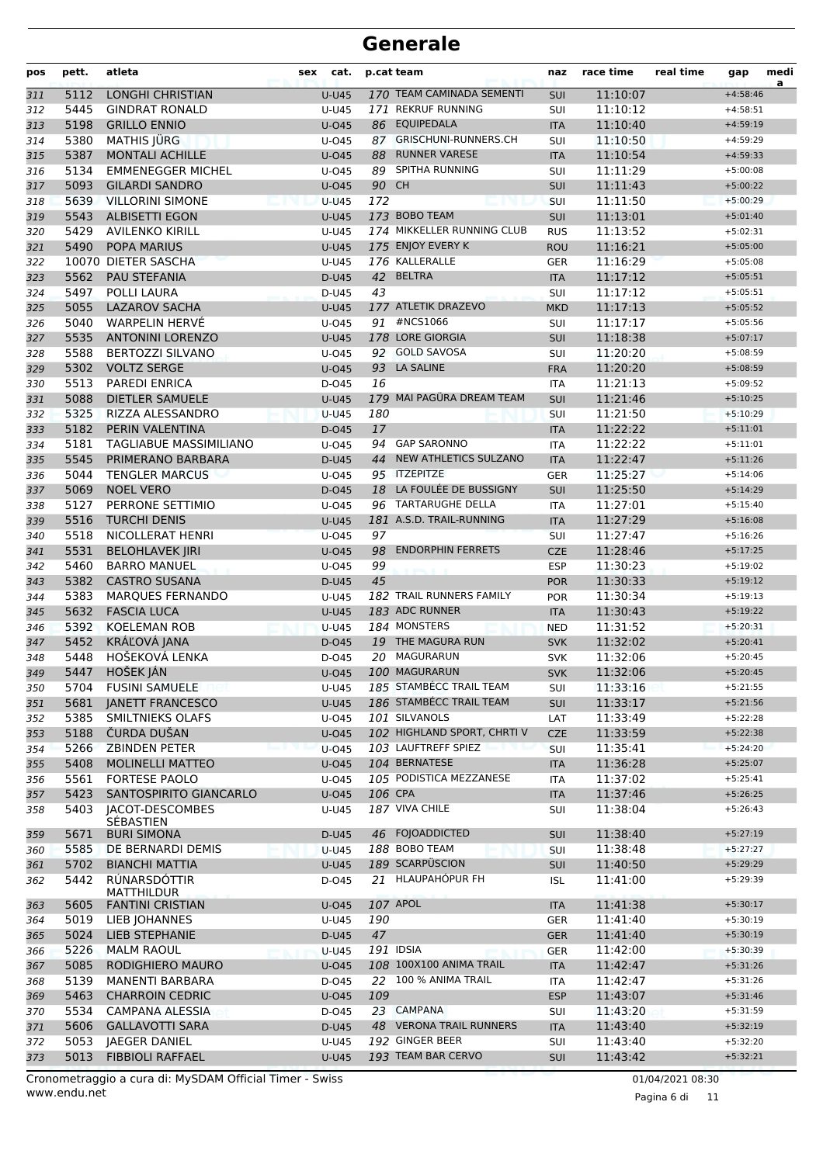| pos        | pett.        | atleta                                          | cat.<br>sex           |          | p.cat team                                 | naz                      | race time            | real time | gap                      | medi<br>a |
|------------|--------------|-------------------------------------------------|-----------------------|----------|--------------------------------------------|--------------------------|----------------------|-----------|--------------------------|-----------|
| 311        | 5112         | <b>LONGHI CHRISTIAN</b>                         | $U-U45$               |          | 170 TEAM CAMINADA SEMENTI                  | SUI                      | 11:10:07             |           | $+4:58:46$               |           |
| 312        | 5445         | <b>GINDRAT RONALD</b>                           | U-U45                 |          | 171 REKRUF RUNNING                         | SUI                      | 11:10:12             |           | $+4:58:51$               |           |
| 313        | 5198         | <b>GRILLO ENNIO</b>                             | $U$ -045              |          | 86 EQUIPEDALA                              | <b>ITA</b>               | 11:10:40             |           | $+4:59:19$               |           |
| 314        | 5380         | <b>MATHIS JÜRG</b>                              | U-045                 |          | 87 GRISCHUNI-RUNNERS.CH                    | SUI                      | 11:10:50             |           | $+4:59:29$               |           |
| 315        | 5387         | <b>MONTALI ACHILLE</b>                          | $U$ -045              | 88       | <b>RUNNER VARESE</b>                       | <b>ITA</b>               | 11:10:54             |           | $+4:59:33$               |           |
| 316        | 5134         | <b>EMMENEGGER MICHEL</b>                        | $U$ -045              |          | 89 SPITHA RUNNING                          | SUI                      | 11:11:29             |           | $+5:00:08$               |           |
| 317        | 5093         | <b>GILARDI SANDRO</b>                           | $U$ -045              | 90 CH    |                                            | SUI                      | 11:11:43             |           | $+5:00:22$               |           |
| 318        | 5639         | <b>VILLORINI SIMONE</b>                         | <b>U-U45</b>          | 172      | 173 BOBO TEAM                              | SUI                      | 11:11:50             |           | $+5:00:29$               |           |
| 319        | 5543         | <b>ALBISETTI EGON</b><br><b>AVILENKO KIRILL</b> | <b>U-U45</b>          |          | 174 MIKKELLER RUNNING CLUB                 | SUI                      | 11:13:01<br>11:13:52 |           | $+5:01:40$               |           |
| 320        | 5429<br>5490 | <b>POPA MARIUS</b>                              | U-U45<br><b>U-U45</b> |          | 175 ENJOY EVERY K                          | <b>RUS</b><br><b>ROU</b> | 11:16:21             |           | $+5:02:31$<br>$+5:05:00$ |           |
| 321<br>322 |              | 10070 DIETER SASCHA                             | U-U45                 |          | 176 KALLERALLE                             | <b>GER</b>               | 11:16:29             |           | $+5:05:08$               |           |
| 323        | 5562         | PAU STEFANIA                                    | D-U45                 |          | 42 BELTRA                                  | <b>ITA</b>               | 11:17:12             |           | $+5:05:51$               |           |
| 324        | 5497         | POLLI LAURA                                     | D-U45                 | 43       |                                            | SUI                      | 11:17:12             |           | $+5:05:51$               |           |
| 325        | 5055         | <b>LAZAROV SACHA</b>                            | $U-U45$               |          | 177 ATLETIK DRAZEVO                        | <b>MKD</b>               | 11:17:13             |           | $+5:05:52$               |           |
| 326        | 5040         | <b>WARPELIN HERVÉ</b>                           | U-045                 |          | 91 #NCS1066                                | SUI                      | 11:17:17             |           | $+5:05:56$               |           |
| 327        | 5535         | <b>ANTONINI LORENZO</b>                         | <b>U-U45</b>          |          | 178 LORE GIORGIA                           | <b>SUI</b>               | 11:18:38             |           | $+5:07:17$               |           |
| 328        | 5588         | <b>BERTOZZI SILVANO</b>                         | $U$ -045              |          | 92 GOLD SAVOSA                             | SUI                      | 11:20:20             |           | $+5:08:59$               |           |
| 329        | 5302         | <b>VOLTZ SERGE</b>                              | $U$ -045              |          | 93 LA SALINE                               | <b>FRA</b>               | 11:20:20             |           | $+5:08:59$               |           |
| 330        | 5513         | <b>PAREDI ENRICA</b>                            | D-045                 | 16       |                                            | <b>ITA</b>               | 11:21:13             |           | $+5:09:52$               |           |
| 331        | 5088         | <b>DIETLER SAMUELE</b>                          | $U-U45$               |          | 179 MAI PAGÜRA DREAM TEAM                  | <b>SUI</b>               | 11:21:46             |           | $+5:10:25$               |           |
| 332        | 5325         | <b>RIZZA ALESSANDRO</b>                         | $U-U45$               | 180      |                                            | SUI                      | 11:21:50             |           | $+5:10:29$               |           |
| 333        | 5182         | PERIN VALENTINA                                 | D-045                 | 17       |                                            | <b>ITA</b>               | 11:22:22             |           | $+5:11:01$               |           |
| 334        | 5181         | <b>TAGLIABUE MASSIMILIANO</b>                   | $U$ -045              | 94       | <b>GAP SARONNO</b>                         | <b>ITA</b>               | 11:22:22             |           | $+5:11:01$               |           |
| 335        | 5545         | PRIMERANO BARBARA                               | D-U45                 | 44       | NEW ATHLETICS SULZANO                      | <b>ITA</b>               | 11:22:47             |           | $+5:11:26$               |           |
| 336        | 5044         | <b>TENGLER MARCUS</b>                           | U-045                 |          | 95 ITZEPITZE                               | GER                      | 11:25:27             |           | $+5:14:06$               |           |
| 337        | 5069         | <b>NOEL VERO</b>                                | D-045                 |          | 18 LA FOULÉE DE BUSSIGNY                   | SUI                      | 11:25:50             |           | $+5:14:29$               |           |
| 338        | 5127         | PERRONE SETTIMIO                                | $U$ -045              |          | 96 TARTARUGHE DELLA                        | <b>ITA</b>               | 11:27:01             |           | $+5:15:40$               |           |
| 339        | 5516         | <b>TURCHI DENIS</b>                             | <b>U-U45</b>          |          | 181 A.S.D. TRAIL-RUNNING                   | <b>ITA</b>               | 11:27:29             |           | $+5:16:08$               |           |
| 340        | 5518         | NICOLLERAT HENRI                                | $U$ -045              | 97       |                                            | SUI                      | 11:27:47             |           | $+5:16:26$               |           |
| 341        | 5531         | <b>BELOHLAVEK JIRI</b>                          | $U$ -045              | 98       | <b>ENDORPHIN FERRETS</b>                   | <b>CZE</b>               | 11:28:46             |           | $+5:17:25$               |           |
| 342        | 5460<br>5382 | <b>BARRO MANUEL</b><br><b>CASTRO SUSANA</b>     | U-045                 | 99<br>45 |                                            | <b>ESP</b>               | 11:30:23             |           | $+5:19:02$               |           |
| 343<br>344 | 5383         | <b>MARQUES FERNANDO</b>                         | D-U45<br>U-U45        |          | 182 TRAIL RUNNERS FAMILY                   | <b>POR</b><br><b>POR</b> | 11:30:33<br>11:30:34 |           | $+5:19:12$<br>$+5:19:13$ |           |
| 345        | 5632         | <b>FASCIA LUCA</b>                              | <b>U-U45</b>          |          | 183 ADC RUNNER                             | <b>ITA</b>               | 11:30:43             |           | $+5:19:22$               |           |
| 346        | 5392         | <b>KOELEMAN ROB</b>                             | <b>U-U45</b>          |          | 184 MONSTERS                               | <b>NED</b>               | 11:31:52             |           | $+5:20:31$               |           |
| 347        | 5452         | KRÁĽOVÁ JANA                                    | D-045                 |          | 19 THE MAGURA RUN                          | <b>SVK</b>               | 11:32:02             |           | $+5:20:41$               |           |
| 348        | 5448         | HOŠEKOVÁ LENKA                                  | D-045                 |          | 20 MAGURARUN                               | <b>SVK</b>               | 11:32:06             |           | $+5:20:45$               |           |
| 349        | 5447         | HOŠEK JÁN                                       | $U$ -045              |          | 100 MAGURARUN                              | <b>SVK</b>               | 11:32:06             |           | $+5:20:45$               |           |
| 350        | 5704         | <b>FUSINI SAMUELE</b>                           | U-U45                 |          | 185 STAMBÉCC TRAIL TEAM                    | SUI                      | 11:33:16             |           | $+5:21:55$               |           |
| 351        | 5681         | <b>JANETT FRANCESCO</b>                         | <b>U-U45</b>          |          | 186 STAMBÉCC TRAIL TEAM                    | <b>SUI</b>               | 11:33:17             |           | $+5:21:56$               |           |
| 352        | 5385         | SMILTNIEKS OLAFS                                | U-045                 |          | 101 SILVANOLS                              | LAT                      | 11:33:49             |           | $+5:22:28$               |           |
| 353        | 5188         | <b>CURDA DUSAN</b>                              | $U$ -045              |          | 102 HIGHLAND SPORT, CHRTI V                | <b>CZE</b>               | 11:33:59             |           | $+5:22:38$               |           |
| 354        | 5266         | <b>ZBINDEN PETER</b>                            | $U$ -045              |          | 103 LAUFTREFF SPIEZ                        | <b>SUI</b>               | 11:35:41             |           | $+5:24:20$               |           |
| 355        | 5408         | MOLINELLI MATTEO                                | $U$ -045              |          | 104 BERNATESE                              | <b>ITA</b>               | 11:36:28             |           | $+5:25:07$               |           |
| 356        | 5561         | <b>FORTESE PAOLO</b>                            | U-045                 |          | 105 PODISTICA MEZZANESE                    | ITA                      | 11:37:02             |           | $+5:25:41$               |           |
| 357        | 5423         | SANTOSPIRITO GIANCARLO                          | $U$ -045              |          | 106 CPA                                    | <b>ITA</b>               | 11:37:46             |           | $+5:26:25$               |           |
| 358        | 5403         | <b>JACOT-DESCOMBES</b>                          | U-U45                 |          | 187 VIVA CHILE                             | SUI                      | 11:38:04             |           | $+5:26:43$               |           |
| 359        | 5671         | SÉBASTIEN<br><b>BURI SIMONA</b>                 | D-U45                 |          | 46 FOJOADDICTED                            | <b>SUI</b>               | 11:38:40             |           | $+5:27:19$               |           |
| 360        | 5585         | DE BERNARDI DEMIS                               | <b>U-U45</b>          |          | 188 BOBO TEAM                              | <b>SUI</b>               | 11:38:48             |           | $+5:27:27$               |           |
| 361        | 5702         | <b>BIANCHI MATTIA</b>                           | <b>U-U45</b>          |          | 189 SCARPÜSCION                            | <b>SUI</b>               | 11:40:50             |           | $+5:29:29$               |           |
| 362        | 5442         | RÚNARSDÓTTIR<br><b>MATTHILDUR</b>               | D-045                 |          | 21 HLAUPAHÓPUR FH                          | <b>ISL</b>               | 11:41:00             |           | $+5:29:39$               |           |
| 363        | 5605         | <b>FANTINI CRISTIAN</b>                         | <b>U-045</b>          |          | 107 APOL                                   | <b>ITA</b>               | 11:41:38             |           | $+5:30:17$               |           |
| 364        | 5019         | LIEB JOHANNES                                   | U-U45                 | 190      |                                            | <b>GER</b>               | 11:41:40             |           | $+5:30:19$               |           |
| 365        | 5024         | LIEB STEPHANIE                                  | D-U45                 | 47       |                                            | <b>GER</b>               | 11:41:40             |           | $+5:30:19$               |           |
| 366        | 5226         | <b>MALM RAOUL</b>                               | $U-U45$               |          | 191 IDSIA                                  | <b>GER</b>               | 11:42:00             |           | $+5:30:39$               |           |
| 367        | 5085         | RODIGHIERO MAURO                                | $U$ -045              |          | 108 100X100 ANIMA TRAIL                    | <b>ITA</b>               | 11:42:47             |           | $+5:31:26$               |           |
| 368        | 5139         | <b>MANENTI BARBARA</b>                          | D-045                 |          | 22 100 % ANIMA TRAIL                       | ITA                      | 11:42:47             |           | $+5:31:26$               |           |
| 369        | 5463         | <b>CHARROIN CEDRIC</b>                          | $U$ -045              | 109      |                                            | <b>ESP</b>               | 11:43:07             |           | $+5:31:46$               |           |
| 370        | 5534         | <b>CAMPANA ALESSIA</b>                          | D-045                 |          | 23 CAMPANA                                 | SUI                      | 11:43:20             |           | $+5:31:59$               |           |
| 371        | 5606         | <b>GALLAVOTTI SARA</b>                          | D-U45                 |          | 48 VERONA TRAIL RUNNERS<br>192 GINGER BEER | <b>ITA</b>               | 11:43:40             |           | $+5:32:19$               |           |
| 372        | 5053         | <b>JAEGER DANIEL</b>                            | U-U45                 |          |                                            | SUI                      | 11:43:40             |           | $+5:32:20$               |           |
| 373        | 5013         | <b>FIBBIOLI RAFFAEL</b>                         | <b>U-U45</b>          |          | 193 TEAM BAR CERVO                         | SUI                      | 11:43:42             |           | $+5:32:21$               |           |

www.endu.net Cronometraggio a cura di: MySDAM Official Timer - Swiss 01/04/2021 08:30

Pagina 6 di 11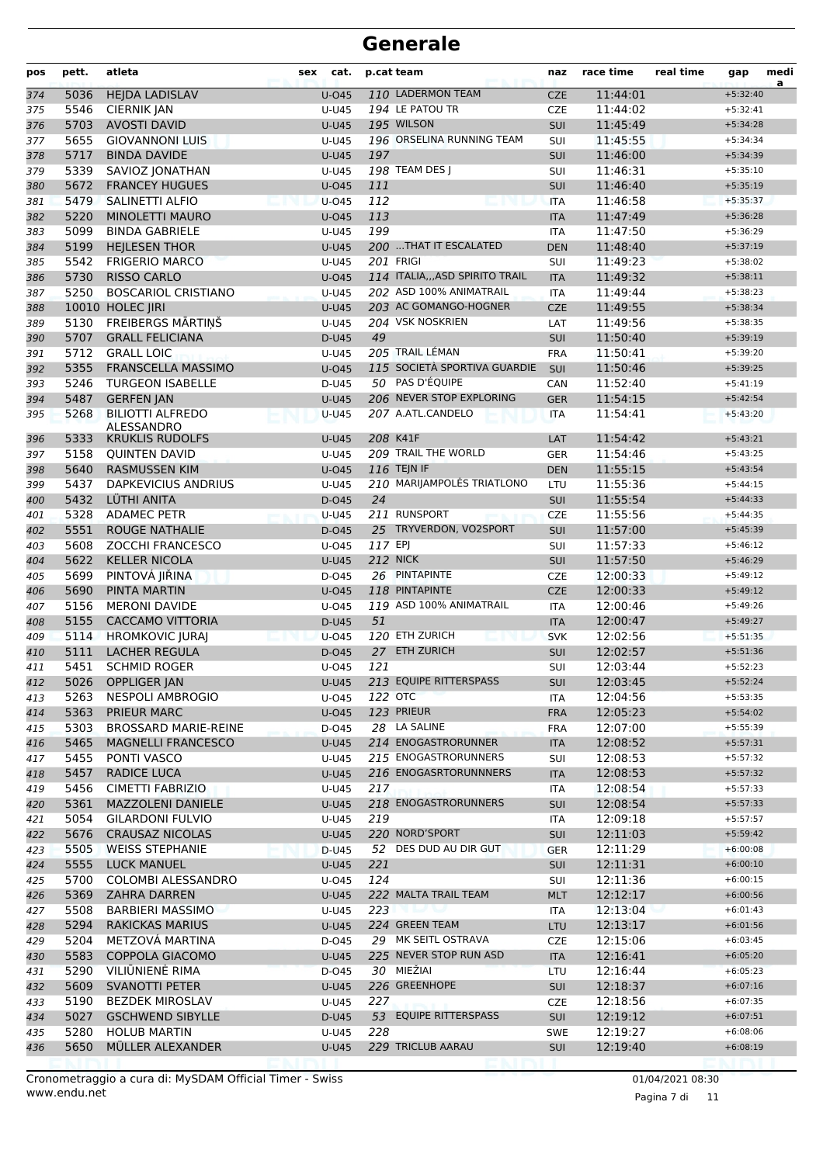| pos        | pett.        | atleta                                           | sex<br>cat.           |         | p.cat team                                           | naz                      | race time            | real time | gap                      | medi<br>a |
|------------|--------------|--------------------------------------------------|-----------------------|---------|------------------------------------------------------|--------------------------|----------------------|-----------|--------------------------|-----------|
| 374        | 5036         | <b>HEJDA LADISLAV</b>                            | $U$ -045              |         | 110 LADERMON TEAM                                    | <b>CZE</b>               | 11:44:01             |           | $+5:32:40$               |           |
| 375        | 5546         | <b>CIERNIK JAN</b>                               | U-U45                 |         | 194 LE PATOU TR                                      | <b>CZE</b>               | 11:44:02             |           | $+5:32:41$               |           |
| 376        | 5703         | <b>AVOSTI DAVID</b>                              | $U-U45$               |         | 195 WILSON                                           | SUI                      | 11:45:49             |           | $+5:34:28$               |           |
| 377        | 5655         | <b>GIOVANNONI LUIS</b>                           | $U-U45$               |         | 196 ORSELINA RUNNING TEAM                            | SUI                      | 11:45:55             |           | $+5:34:34$               |           |
| 378        | 5717         | <b>BINDA DAVIDE</b>                              | $U-U45$               | 197     |                                                      | SUI                      | 11:46:00             |           | $+5:34:39$               |           |
| 379        | 5339         | SAVIOZ JONATHAN                                  | U-U45                 |         | 198 TEAM DES J                                       | SUI                      | 11:46:31             |           | $+5:35:10$               |           |
| 380        | 5672         | <b>FRANCEY HUGUES</b>                            | $U$ -045              | 111     |                                                      | SUI                      | 11:46:40             |           | $+5:35:19$               |           |
| 381        | 5479         | <b>SALINETTI ALFIO</b>                           | $U$ -045              | 112     |                                                      | <b>ITA</b>               | 11:46:58             |           | $+5:35:37$               |           |
| 382        | 5220         | MINOLETTI MAURO                                  | $U$ -045              | 113     |                                                      | <b>ITA</b>               | 11:47:49             |           | $+5:36:28$               |           |
| 383        | 5099         | <b>BINDA GABRIELE</b>                            | U-U45                 | 199     |                                                      | <b>ITA</b>               | 11:47:50             |           | $+5:36:29$               |           |
| 384        | 5199         | <b>HEJLESEN THOR</b>                             | <b>U-U45</b>          |         | 200  THAT IT ESCALATED                               | <b>DEN</b>               | 11:48:40             |           | $+5:37:19$               |           |
| 385        | 5542         | <b>FRIGERIO MARCO</b>                            | U-U45                 |         | <b>201 FRIGI</b><br>114 ITALIA, ,, ASD SPIRITO TRAIL | SUI                      | 11:49:23             |           | $+5:38:02$               |           |
| 386        | 5730<br>5250 | <b>RISSO CARLO</b><br><b>BOSCARIOL CRISTIANO</b> | $U$ -045              |         | 202 ASD 100% ANIMATRAIL                              | <b>ITA</b>               | 11:49:32             |           | $+5:38:11$<br>$+5:38:23$ |           |
| 387        |              | 10010 HOLEC JIRI                                 | U-U45<br>$U-U45$      |         | 203 AC GOMANGO-HOGNER                                | <b>ITA</b><br><b>CZE</b> | 11:49:44<br>11:49:55 |           | $+5:38:34$               |           |
| 388<br>389 | 5130         | FREIBERGS MĀRTIŅŠ                                | U-U45                 |         | 204 VSK NOSKRIEN                                     | LAT                      | 11:49:56             |           | $+5:38:35$               |           |
| 390        | 5707         | <b>GRALL FELICIANA</b>                           | D-U45                 | 49      |                                                      | SUI                      | 11:50:40             |           | $+5:39:19$               |           |
| 391        | 5712         | <b>GRALL LOIC</b>                                | U-U45                 |         | 205 TRAIL LÉMAN                                      | <b>FRA</b>               | 11:50:41             |           | $+5:39:20$               |           |
| 392        | 5355         | <b>FRANSCELLA MASSIMO</b>                        | $U$ -045              |         | 115 SOCIETÀ SPORTIVA GUARDIE                         | SUI                      | 11:50:46             |           | $+5:39:25$               |           |
| 393        | 5246         | <b>TURGEON ISABELLE</b>                          | D-U45                 |         | 50 PAS D'ÉQUIPE                                      | CAN                      | 11:52:40             |           | $+5:41:19$               |           |
| 394        | 5487         | <b>GERFEN JAN</b>                                | $U-U45$               |         | 206 NEVER STOP EXPLORING                             | <b>GER</b>               | 11:54:15             |           | $+5:42:54$               |           |
| 395        | 5268         | <b>BILIOTTI ALFREDO</b>                          | <b>U-U45</b>          |         | 207 A.ATL.CANDELO                                    | <b>ITA</b>               | 11:54:41             |           | $+5:43:20$               |           |
|            |              | <b>ALESSANDRO</b>                                |                       |         |                                                      |                          |                      |           |                          |           |
| 396        | 5333         | <b>KRUKLIS RUDOLFS</b>                           | <b>U-U45</b>          |         | 208 K41F                                             | LAT                      | 11:54:42             |           | $+5:43:21$               |           |
| 397        | 5158         | <b>QUINTEN DAVID</b>                             | U-U45                 |         | 209 TRAIL THE WORLD                                  | <b>GER</b>               | 11:54:46             |           | $+5:43:25$               |           |
| 398        | 5640         | <b>RASMUSSEN KIM</b>                             | $U$ -045              |         | 116 TEJN IF                                          | <b>DEN</b>               | 11:55:15             |           | $+5:43:54$               |           |
| 399        | 5437         | <b>DAPKEVICIUS ANDRIUS</b>                       | U-U45                 |         | 210 MARIJAMPOLĖS TRIATLONO                           | LTU                      | 11:55:36             |           | $+5:44:15$               |           |
| 400        | 5432         | LÜTHI ANITA                                      | $D-045$               | 24      |                                                      | <b>SUI</b>               | 11:55:54             |           | $+5:44:33$               |           |
| 401        | 5328         | <b>ADAMEC PETR</b>                               | U-U45                 |         | 211 RUNSPORT                                         | <b>CZE</b>               | 11:55:56             |           | $+5:44:35$               |           |
| 402        | 5551         | <b>ROUGE NATHALIE</b>                            | D-045                 |         | 25 TRYVERDON, VO2SPORT                               | <b>SUI</b>               | 11:57:00             |           | $+5:45:39$               |           |
| 403        | 5608         | ZOCCHI FRANCESCO                                 | $U$ -045              | 117 EPJ | <b>212 NICK</b>                                      | SUI                      | 11:57:33             |           | $+5:46:12$               |           |
| 404        | 5622         | <b>KELLER NICOLA</b>                             | <b>U-U45</b>          |         | 26 PINTAPINTE                                        | SUI                      | 11:57:50             |           | $+5:46:29$               |           |
| 405        | 5699<br>5690 | PINTOVÁ JIŘINA<br><b>PINTA MARTIN</b>            | D-045<br>$U$ -045     |         | 118 PINTAPINTE                                       | <b>CZE</b><br><b>CZE</b> | 12:00:33<br>12:00:33 |           | $+5:49:12$<br>$+5:49:12$ |           |
| 406<br>407 | 5156         | <b>MERONI DAVIDE</b>                             | $U$ -045              |         | 119 ASD 100% ANIMATRAIL                              | <b>ITA</b>               | 12:00:46             |           | $+5:49:26$               |           |
| 408        | 5155         | <b>CACCAMO VITTORIA</b>                          | D-U45                 | 51      |                                                      | <b>ITA</b>               | 12:00:47             |           | $+5:49:27$               |           |
| 409        | 5114         | <b>HROMKOVIC JURAJ</b>                           | $U$ -045              |         | 120 ETH ZURICH                                       | <b>SVK</b>               | 12:02:56             |           | $+5:51:35$               |           |
| 410        | 5111         | <b>LACHER REGULA</b>                             | D-045                 |         | 27 ETH ZURICH                                        | SUI                      | 12:02:57             |           | $+5:51:36$               |           |
| 411        | 5451         | <b>SCHMID ROGER</b>                              | U-045                 | 121     |                                                      | SUI                      | 12:03:44             |           | $+5:52:23$               |           |
| 412        |              | 5026 OPPLIGER JAN                                | U-U45                 |         | 213 EQUIPE RITTERSPASS                               | <b>SUI</b>               | 12:03:45             |           | $+5:52:24$               |           |
| 413        | 5263         | <b>NESPOLI AMBROGIO</b>                          | U-045                 |         | 122 OTC                                              | ITA                      | 12:04:56             |           | $+5:53:35$               |           |
| 414        | 5363         | PRIEUR MARC                                      | $U$ -045              |         | 123 PRIEUR                                           | <b>FRA</b>               | 12:05:23             |           | $+5:54:02$               |           |
| 415        | 5303         | <b>BROSSARD MARIE-REINE</b>                      | D-045                 |         | 28 LA SALINE                                         | <b>FRA</b>               | 12:07:00             |           | $+5:55:39$               |           |
| 416        | 5465         | <b>MAGNELLI FRANCESCO</b>                        | <b>U-U45</b>          |         | 214 ENOGASTRORUNNER                                  | <b>ITA</b>               | 12:08:52             |           | $+5:57:31$               |           |
| 417        | 5455         | PONTI VASCO                                      | U-U45                 |         | 215 ENOGASTRORUNNERS                                 | SUI                      | 12:08:53             |           | $+5:57:32$               |           |
| 418        | 5457         | RADICE LUCA                                      | <b>U-U45</b>          |         | 216 ENOGASRTORUNNNERS                                | <b>ITA</b>               | 12:08:53             |           | $+5:57:32$               |           |
| 419        | 5456         | <b>CIMETTI FABRIZIO</b>                          | U-U45                 | 217     |                                                      | ITA                      | 12:08:54             |           | $+5:57:33$               |           |
| 420        | 5361         | <b>MAZZOLENI DANIELE</b>                         | <b>U-U45</b>          |         | 218 ENOGASTRORUNNERS                                 | <b>SUI</b>               | 12:08:54             |           | $+5:57:33$               |           |
| 421        | 5054         | <b>GILARDONI FULVIO</b>                          | U-U45                 | 219     |                                                      | ITA                      | 12:09:18             |           | $+5:57:57$               |           |
| 422        | 5676         | <b>CRAUSAZ NICOLAS</b>                           | U-U45                 |         | 220 NORD'SPORT                                       | SUI                      | 12:11:03             |           | $+5:59:42$               |           |
| 423        | 5505         | <b>WEISS STEPHANIE</b>                           | D-U45                 |         | 52 DES DUD AU DIR GUT                                | <b>GER</b>               | 12:11:29             |           | $+6:00:08$               |           |
| 424        | 5555         | <b>LUCK MANUEL</b>                               | <b>U-U45</b>          | 221     |                                                      | <b>SUI</b>               | 12:11:31             |           | $+6:00:10$               |           |
| 425        | 5700         | COLOMBI ALESSANDRO                               | U-045                 | 124     |                                                      | SUI                      | 12:11:36             |           | $+6:00:15$               |           |
| 426        | 5369         | <b>ZAHRA DARREN</b>                              | <b>U-U45</b>          |         | 222 MALTA TRAIL TEAM                                 | <b>MLT</b>               | 12:12:17             |           | $+6:00:56$               |           |
| 427        | 5508         | <b>BARBIERI MASSIMO</b>                          | U-U45                 | 223     |                                                      | ITA                      | 12:13:04             |           | $+6:01:43$               |           |
| 428        | 5294         | <b>RAKICKAS MARIUS</b>                           | U-U45                 |         | 224 GREEN TEAM                                       | <b>LTU</b>               | 12:13:17             |           | $+6:01:56$               |           |
| 429        | 5204         | METZOVA MARTINA                                  | D-045                 |         | 29 MK SEITL OSTRAVA                                  | CZE                      | 12:15:06             |           | $+6:03:45$               |           |
| 430        | 5583         | <b>COPPOLA GIACOMO</b>                           | U-U45                 |         | 225 NEVER STOP RUN ASD                               | <b>ITA</b>               | 12:16:41             |           | $+6:05:20$               |           |
| 431        | 5290         | VILIŪNIENĖ RIMA                                  | D-045                 |         | 30 MIEŽIAI                                           | LTU                      | 12:16:44             |           | $+6:05:23$               |           |
| 432        | 5609         | <b>SVANOTTI PETER</b>                            | <b>U-U45</b>          |         | 226 GREENHOPE                                        | <b>SUI</b>               | 12:18:37             |           | $+6:07:16$               |           |
| 433        | 5190         | <b>BEZDEK MIROSLAV</b>                           | U-U45                 | 227     | 53 EQUIPE RITTERSPASS                                | <b>CZE</b>               | 12:18:56             |           | $+6:07:35$               |           |
| 434        | 5027         | <b>GSCHWEND SIBYLLE</b>                          | D-U45                 |         |                                                      | SUI                      | 12:19:12             |           | $+6:07:51$               |           |
| 435<br>436 | 5280<br>5650 | <b>HOLUB MARTIN</b><br>MÜLLER ALEXANDER          | U-U45<br><b>U-U45</b> | 228     | 229 TRICLUB AARAU                                    | SWE<br>SUI               | 12:19:27<br>12:19:40 |           | $+6:08:06$<br>$+6:08:19$ |           |
|            |              |                                                  |                       |         |                                                      |                          |                      |           |                          |           |

www.endu.net Cronometraggio a cura di: MySDAM Official Timer - Swiss 01/04/2021 08:30

Pagina 7 di 11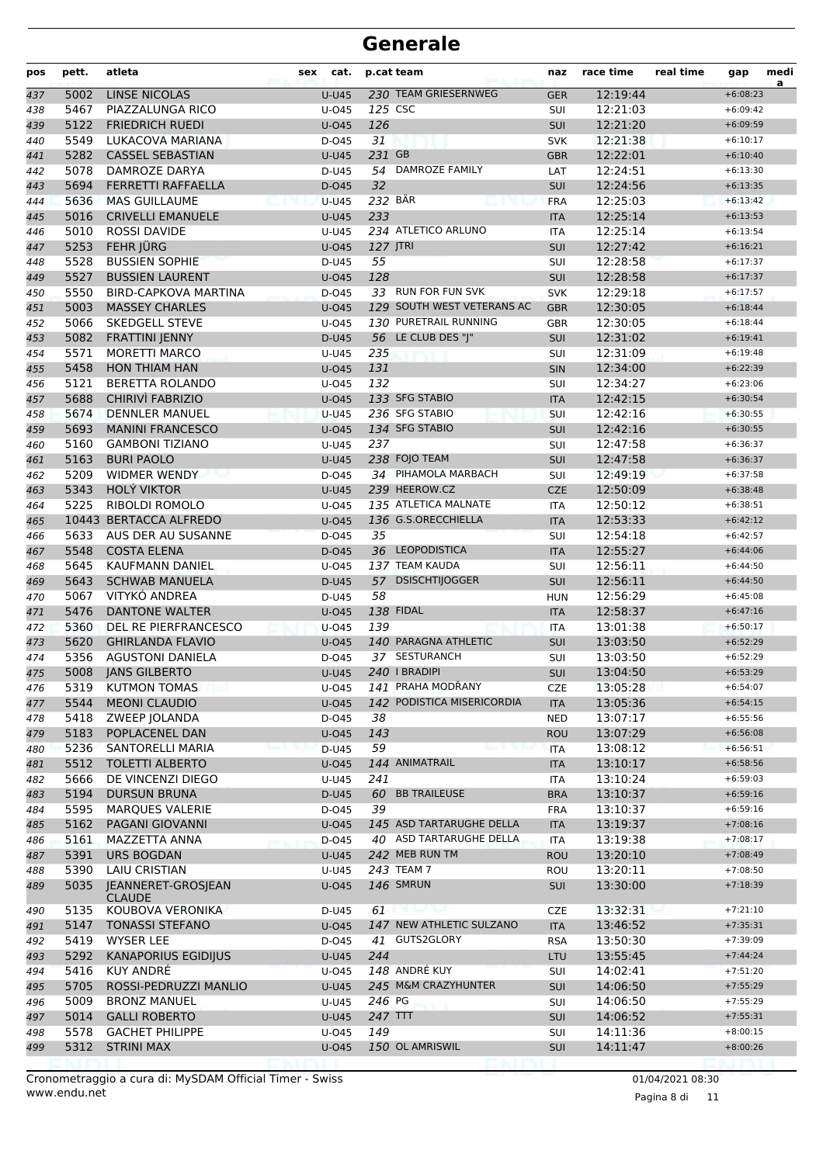| pos        | pett.        | atleta                                      | cat.<br>sex       |                 | p.cat team                 | naz               | race time            | real time | gap                      | medi<br>a |
|------------|--------------|---------------------------------------------|-------------------|-----------------|----------------------------|-------------------|----------------------|-----------|--------------------------|-----------|
| 437        | 5002         | <b>LINSE NICOLAS</b>                        | $U-U45$           |                 | 230 TEAM GRIESERNWEG       | <b>GER</b>        | 12:19:44             |           | $+6:08:23$               |           |
| 438        | 5467         | PIAZZALUNGA RICO                            | U-045             | 125 CSC         |                            | SUI               | 12:21:03             |           | $+6:09:42$               |           |
| 439        | 5122         | <b>FRIEDRICH RUEDI</b>                      | $U$ -045          | 126             |                            | SUI               | 12:21:20             |           | $+6:09:59$               |           |
| 440        | 5549         | LUKACOVA MARIANA                            | D-045             | 31              |                            | <b>SVK</b>        | 12:21:38             |           | $+6:10:17$               |           |
| 441        | 5282         | <b>CASSEL SEBASTIAN</b>                     | <b>U-U45</b>      | 231 GB          |                            | <b>GBR</b>        | 12:22:01             |           | $+6:10:40$               |           |
| 442        | 5078         | <b>DAMROZE DARYA</b>                        | D-U45             |                 | 54 DAMROZE FAMILY          | LAT               | 12:24:51             |           | $+6:13:30$               |           |
| 443        | 5694         | <b>FERRETTI RAFFAELLA</b>                   | D-045             | 32              |                            | SUI               | 12:24:56             |           | $+6:13:35$               |           |
| 444        | 5636         | <b>MAS GUILLAUME</b>                        | <b>U-U45</b>      | 232 BÄR         |                            | <b>FRA</b>        | 12:25:03             |           | $+6:13:42$               |           |
| 445        | 5016         | <b>CRIVELLI EMANUELE</b>                    | $U-U45$           | 233             |                            | <b>ITA</b>        | 12:25:14             |           | $+6:13:53$               |           |
| 446        | 5010         | <b>ROSSI DAVIDE</b>                         | $U-U45$           |                 | 234 ATLETICO ARLUNO        | <b>ITA</b>        | 12:25:14             |           | $+6:13:54$               |           |
| 447        | 5253         | FEHR JÜRG                                   | $U$ -045          | <b>127 JTRI</b> |                            | SUI               | 12:27:42             |           | $+6:16:21$               |           |
| 448        | 5528         | <b>BUSSIEN SOPHIE</b>                       | D-U45             | 55              |                            | SUI               | 12:28:58             |           | $+6:17:37$               |           |
| 449        | 5527         | <b>BUSSIEN LAURENT</b>                      | $U$ -045          | 128             |                            | SUI               | 12:28:58             |           | $+6:17:37$               |           |
| 450        | 5550         | BIRD-CAPKOVA MARTINA                        | D-045             |                 | 33 RUN FOR FUN SVK         | <b>SVK</b>        | 12:29:18             |           | $+6:17:57$               |           |
| 451        | 5003         | <b>MASSEY CHARLES</b>                       | $U$ -045          |                 | 129 SOUTH WEST VETERANS AC | <b>GBR</b>        | 12:30:05             |           | $+6:18:44$               |           |
| 452        | 5066         | <b>SKEDGELL STEVE</b>                       | $U$ -045          |                 | 130 PURETRAIL RUNNING      | <b>GBR</b>        | 12:30:05             |           | $+6:18:44$               |           |
| 453        | 5082         | <b>FRATTINI JENNY</b>                       | D-U45             |                 | 56 LE CLUB DES "J"         | SUI               | 12:31:02             |           | $+6:19:41$               |           |
| 454        | 5571         | <b>MORETTI MARCO</b>                        | U-U45             | 235             |                            | SUI               | 12:31:09             |           | $+6:19:48$               |           |
| 455        | 5458         | <b>HON THIAM HAN</b>                        | $U$ -045          | 131             |                            | <b>SIN</b>        | 12:34:00             |           | $+6:22:39$               |           |
| 456        | 5121         | <b>BERETTA ROLANDO</b>                      | U-045             | 132             |                            | SUI               | 12:34:27             |           | $+6:23:06$               |           |
| 457        | 5688         | <b>CHIRIVÌ FABRIZIO</b>                     | $U$ -045          |                 | 133 SFG STABIO             | <b>ITA</b>        | 12:42:15             |           | $+6:30:54$               |           |
| 458        | 5674         | <b>DENNLER MANUEL</b>                       | <b>U-U45</b>      |                 | 236 SFG STABIO             | SUI               | 12:42:16             |           | $+6:30:55$               |           |
| 459        | 5693         | <b>MANINI FRANCESCO</b>                     | $U$ -045          |                 | 134 SFG STABIO             | SUI               | 12:42:16             |           | $+6:30:55$               |           |
| 460        | 5160         | <b>GAMBONI TIZIANO</b>                      | U-U45             | 237             |                            | SUI               | 12:47:58             |           | $+6:36:37$               |           |
| 461        | 5163         | <b>BURI PAOLO</b>                           | <b>U-U45</b>      |                 | 238 FOJO TEAM              | SUI               | 12:47:58             |           | $+6:36:37$               |           |
| 462        | 5209         | <b>WIDMER WENDY</b>                         | D-045             |                 | 34 PIHAMOLA MARBACH        | SUI               | 12:49:19             |           | $+6:37:58$               |           |
| 463        | 5343         | <b>HOLÝ VIKTOR</b>                          | $U-U45$           |                 | 239 HEEROW.CZ              | <b>CZE</b>        | 12:50:09             |           | $+6:38:48$               |           |
| 464        | 5225         | <b>RIBOLDI ROMOLO</b>                       | $U$ -045          |                 | 135 ATLETICA MALNATE       | <b>ITA</b>        | 12:50:12             |           | $+6:38:51$               |           |
| 465        |              | 10443 BERTACCA ALFREDO                      | $U$ -045          |                 | 136 G.S.ORECCHIELLA        | <b>ITA</b>        | 12:53:33             |           | $+6:42:12$               |           |
| 466        | 5633         | AUS DER AU SUSANNE                          | $D-045$           | 35              |                            | SUI               | 12:54:18             |           | $+6:42:57$               |           |
| 467        | 5548         | <b>COSTA ELENA</b>                          | D-045             |                 | 36 LEOPODISTICA            | <b>ITA</b>        | 12:55:27             |           | $+6:44:06$               |           |
| 468        | 5645         | KAUFMANN DANIEL                             | $U$ -045          |                 | 137 TEAM KAUDA             | SUI               | 12:56:11             |           | $+6:44:50$               |           |
| 469        | 5643         | <b>SCHWAB MANUELA</b>                       | D-U45             | 57              | <b>DSISCHTIJOGGER</b>      | <b>SUI</b>        | 12:56:11             |           | $+6:44:50$               |           |
| 470        | 5067         | VITYKÓ ANDREA                               | D-U45             | 58              |                            | <b>HUN</b>        | 12:56:29             |           | $+6:45:08$               |           |
| 471        | 5476         | <b>DANTONE WALTER</b>                       | $U$ -045          |                 | <b>138 FIDAL</b>           | <b>ITA</b>        | 12:58:37             |           | $+6:47:16$               |           |
| 472        | 5360         | <b>DEL RE PIERFRANCESCO</b>                 | U-045             | 139             | 140 PARAGNA ATHLETIC       | <b>ITA</b>        | 13:01:38             |           | $+6:50:17$               |           |
| 473        | 5620         | <b>GHIRLANDA FLAVIO</b>                     | $U$ -045          |                 | 37 SESTURANCH              | SUI               | 13:03:50             |           | $+6:52:29$               |           |
| 474        | 5356         | <b>AGUSTONI DANIELA</b>                     | D-045             |                 | 240   BRADIPI              | SUI               | 13:03:50             |           | $+6:52:29$               |           |
| 475        | 5008         | <b>JANS GILBERTO</b>                        | $U-U45$           |                 | 141 PRAHA MODŘANY          | SUI               | 13:04:50             |           | $+6:53:29$<br>$+6:54:07$ |           |
| 476        | 5319<br>5544 | <b>KUTMON TOMAS</b><br><b>MEONI CLAUDIO</b> | U-045<br>$U$ -045 |                 | 142 PODISTICA MISERICORDIA | CZE<br><b>ITA</b> | 13:05:28<br>13:05:36 |           | $+6:54:15$               |           |
| 477        | 5418         | ZWEEP JOLANDA                               | D-045             | 38              |                            | <b>NED</b>        | 13:07:17             |           | $+6:55:56$               |           |
| 478<br>479 | 5183         | POPLACENEL DAN                              | U-045             | 143             |                            | ROU               | 13:07:29             |           | $+6:56:08$               |           |
| 480        | 5236         | <b>SANTORELLI MARIA</b>                     | D-U45             | 59              |                            | <b>ITA</b>        | 13:08:12             |           | $+6:56:51$               |           |
| 481        | 5512         | <b>TOLETTI ALBERTO</b>                      | $U$ -045          |                 | 144 ANIMATRAIL             | <b>ITA</b>        | 13:10:17             |           | $+6:58:56$               |           |
| 482        | 5666         | DE VINCENZI DIEGO                           | U-U45             | 241             |                            | ITA               | 13:10:24             |           | $+6:59:03$               |           |
| 483        | 5194         | <b>DURSUN BRUNA</b>                         | D-U45             |                 | 60 BB TRAILEUSE            | <b>BRA</b>        | 13:10:37             |           | $+6:59:16$               |           |
| 484        | 5595         | <b>MARQUES VALERIE</b>                      | D-045             | 39              |                            | <b>FRA</b>        | 13:10:37             |           | $+6:59:16$               |           |
| 485        | 5162         | <b>PAGANI GIOVANNI</b>                      | U-045             |                 | 145 ASD TARTARUGHE DELLA   | <b>ITA</b>        | 13:19:37             |           | $+7:08:16$               |           |
| 486        | 5161         | MAZZETTA ANNA                               | D-045             |                 | 40 ASD TARTARUGHE DELLA    | <b>ITA</b>        | 13:19:38             |           | $+7:08:17$               |           |
| 487        | 5391         | <b>URS BOGDAN</b>                           | <b>U-U45</b>      |                 | 242 MEB RUN TM             | <b>ROU</b>        | 13:20:10             |           | $+7:08:49$               |           |
| 488        | 5390         | LAIU CRISTIAN                               | U-U45             |                 | 243 TEAM 7                 | ROU               | 13:20:11             |           | $+7:08:50$               |           |
| 489        | 5035         | JEANNERET-GROSJEAN                          | $U$ -045          |                 | <b>146 SMRUN</b>           | <b>SUI</b>        | 13:30:00             |           | $+7:18:39$               |           |
|            |              | <b>CLAUDE</b>                               |                   |                 |                            |                   |                      |           |                          |           |
| 490        | 5135         | KOUBOVA VERONIKA                            | D-U45             | 61              |                            | <b>CZE</b>        | 13:32:31             |           | $+7:21:10$               |           |
| 491        | 5147         | <b>TONASSI STEFANO</b>                      | $U$ -045          |                 | 147 NEW ATHLETIC SULZANO   | <b>ITA</b>        | 13:46:52             |           | $+7:35:31$               |           |
| 492        | 5419         | <b>WYSER LEE</b>                            | D-045             |                 | 41 GUTS2GLORY              | <b>RSA</b>        | 13:50:30             |           | $+7:39:09$               |           |
| 493        | 5292         | KANAPORIUS EGIDIJUS                         | U-U45             | 244             |                            | <b>LTU</b>        | 13:55:45             |           | $+7:44:24$               |           |
| 494        | 5416         | <b>KUY ANDRÉ</b>                            | $U$ -045          |                 | 148 ANDRÉ KUY              | SUI               | 14:02:41             |           | $+7:51:20$               |           |
| 495        | 5705         | ROSSI-PEDRUZZI MANLIO                       | U-U45             |                 | 245 M&M CRAZYHUNTER        | <b>SUI</b>        | 14:06:50             |           | $+7:55:29$               |           |
| 496        | 5009         | <b>BRONZ MANUEL</b>                         | U-U45             | 246 PG          |                            | SUI               | 14:06:50             |           | $+7:55:29$               |           |
| 497        | 5014         | <b>GALLI ROBERTO</b>                        | U-U45             | 247 TTT         |                            | SUI               | 14:06:52             |           | $+7:55:31$               |           |
| 498        | 5578         | <b>GACHET PHILIPPE</b>                      | U-045             | 149             |                            | <b>SUI</b>        | 14:11:36             |           | $+8:00:15$               |           |
| 499        | 5312         | <b>STRINI MAX</b>                           | $U$ -045          |                 | 150 OL AMRISWIL            | <b>SUI</b>        | 14:11:47             |           | $+8:00:26$               |           |
|            |              |                                             |                   |                 |                            |                   |                      |           |                          |           |

www.endu.net Cronometraggio a cura di: MySDAM Official Timer - Swiss 01/04/2021 08:30

Pagina 8 di 11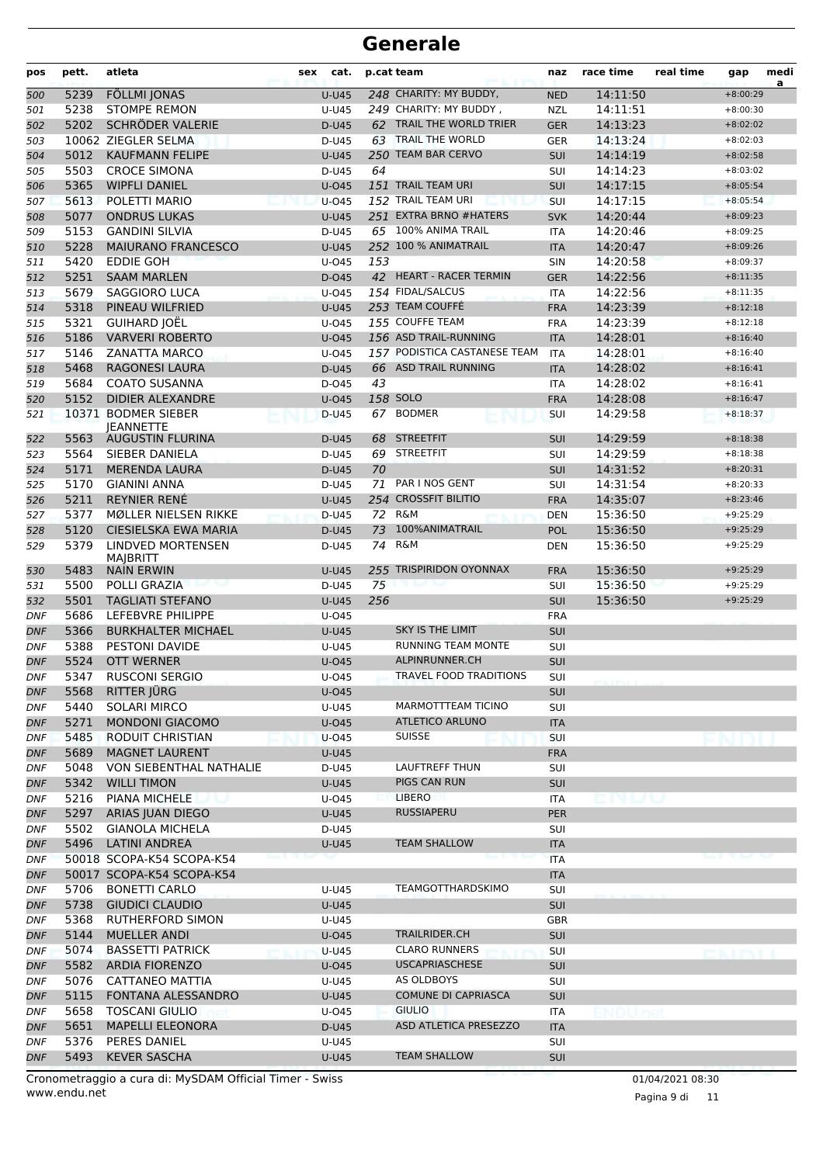| pos        | pett.        | atleta                                        | sex<br>cat.    |     | p.cat team                                  | naz                      | race time            | real time | gap                      | medi<br>a |
|------------|--------------|-----------------------------------------------|----------------|-----|---------------------------------------------|--------------------------|----------------------|-----------|--------------------------|-----------|
| 500        | 5239         | <b>FÖLLMI JONAS</b>                           | <b>U-U45</b>   |     | 248 CHARITY: MY BUDDY,                      | <b>NED</b>               | 14:11:50             |           | $+8:00:29$               |           |
| 501        | 5238         | <b>STOMPE REMON</b>                           | U-U45          |     | 249 CHARITY: MY BUDDY,                      | <b>NZL</b>               | 14:11:51             |           | $+8:00:30$               |           |
| 502        | 5202         | SCHRÖDER VALERIE                              | D-U45          |     | 62 TRAIL THE WORLD TRIER                    | <b>GER</b>               | 14:13:23             |           | $+8:02:02$               |           |
| 503        |              | 10062 ZIEGLER SELMA                           | D-U45          |     | 63 TRAIL THE WORLD                          | <b>GER</b>               | 14:13:24             |           | $+8:02:03$               |           |
| 504        | 5012         | <b>KAUFMANN FELIPE</b>                        | <b>U-U45</b>   |     | 250 TEAM BAR CERVO                          | <b>SUI</b>               | 14:14:19             |           | $+8:02:58$               |           |
| 505        | 5503         | <b>CROCE SIMONA</b>                           | D-U45          | 64  |                                             | SUI                      | 14:14:23             |           | $+8:03:02$               |           |
| 506        | 5365         | <b>WIPFLI DANIEL</b>                          | $U$ -045       |     | 151 TRAIL TEAM URI                          | SUI                      | 14:17:15             |           | $+8:05:54$               |           |
| 507        | 5613         | POLETTI MARIO                                 | $U$ -045       |     | 152 TRAIL TEAM URI                          | SUI                      | 14:17:15             |           | $+8:05:54$               |           |
| 508        | 5077         | <b>ONDRUS LUKAS</b>                           | $U-U45$        |     | 251 EXTRA BRNO #HATERS                      | <b>SVK</b>               | 14:20:44             |           | $+8:09:23$               |           |
| 509        | 5153         | <b>GANDINI SILVIA</b>                         | D-U45          |     | 65 100% ANIMA TRAIL<br>252 100 % ANIMATRAIL | <b>ITA</b>               | 14:20:46             |           | $+8:09:25$               |           |
| 510        | 5228<br>5420 | <b>MAIURANO FRANCESCO</b><br><b>EDDIE GOH</b> | <b>U-U45</b>   | 153 |                                             | <b>ITA</b>               | 14:20:47             |           | $+8:09:26$               |           |
| 511        | 5251         | <b>SAAM MARLEN</b>                            | $U$ -045       |     | 42 HEART - RACER TERMIN                     | <b>SIN</b>               | 14:20:58<br>14:22:56 |           | $+8:09:37$<br>$+8:11:35$ |           |
| 512        | 5679         | <b>SAGGIORO LUCA</b>                          | D-045<br>U-045 |     | 154 FIDAL/SALCUS                            | <b>GER</b><br><b>ITA</b> | 14:22:56             |           | $+8:11:35$               |           |
| 513        | 5318         | PINEAU WILFRIED                               | $U-U45$        |     | 253 TEAM COUFFÉ                             | <b>FRA</b>               | 14:23:39             |           | $+8:12:18$               |           |
| 514<br>515 | 5321         | <b>GUIHARD JOËL</b>                           | U-045          |     | 155 COUFFE TEAM                             | <b>FRA</b>               | 14:23:39             |           | $+8:12:18$               |           |
| 516        | 5186         | <b>VARVERI ROBERTO</b>                        | $U$ -045       |     | 156 ASD TRAIL-RUNNING                       | <b>ITA</b>               | 14:28:01             |           | $+8:16:40$               |           |
| 517        | 5146         | ZANATTA MARCO                                 | U-045          |     | 157 PODISTICA CASTANESE TEAM                | <b>ITA</b>               | 14:28:01             |           | $+8:16:40$               |           |
| 518        | 5468         | <b>RAGONESI LAURA</b>                         | D-U45          |     | 66 ASD TRAIL RUNNING                        | <b>ITA</b>               | 14:28:02             |           | $+8:16:41$               |           |
| 519        | 5684         | <b>COATO SUSANNA</b>                          | D-045          | 43  |                                             | <b>ITA</b>               | 14:28:02             |           | $+8:16:41$               |           |
| 520        | 5152         | <b>DIDIER ALEXANDRE</b>                       | $U$ -045       |     | 158 SOLO                                    | <b>FRA</b>               | 14:28:08             |           | $+8:16:47$               |           |
| 521        |              | 10371 BODMER SIEBER                           | D-U45          |     | 67 BODMER                                   | <b>SUI</b>               | 14:29:58             |           | $+8:18:37$               |           |
|            |              | <b>IEANNETTE</b>                              |                |     |                                             |                          |                      |           |                          |           |
| 522        | 5563         | <b>AUGUSTIN FLURINA</b>                       | D-U45          | 68  | <b>STREETFIT</b>                            | <b>SUI</b>               | 14:29:59             |           | $+8:18:38$               |           |
| 523        | 5564         | SIEBER DANIELA                                | D-U45          | 69  | <b>STREETFIT</b>                            | <b>SUI</b>               | 14:29:59             |           | $+8:18:38$               |           |
| 524        | 5171         | <b>MERENDA LAURA</b>                          | D-U45          | 70  |                                             | SUI                      | 14:31:52             |           | $+8:20:31$               |           |
| 525        | 5170         | <b>GIANINI ANNA</b>                           | D-U45          | 71  | PAR I NOS GENT                              | SUI                      | 14:31:54             |           | $+8:20:33$               |           |
| 526        | 5211         | <b>REYNIER RENÉ</b>                           | <b>U-U45</b>   |     | 254 CROSSFIT BILITIO                        | <b>FRA</b>               | 14:35:07             |           | $+8:23:46$               |           |
| 527        | 5377         | MØLLER NIELSEN RIKKE                          | D-U45          |     | 72 R&M                                      | <b>DEN</b>               | 15:36:50             |           | $+9:25:29$               |           |
| 528        | 5120         | CIESIELSKA EWA MARIA                          | $D-U45$        | 73  | 100%ANIMATRAIL                              | <b>POL</b>               | 15:36:50             |           | $+9:25:29$               |           |
| 529        | 5379         | LINDVED MORTENSEN<br>MAJBRITT                 | D-U45          | 74  | R&M                                         | <b>DEN</b>               | 15:36:50             |           | $+9:25:29$               |           |
| 530        | 5483         | <b>NAIN ERWIN</b>                             | <b>U-U45</b>   |     | 255 TRISPIRIDON OYONNAX                     | <b>FRA</b>               | 15:36:50             |           | $+9:25:29$               |           |
| 531        | 5500         | POLLI GRAZIA                                  | D-U45          | 75  |                                             | SUI                      | 15:36:50             |           | $+9:25:29$               |           |
| 532        | 5501         | <b>TAGLIATI STEFANO</b>                       | <b>U-U45</b>   | 256 |                                             | SUI                      | 15:36:50             |           | $+9:25:29$               |           |
| <b>DNF</b> | 5686         | LEFEBVRE PHILIPPE                             | U-045          |     |                                             | <b>FRA</b>               |                      |           |                          |           |
| <b>DNF</b> | 5366         | <b>BURKHALTER MICHAEL</b>                     | <b>U-U45</b>   |     | <b>SKY IS THE LIMIT</b>                     | SUI                      |                      |           |                          |           |
| DNF        | 5388         | <b>PESTONI DAVIDE</b>                         | U-U45          |     | RUNNING TEAM MONTE<br>ALPINRUNNER.CH        | SUI                      |                      |           |                          |           |
| <b>DNF</b> | 5524         | <b>OTT WERNER</b><br><b>RUSCONI SERGIO</b>    | <b>U-045</b>   |     | <b>TRAVEL FOOD TRADITIONS</b>               | SUI                      |                      |           |                          |           |
| <b>DNF</b> | 5347<br>5568 | RITTER JÜRG                                   | U-045          |     |                                             | SUI<br>SUI               |                      |           |                          |           |
| DNF<br>DNF | 5440         | SOLARI MIRCO                                  | U-045<br>U-U45 |     | MARMOTTTEAM TICINO                          | SUI                      |                      |           |                          |           |
| DNF        | 5271         | MONDONI GIACOMO                               | U-045          |     | <b>ATLETICO ARLUNO</b>                      | <b>ITA</b>               |                      |           |                          |           |
| DNF        | 5485         | RODUIT CHRISTIAN                              | $U$ -045       |     | <b>SUISSE</b>                               | SUI                      |                      |           |                          |           |
| <b>DNF</b> | 5689         | <b>MAGNET LAURENT</b>                         | U-U45          |     |                                             | <b>FRA</b>               |                      |           |                          |           |
| DNF        | 5048         | VON SIEBENTHAL NATHALIE                       | D-U45          |     | LAUFTREFF THUN                              | SUI                      |                      |           |                          |           |
| <b>DNF</b> | 5342         | <b>WILLI TIMON</b>                            | U-U45          |     | PIGS CAN RUN                                | <b>SUI</b>               |                      |           |                          |           |
| DNF        | 5216         | PIANA MICHELE                                 | U-045          |     | LIBERO                                      | ITA                      | in bav               |           |                          |           |
| <b>DNF</b> | 5297         | ARIAS JUAN DIEGO                              | U-U45          |     | RUSSIAPERU                                  | <b>PER</b>               |                      |           |                          |           |
| DNF        | 5502         | <b>GIANOLA MICHELA</b>                        | D-U45          |     |                                             | SUI                      |                      |           |                          |           |
| DNF        | 5496         | <b>LATINI ANDREA</b>                          | <b>U-U45</b>   |     | <b>TEAM SHALLOW</b>                         | <b>ITA</b>               |                      |           |                          |           |
| DNF        |              | 50018 SCOPA-K54 SCOPA-K54                     |                |     |                                             | <b>ITA</b>               |                      |           |                          |           |
| <b>DNF</b> |              | 50017 SCOPA-K54 SCOPA-K54                     |                |     |                                             | <b>ITA</b>               |                      |           |                          |           |
| DNF        | 5706         | <b>BONETTI CARLO</b>                          | U-U45          |     | TEAMGOTTHARDSKIMO                           | SUI                      |                      |           |                          |           |
| <b>DNF</b> | 5738         | <b>GIUDICI CLAUDIO</b>                        | U-U45          |     |                                             | <b>SUI</b>               |                      |           |                          |           |
| <b>DNF</b> | 5368         | <b>RUTHERFORD SIMON</b>                       | U-U45          |     |                                             | <b>GBR</b>               |                      |           |                          |           |
| DNF        | 5144         | MUELLER ANDI                                  | $U$ -045       |     | TRAILRIDER.CH                               | <b>SUI</b>               |                      |           |                          |           |
| DNF        | 5074         | <b>BASSETTI PATRICK</b>                       | $U-U45$        |     | <b>CLARO RUNNERS</b>                        | SUI                      |                      |           |                          |           |
| <b>DNF</b> | 5582         | <b>ARDIA FIORENZO</b>                         | U-045          |     | <b>USCAPRIASCHESE</b>                       | SUI                      |                      |           |                          |           |
| DNF        | 5076         | <b>CATTANEO MATTIA</b>                        | U-U45          |     | AS OLDBOYS                                  | SUI                      |                      |           |                          |           |
| <b>DNF</b> | 5115         | FONTANA ALESSANDRO                            | U-U45          |     | <b>COMUNE DI CAPRIASCA</b>                  | <b>SUI</b>               |                      |           |                          |           |
| DNF        | 5658         | <b>TOSCANI GIULIO</b>                         | U-045          |     | <b>GIULIO</b>                               | ITA                      |                      |           |                          |           |
| DNF        | 5651         | <b>MAPELLI ELEONORA</b>                       | D-U45          |     | ASD ATLETICA PRESEZZO                       | <b>ITA</b>               |                      |           |                          |           |
| DNF        | 5376         | PERES DANIEL                                  | U-U45          |     |                                             | <b>SUI</b>               |                      |           |                          |           |
| <b>DNF</b> | 5493         | <b>KEVER SASCHA</b>                           | U-U45          |     | <b>TEAM SHALLOW</b>                         | <b>SUI</b>               |                      |           |                          |           |

www.endu.net Cronometraggio a cura di: MySDAM Official Timer - Swiss 01/04/2021 08:30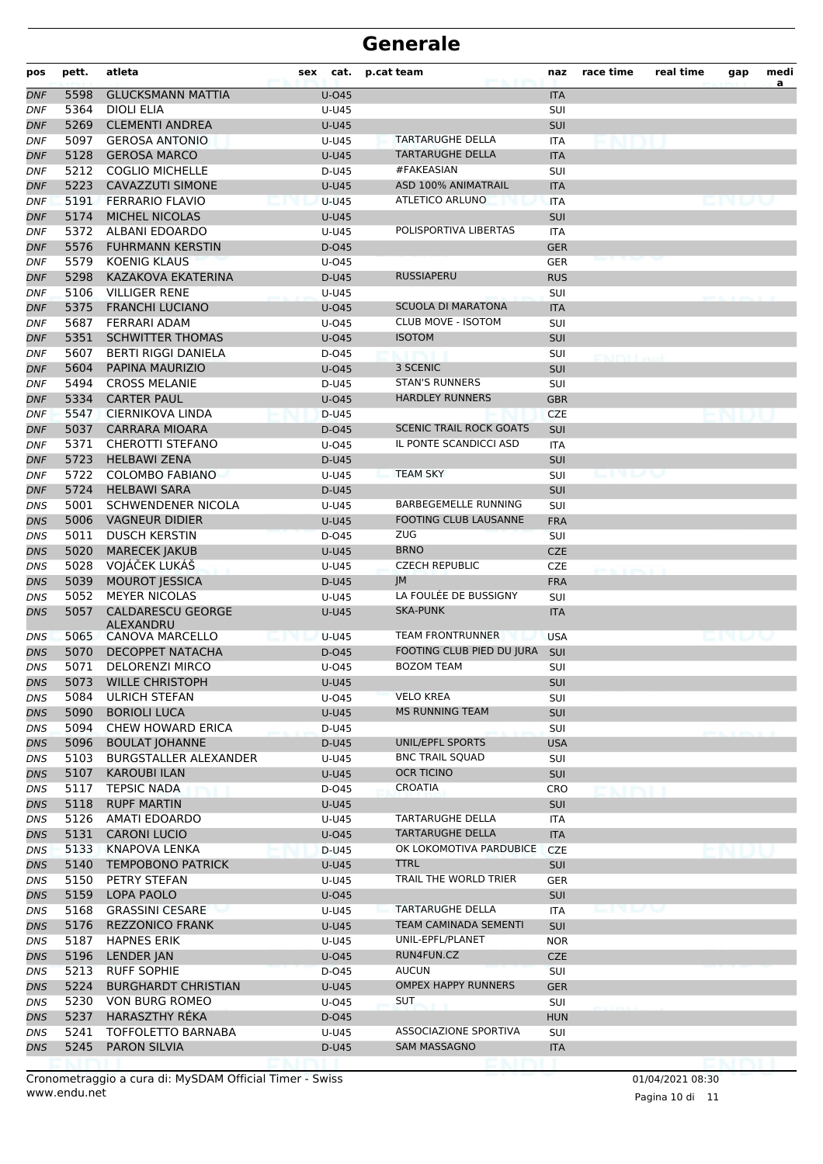| pos               | pett. | atleta                                | sex | cat.           | p.cat team                     | naz        | race time | real time | gap | medi |
|-------------------|-------|---------------------------------------|-----|----------------|--------------------------------|------------|-----------|-----------|-----|------|
| <b>DNF</b>        | 5598  | <b>GLUCKSMANN MATTIA</b>              |     | U-045          |                                | <b>ITA</b> |           |           |     | a    |
| <b>DNF</b>        | 5364  | <b>DIOLI ELIA</b>                     |     | U-U45          |                                | <b>SUI</b> |           |           |     |      |
| <b>DNF</b>        | 5269  | <b>CLEMENTI ANDREA</b>                |     | <b>U-U45</b>   |                                | SUI        |           |           |     |      |
| DNF               | 5097  | <b>GEROSA ANTONIO</b>                 |     | U-U45          | <b>TARTARUGHE DELLA</b>        | ITA        |           |           |     |      |
| <b>DNF</b>        | 5128  | <b>GEROSA MARCO</b>                   |     | <b>U-U45</b>   | <b>TARTARUGHE DELLA</b>        | <b>ITA</b> |           |           |     |      |
| <b>DNF</b>        | 5212  | <b>COGLIO MICHELLE</b>                |     | D-U45          | #FAKEASIAN                     | SUI        |           |           |     |      |
| <b>DNF</b>        | 5223  | <b>CAVAZZUTI SIMONE</b>               |     | <b>U-U45</b>   | <b>ASD 100% ANIMATRAIL</b>     | <b>ITA</b> |           |           |     |      |
| <b>DNF</b>        | 5191  | <b>FERRARIO FLAVIO</b>                |     | <b>U-U45</b>   | ATLETICO ARLUNO                | <b>ITA</b> |           |           |     |      |
| <b>DNF</b>        | 5174  | <b>MICHEL NICOLAS</b>                 |     | <b>U-U45</b>   |                                | SUI        |           |           |     |      |
| DNF               | 5372  | ALBANI EDOARDO                        |     | U-U45          | POLISPORTIVA LIBERTAS          | ITA        |           |           |     |      |
| <b>DNF</b>        | 5576  | <b>FUHRMANN KERSTIN</b>               |     | D-045          |                                | <b>GER</b> |           |           |     |      |
| <b>DNF</b>        | 5579  | <b>KOENIG KLAUS</b>                   |     | U-045          |                                | <b>GER</b> |           |           |     |      |
| <b>DNF</b>        | 5298  | KAZAKOVA EKATERINA                    |     | D-U45          | <b>RUSSIAPERU</b>              | <b>RUS</b> |           |           |     |      |
| <b>DNF</b>        | 5106  | <b>VILLIGER RENE</b>                  |     | U-U45          |                                | SUI        |           |           |     |      |
| <b>DNF</b>        | 5375  | <b>FRANCHI LUCIANO</b>                |     | U-045          | <b>SCUOLA DI MARATONA</b>      | <b>ITA</b> |           |           |     |      |
| DNF               | 5687  | <b>FERRARI ADAM</b>                   |     | U-045          | <b>CLUB MOVE - ISOTOM</b>      | SUI        |           |           |     |      |
| <b>DNF</b>        | 5351  | <b>SCHWITTER THOMAS</b>               |     | U-045          | <b>ISOTOM</b>                  | SUI        |           |           |     |      |
| <b>DNF</b>        | 5607  | <b>BERTI RIGGI DANIELA</b>            |     | D-045          |                                | SUI        |           |           |     |      |
| <b>DNF</b>        | 5604  | PAPINA MAURIZIO                       |     | U-045          | 3 SCENIC                       | <b>SUI</b> |           |           |     |      |
| <b>DNF</b>        | 5494  | <b>CROSS MELANIE</b>                  |     | D-U45          | <b>STAN'S RUNNERS</b>          | <b>SUI</b> |           |           |     |      |
| <b>DNF</b>        | 5334  | <b>CARTER PAUL</b>                    |     | U-045          | <b>HARDLEY RUNNERS</b>         | <b>GBR</b> |           |           |     |      |
| DNF               | 5547  | <b>CIERNIKOVA LINDA</b>               |     | D-U45          |                                | <b>CZE</b> |           |           |     |      |
| <b>DNF</b>        | 5037  | <b>CARRARA MIOARA</b>                 |     | D-045          | <b>SCENIC TRAIL ROCK GOATS</b> | <b>SUI</b> |           |           |     |      |
| <b>DNF</b>        | 5371  | <b>CHEROTTI STEFANO</b>               |     | U-045          | IL PONTE SCANDICCI ASD         | <b>ITA</b> |           |           |     |      |
| <b>DNF</b>        | 5723  | <b>HELBAWI ZENA</b>                   |     | D-U45          |                                | <b>SUI</b> |           |           |     |      |
| <b>DNF</b>        | 5722  | <b>COLOMBO FABIANO</b>                |     | U-U45          | <b>TEAM SKY</b>                | <b>SUI</b> |           |           |     |      |
| <b>DNF</b>        | 5724  | <b>HELBAWI SARA</b>                   |     | D-U45          |                                | SUI        |           |           |     |      |
|                   | 5001  | SCHWENDENER NICOLA                    |     |                | <b>BARBEGEMELLE RUNNING</b>    |            |           |           |     |      |
| DNS               | 5006  |                                       |     | U-U45          | <b>FOOTING CLUB LAUSANNE</b>   | SUI        |           |           |     |      |
| DNS               |       | <b>VAGNEUR DIDIER</b>                 |     | <b>U-U45</b>   | <b>ZUG</b>                     | <b>FRA</b> |           |           |     |      |
| <b>DNS</b>        | 5011  | <b>DUSCH KERSTIN</b>                  |     | D-045          | <b>BRNO</b>                    | <b>SUI</b> |           |           |     |      |
| DNS               | 5020  | <b>MARECEK JAKUB</b>                  |     | <b>U-U45</b>   |                                | <b>CZE</b> |           |           |     |      |
| <b>DNS</b>        | 5028  | VOJÁČEK LUKÁŠ                         |     | U-U45          | <b>CZECH REPUBLIC</b>          | <b>CZE</b> |           |           |     |      |
| <b>DNS</b>        | 5039  | <b>MOUROT JESSICA</b>                 |     | D-U45          | JM<br>LA FOULÉE DE BUSSIGNY    | <b>FRA</b> |           |           |     |      |
| DNS               | 5052  | <b>MEYER NICOLAS</b>                  |     | U-U45          |                                | <b>SUI</b> |           |           |     |      |
| <b>DNS</b>        | 5057  | <b>CALDARESCU GEORGE</b><br>ALEXANDRU |     | <b>U-U45</b>   | SKA-PUNK                       | <b>ITA</b> |           |           |     |      |
| DNS               | 5065  | <b>CANOVA MARCELLO</b>                |     | <b>U-U45</b>   | <b>TEAM FRONTRUNNER</b>        | <b>USA</b> |           |           |     |      |
| <b>DNS</b>        | 5070  | <b>DECOPPET NATACHA</b>               |     | D-045          | FOOTING CLUB PIED DU JURA      | SUI        |           |           |     |      |
| DNS               | 5071  | <b>DELORENZI MIRCO</b>                |     | U-045          | <b>BOZOM TEAM</b>              | <b>SUI</b> |           |           |     |      |
| DNS               | 5073  | <b>WILLE CHRISTOPH</b>                |     | <b>U-U45</b>   |                                | <b>SUI</b> |           |           |     |      |
| DNS               | 5084  | <b>ULRICH STEFAN</b>                  |     | U-045          | <b>VELO KREA</b>               | SUI        |           |           |     |      |
| DNS               | 5090  | <b>BORIOLI LUCA</b>                   |     | <b>U-U45</b>   | <b>MS RUNNING TEAM</b>         | <b>SUI</b> |           |           |     |      |
| <b>DNS</b>        | 5094  | CHEW HOWARD ERICA                     |     | D-U45          |                                | <b>SUI</b> |           |           |     |      |
| <b>DNS</b>        | 5096  | <b>BOULAT JOHANNE</b>                 |     | D-U45          | UNIL/EPFL SPORTS               | <b>USA</b> |           |           |     |      |
| DNS               | 5103  | <b>BURGSTALLER ALEXANDER</b>          |     | U-U45          | <b>BNC TRAIL SQUAD</b>         | SUI        |           |           |     |      |
| DNS               | 5107  | KAROUBI ILAN                          |     | <b>U-U45</b>   | OCR TICINO                     | <b>SUI</b> |           |           |     |      |
| DNS               | 5117  | <b>TEPSIC NADA</b>                    |     | D-045          | CROATIA                        | CRO        |           |           |     |      |
| DNS               | 5118  | <b>RUPF MARTIN</b>                    |     | <b>U-U45</b>   |                                | <b>SUI</b> |           |           |     |      |
| DNS               | 5126  | AMATI EDOARDO                         |     | U-U45          | <b>TARTARUGHE DELLA</b>        | ITA        |           |           |     |      |
| <b>DNS</b>        | 5131  | <b>CARONI LUCIO</b>                   |     | U-045          | TARTARUGHE DELLA               | <b>ITA</b> |           |           |     |      |
| DNS               | 5133  | <b>KNAPOVA LENKA</b>                  |     | D-U45          | OK LOKOMOTIVA PARDUBICE        | <b>CZE</b> |           |           |     |      |
| <b>DNS</b>        | 5140  | <b>TEMPOBONO PATRICK</b>              |     | <b>U-U45</b>   | <b>TTRL</b>                    | <b>SUI</b> |           |           |     |      |
| DNS               | 5150  | PETRY STEFAN                          |     | U-U45          | TRAIL THE WORLD TRIER          | GER        |           |           |     |      |
| DNS               | 5159  | LOPA PAOLO                            |     | U-045          |                                | <b>SUI</b> |           |           |     |      |
| DNS               | 5168  | <b>GRASSINI CESARE</b>                |     | U-U45          | <b>TARTARUGHE DELLA</b>        | ITA        | an a bha  |           |     |      |
| <b>DNS</b>        | 5176  | <b>REZZONICO FRANK</b>                |     | U-U45          | TEAM CAMINADA SEMENTI          | <b>SUI</b> |           |           |     |      |
| DNS               | 5187  | <b>HAPNES ERIK</b>                    |     | U-U45          | UNIL-EPFL/PLANET               | <b>NOR</b> |           |           |     |      |
| <b>DNS</b>        | 5196  | LENDER JAN                            |     | U-045          | RUN4FUN.CZ                     | <b>CZE</b> |           |           |     |      |
| DNS               | 5213  | <b>RUFF SOPHIE</b>                    |     | D-045          | <b>AUCUN</b>                   | SUI        |           |           |     |      |
| DNS               | 5224  | <b>BURGHARDT CHRISTIAN</b>            |     | U-U45          | <b>OMPEX HAPPY RUNNERS</b>     | <b>GER</b> |           |           |     |      |
| DNS               | 5230  | VON BURG ROMEO                        |     | U-045          | <b>SUT</b>                     | <b>SUI</b> |           |           |     |      |
| <b>DNS</b>        | 5237  | <b>HARASZTHY RÉKA</b>                 |     | D-045          |                                | <b>HUN</b> |           |           |     |      |
|                   | 5241  |                                       |     |                | <b>ASSOCIAZIONE SPORTIVA</b>   |            |           |           |     |      |
| DNS<br><b>DNS</b> | 5245  | TOFFOLETTO BARNABA<br>PARON SILVIA    |     | U-U45<br>D-U45 | <b>SAM MASSAGNO</b>            | <b>SUI</b> |           |           |     |      |
|                   |       |                                       |     |                |                                | <b>ITA</b> |           |           |     |      |

www.endu.net Cronometraggio a cura di: MySDAM Official Timer - Swiss 01/04/2021 08:30

Pagina 10 di 11